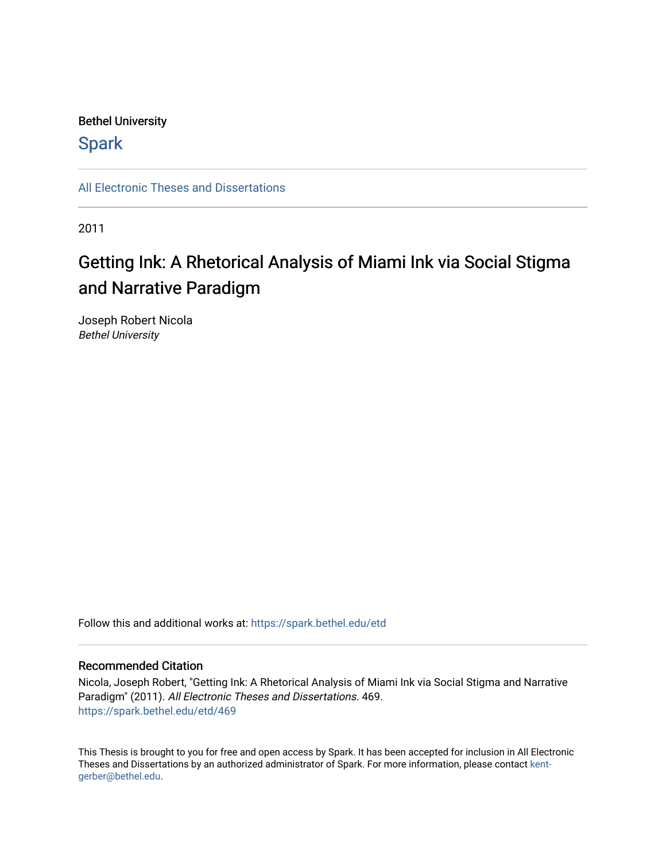# Bethel University

# **Spark**

[All Electronic Theses and Dissertations](https://spark.bethel.edu/etd) 

2011

# Getting Ink: A Rhetorical Analysis of Miami Ink via Social Stigma and Narrative Paradigm

Joseph Robert Nicola Bethel University

Follow this and additional works at: [https://spark.bethel.edu/etd](https://spark.bethel.edu/etd?utm_source=spark.bethel.edu%2Fetd%2F469&utm_medium=PDF&utm_campaign=PDFCoverPages)

### Recommended Citation

Nicola, Joseph Robert, "Getting Ink: A Rhetorical Analysis of Miami Ink via Social Stigma and Narrative Paradigm" (2011). All Electronic Theses and Dissertations. 469. [https://spark.bethel.edu/etd/469](https://spark.bethel.edu/etd/469?utm_source=spark.bethel.edu%2Fetd%2F469&utm_medium=PDF&utm_campaign=PDFCoverPages)

This Thesis is brought to you for free and open access by Spark. It has been accepted for inclusion in All Electronic Theses and Dissertations by an authorized administrator of Spark. For more information, please contact [kent](mailto:kent-gerber@bethel.edu)[gerber@bethel.edu.](mailto:kent-gerber@bethel.edu)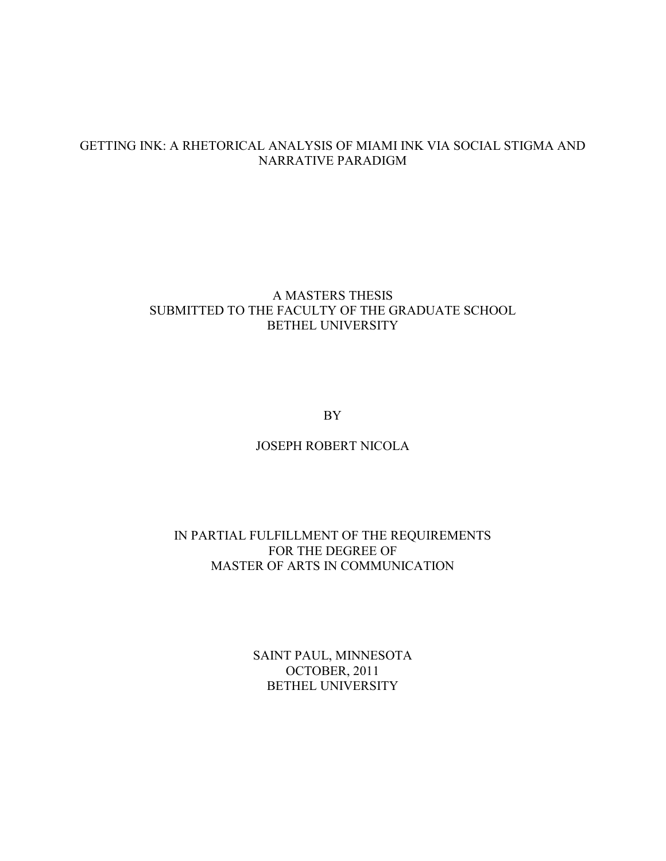# GETTING INK: A RHETORICAL ANALYSIS OF MIAMI INK VIA SOCIAL STIGMA AND NARRATIVE PARADIGM

# A MASTERS THESIS SUBMITTED TO THE FACULTY OF THE GRADUATE SCHOOL BETHEL UNIVERSITY

BY

# JOSEPH ROBERT NICOLA

# IN PARTIAL FULFILLMENT OF THE REQUIREMENTS FOR THE DEGREE OF MASTER OF ARTS IN COMMUNICATION

SAINT PAUL, MINNESOTA OCTOBER, 2011 BETHEL UNIVERSITY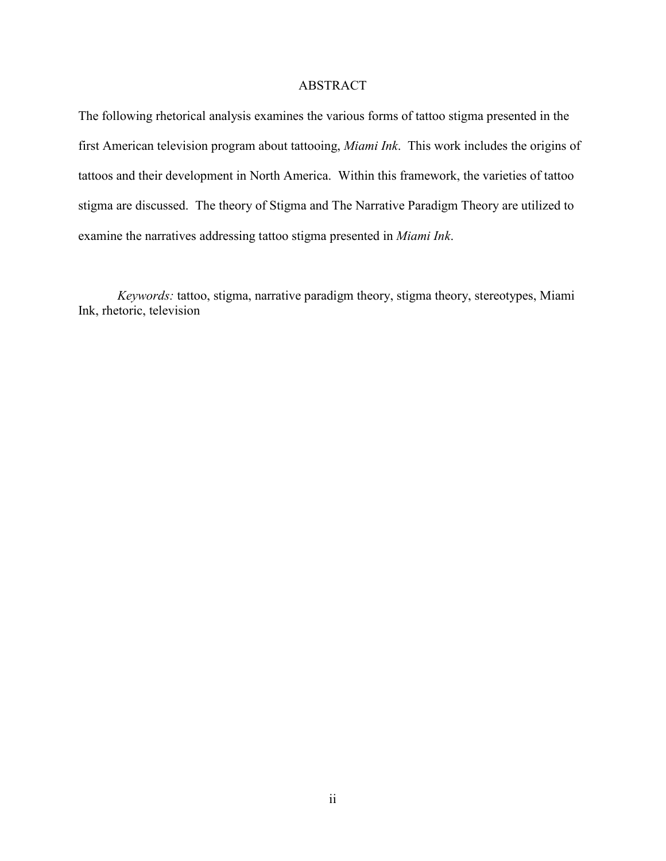### ABSTRACT

The following rhetorical analysis examines the various forms of tattoo stigma presented in the first American television program about tattooing, *Miami Ink*. This work includes the origins of tattoos and their development in North America. Within this framework, the varieties of tattoo stigma are discussed. The theory of Stigma and The Narrative Paradigm Theory are utilized to examine the narratives addressing tattoo stigma presented in *Miami Ink*.

*Keywords:* tattoo, stigma, narrative paradigm theory, stigma theory, stereotypes, Miami Ink, rhetoric, television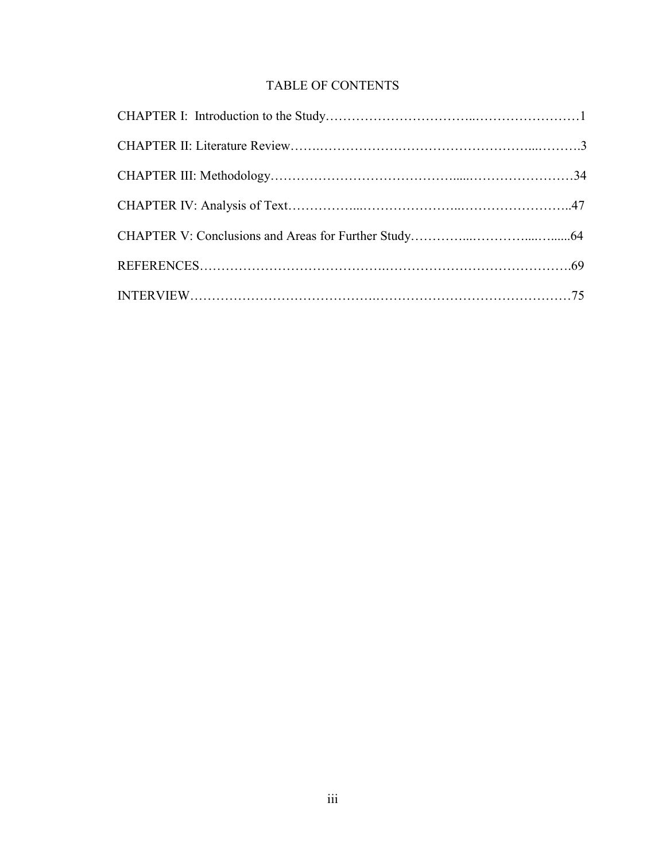# TABLE OF CONTENTS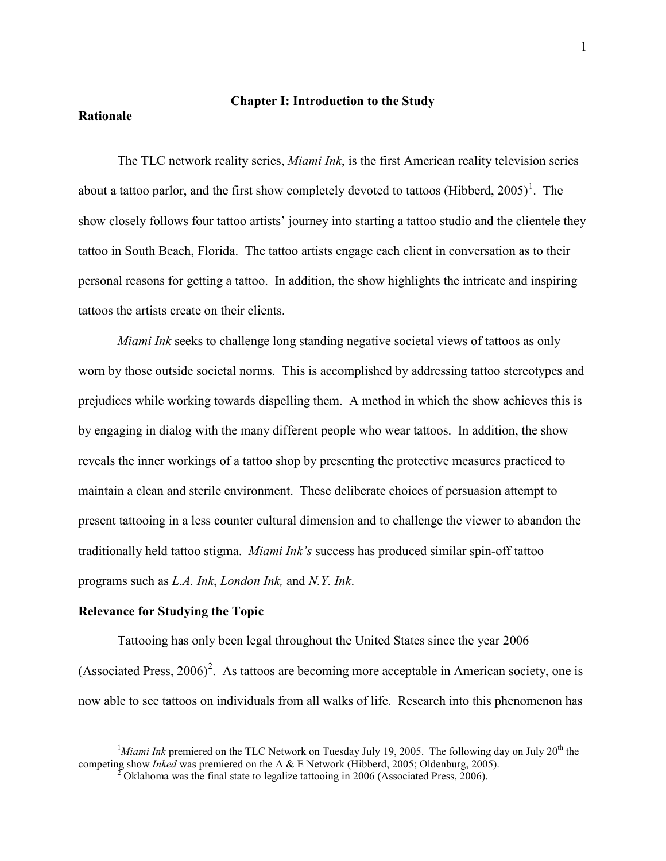### **Chapter I: Introduction to the Study**

### **Rationale**

The TLC network reality series, *Miami Ink*, is the first American reality television series about a tattoo parlor, and the first show completely devoted to tattoos (Hibberd,  $2005$ )<sup>[1](#page-4-0)</sup>. The show closely follows four tattoo artists' journey into starting a tattoo studio and the clientele they tattoo in South Beach, Florida. The tattoo artists engage each client in conversation as to their personal reasons for getting a tattoo. In addition, the show highlights the intricate and inspiring tattoos the artists create on their clients.

*Miami Ink* seeks to challenge long standing negative societal views of tattoos as only worn by those outside societal norms. This is accomplished by addressing tattoo stereotypes and prejudices while working towards dispelling them. A method in which the show achieves this is by engaging in dialog with the many different people who wear tattoos. In addition, the show reveals the inner workings of a tattoo shop by presenting the protective measures practiced to maintain a clean and sterile environment. These deliberate choices of persuasion attempt to present tattooing in a less counter cultural dimension and to challenge the viewer to abandon the traditionally held tattoo stigma. *Miami Ink's* success has produced similar spin-off tattoo programs such as *L.A. Ink*, *London Ink,* and *N.Y. Ink*.

### **Relevance for Studying the Topic**

 $\overline{a}$ 

Tattooing has only been legal throughout the United States since the year 2006 (Associated Press,  $2006$  $2006$ )<sup>2</sup>. As tattoos are becoming more acceptable in American society, one is now able to see tattoos on individuals from all walks of life. Research into this phenomenon has

<span id="page-4-1"></span><span id="page-4-0"></span> $<sup>1</sup>$ *Miami Ink* premiered on the TLC Network on Tuesday July 19, 2005. The following day on July 20<sup>th</sup> the</sup> competing show *Inked* was premiered on the A & E Network (Hibberd, 2005; Oldenburg, 2005).<br><sup>2</sup> Oklahoma was the final state to legalize tattooing in 2006 (Associated Press, 2006).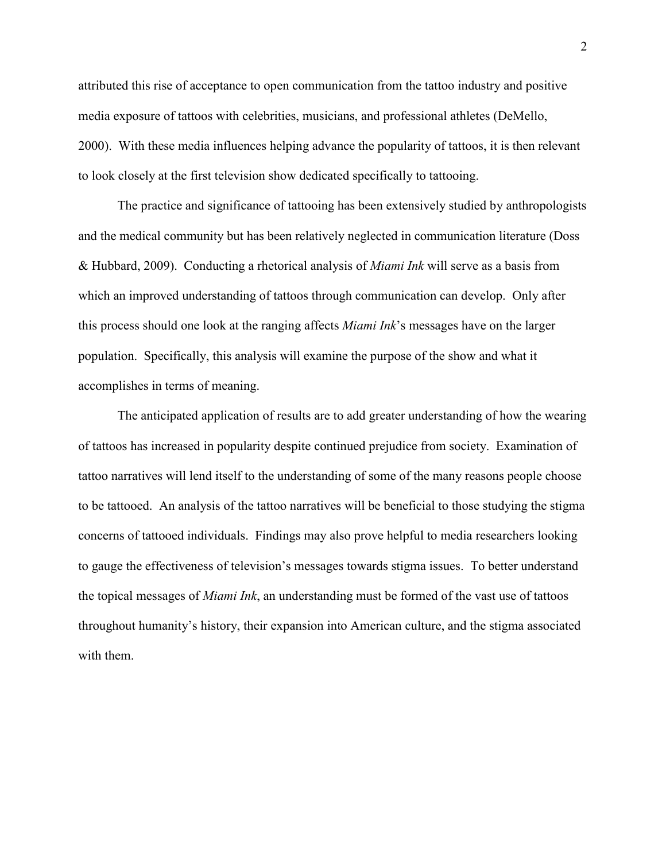attributed this rise of acceptance to open communication from the tattoo industry and positive media exposure of tattoos with celebrities, musicians, and professional athletes (DeMello, 2000). With these media influences helping advance the popularity of tattoos, it is then relevant to look closely at the first television show dedicated specifically to tattooing.

The practice and significance of tattooing has been extensively studied by anthropologists and the medical community but has been relatively neglected in communication literature (Doss & Hubbard, 2009). Conducting a rhetorical analysis of *Miami Ink* will serve as a basis from which an improved understanding of tattoos through communication can develop. Only after this process should one look at the ranging affects *Miami Ink*'s messages have on the larger population. Specifically, this analysis will examine the purpose of the show and what it accomplishes in terms of meaning.

The anticipated application of results are to add greater understanding of how the wearing of tattoos has increased in popularity despite continued prejudice from society. Examination of tattoo narratives will lend itself to the understanding of some of the many reasons people choose to be tattooed. An analysis of the tattoo narratives will be beneficial to those studying the stigma concerns of tattooed individuals. Findings may also prove helpful to media researchers looking to gauge the effectiveness of television's messages towards stigma issues. To better understand the topical messages of *Miami Ink*, an understanding must be formed of the vast use of tattoos throughout humanity's history, their expansion into American culture, and the stigma associated with them.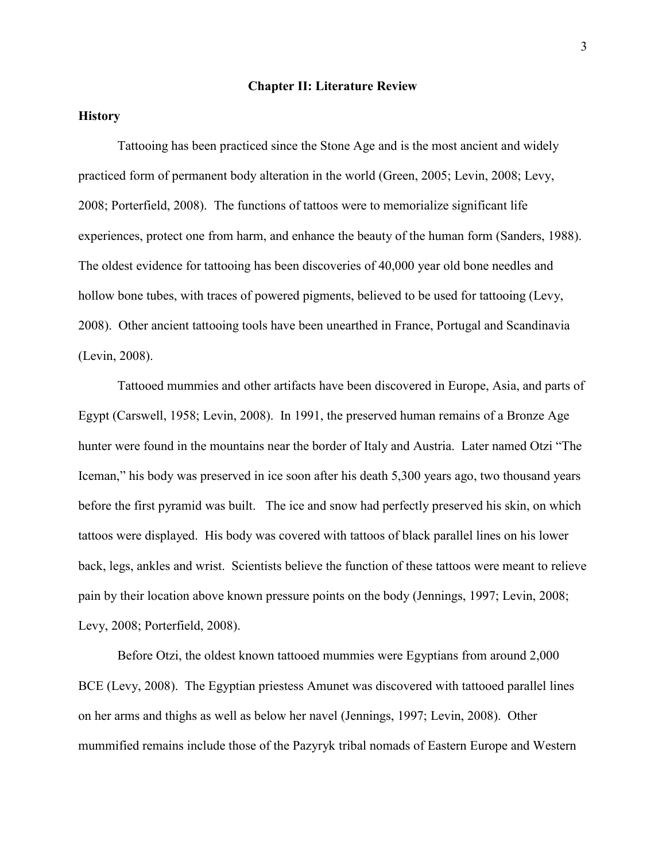#### **Chapter II: Literature Review**

### **History**

Tattooing has been practiced since the Stone Age and is the most ancient and widely practiced form of permanent body alteration in the world (Green, 2005; Levin, 2008; Levy, 2008; Porterfield, 2008). The functions of tattoos were to memorialize significant life experiences, protect one from harm, and enhance the beauty of the human form (Sanders, 1988). The oldest evidence for tattooing has been discoveries of 40,000 year old bone needles and hollow bone tubes, with traces of powered pigments, believed to be used for tattooing (Levy, 2008). Other ancient tattooing tools have been unearthed in France, Portugal and Scandinavia (Levin, 2008).

Tattooed mummies and other artifacts have been discovered in Europe, Asia, and parts of Egypt (Carswell, 1958; Levin, 2008). In 1991, the preserved human remains of a Bronze Age hunter were found in the mountains near the border of Italy and Austria. Later named Otzi "The Iceman," his body was preserved in ice soon after his death 5,300 years ago, two thousand years before the first pyramid was built. The ice and snow had perfectly preserved his skin, on which tattoos were displayed. His body was covered with tattoos of black parallel lines on his lower back, legs, ankles and wrist. Scientists believe the function of these tattoos were meant to relieve pain by their location above known pressure points on the body (Jennings, 1997; Levin, 2008; Levy, 2008; Porterfield, 2008).

Before Otzi, the oldest known tattooed mummies were Egyptians from around 2,000 BCE (Levy, 2008). The Egyptian priestess Amunet was discovered with tattooed parallel lines on her arms and thighs as well as below her navel (Jennings, 1997; Levin, 2008). Other mummified remains include those of the Pazyryk tribal nomads of Eastern Europe and Western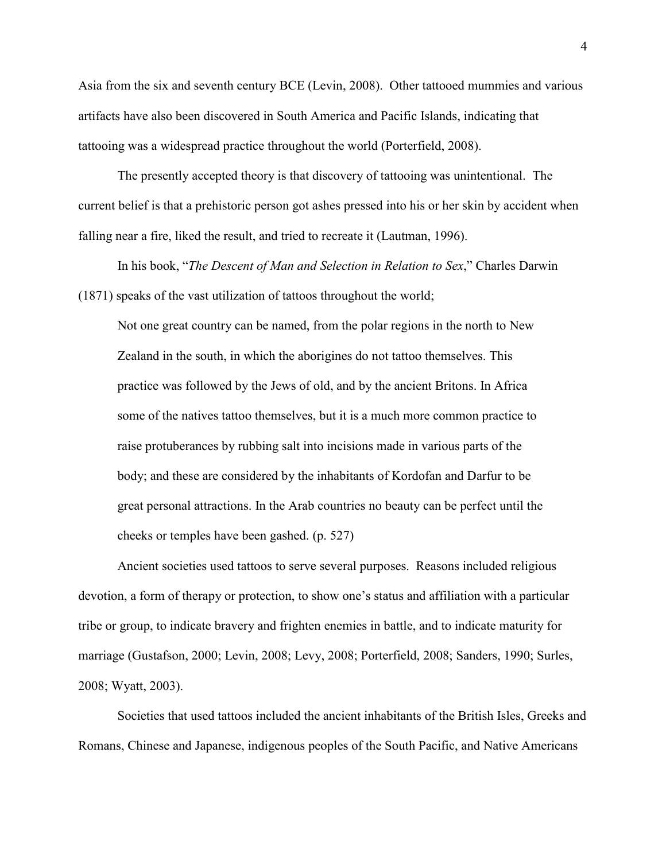Asia from the six and seventh century BCE (Levin, 2008). Other tattooed mummies and various artifacts have also been discovered in South America and Pacific Islands, indicating that tattooing was a widespread practice throughout the world (Porterfield, 2008).

The presently accepted theory is that discovery of tattooing was unintentional. The current belief is that a prehistoric person got ashes pressed into his or her skin by accident when falling near a fire, liked the result, and tried to recreate it (Lautman, 1996).

 In his book, "*The Descent of Man and Selection in Relation to Sex*," Charles Darwin (1871) speaks of the vast utilization of tattoos throughout the world;

Not one great country can be named, from the polar regions in the north to New Zealand in the south, in which the aborigines do not tattoo themselves. This practice was followed by the Jews of old, and by the ancient Britons. In Africa some of the natives tattoo themselves, but it is a much more common practice to raise protuberances by rubbing salt into incisions made in various parts of the body; and these are considered by the inhabitants of Kordofan and Darfur to be great personal attractions. In the Arab countries no beauty can be perfect until the cheeks or temples have been gashed. (p. 527)

Ancient societies used tattoos to serve several purposes. Reasons included religious devotion, a form of therapy or protection, to show one's status and affiliation with a particular tribe or group, to indicate bravery and frighten enemies in battle, and to indicate maturity for marriage (Gustafson, 2000; Levin, 2008; Levy, 2008; Porterfield, 2008; Sanders, 1990; Surles, 2008; Wyatt, 2003).

Societies that used tattoos included the ancient inhabitants of the British Isles, Greeks and Romans, Chinese and Japanese, indigenous peoples of the South Pacific, and Native Americans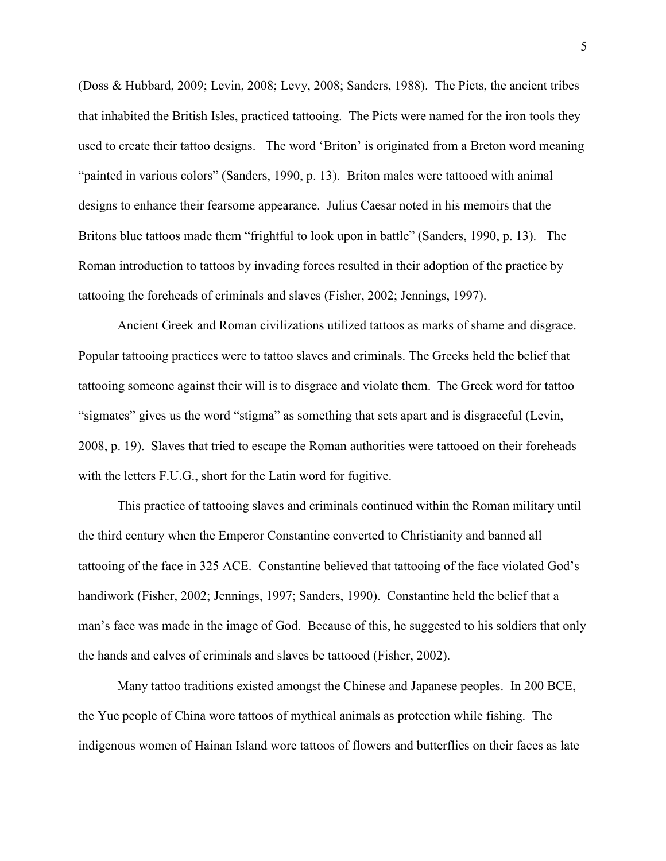(Doss & Hubbard, 2009; Levin, 2008; Levy, 2008; Sanders, 1988). The Picts, the ancient tribes that inhabited the British Isles, practiced tattooing. The Picts were named for the iron tools they used to create their tattoo designs. The word 'Briton' is originated from a Breton word meaning "painted in various colors" (Sanders, 1990, p. 13). Briton males were tattooed with animal designs to enhance their fearsome appearance. Julius Caesar noted in his memoirs that the Britons blue tattoos made them "frightful to look upon in battle" (Sanders, 1990, p. 13). The Roman introduction to tattoos by invading forces resulted in their adoption of the practice by tattooing the foreheads of criminals and slaves (Fisher, 2002; Jennings, 1997).

Ancient Greek and Roman civilizations utilized tattoos as marks of shame and disgrace. Popular tattooing practices were to tattoo slaves and criminals. The Greeks held the belief that tattooing someone against their will is to disgrace and violate them. The Greek word for tattoo "sigmates" gives us the word "stigma" as something that sets apart and is disgraceful (Levin, 2008, p. 19). Slaves that tried to escape the Roman authorities were tattooed on their foreheads with the letters F.U.G., short for the Latin word for fugitive.

This practice of tattooing slaves and criminals continued within the Roman military until the third century when the Emperor Constantine converted to Christianity and banned all tattooing of the face in 325 ACE. Constantine believed that tattooing of the face violated God's handiwork (Fisher, 2002; Jennings, 1997; Sanders, 1990). Constantine held the belief that a man's face was made in the image of God. Because of this, he suggested to his soldiers that only the hands and calves of criminals and slaves be tattooed (Fisher, 2002).

Many tattoo traditions existed amongst the Chinese and Japanese peoples. In 200 BCE, the Yue people of China wore tattoos of mythical animals as protection while fishing. The indigenous women of Hainan Island wore tattoos of flowers and butterflies on their faces as late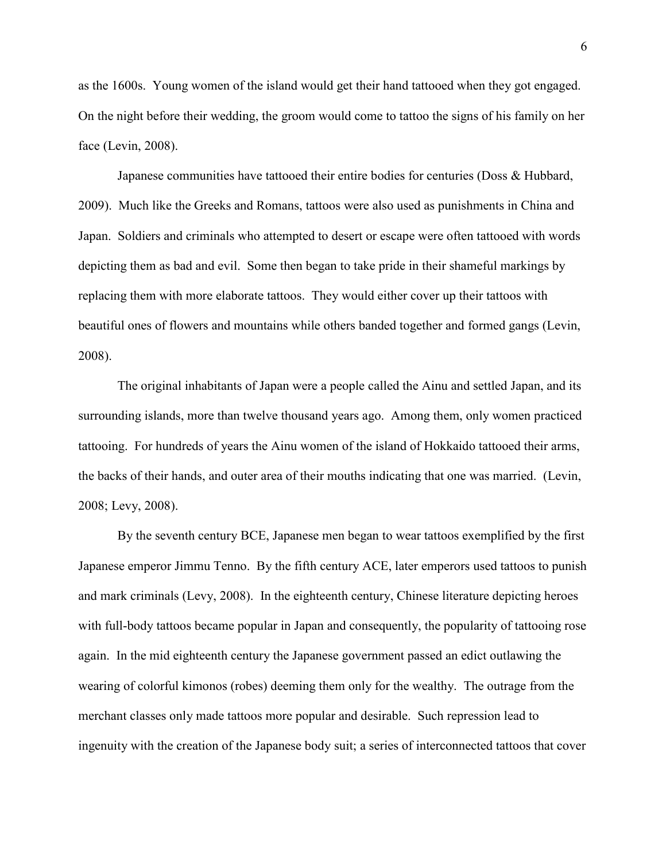as the 1600s. Young women of the island would get their hand tattooed when they got engaged. On the night before their wedding, the groom would come to tattoo the signs of his family on her face (Levin, 2008).

Japanese communities have tattooed their entire bodies for centuries (Doss & Hubbard, 2009). Much like the Greeks and Romans, tattoos were also used as punishments in China and Japan. Soldiers and criminals who attempted to desert or escape were often tattooed with words depicting them as bad and evil. Some then began to take pride in their shameful markings by replacing them with more elaborate tattoos. They would either cover up their tattoos with beautiful ones of flowers and mountains while others banded together and formed gangs (Levin, 2008).

 The original inhabitants of Japan were a people called the Ainu and settled Japan, and its surrounding islands, more than twelve thousand years ago. Among them, only women practiced tattooing. For hundreds of years the Ainu women of the island of Hokkaido tattooed their arms, the backs of their hands, and outer area of their mouths indicating that one was married. (Levin, 2008; Levy, 2008).

By the seventh century BCE, Japanese men began to wear tattoos exemplified by the first Japanese emperor Jimmu Tenno. By the fifth century ACE, later emperors used tattoos to punish and mark criminals (Levy, 2008). In the eighteenth century, Chinese literature depicting heroes with full-body tattoos became popular in Japan and consequently, the popularity of tattooing rose again. In the mid eighteenth century the Japanese government passed an edict outlawing the wearing of colorful kimonos (robes) deeming them only for the wealthy. The outrage from the merchant classes only made tattoos more popular and desirable. Such repression lead to ingenuity with the creation of the Japanese body suit; a series of interconnected tattoos that cover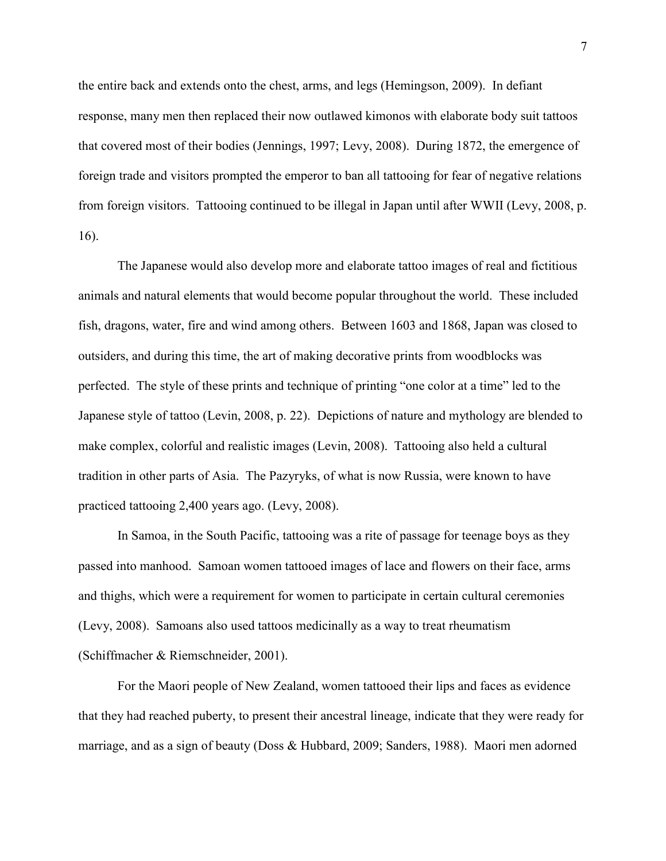the entire back and extends onto the chest, arms, and legs (Hemingson, 2009). In defiant response, many men then replaced their now outlawed kimonos with elaborate body suit tattoos that covered most of their bodies (Jennings, 1997; Levy, 2008). During 1872, the emergence of foreign trade and visitors prompted the emperor to ban all tattooing for fear of negative relations from foreign visitors. Tattooing continued to be illegal in Japan until after WWII (Levy, 2008, p. 16).

The Japanese would also develop more and elaborate tattoo images of real and fictitious animals and natural elements that would become popular throughout the world. These included fish, dragons, water, fire and wind among others. Between 1603 and 1868, Japan was closed to outsiders, and during this time, the art of making decorative prints from woodblocks was perfected. The style of these prints and technique of printing "one color at a time" led to the Japanese style of tattoo (Levin, 2008, p. 22). Depictions of nature and mythology are blended to make complex, colorful and realistic images (Levin, 2008). Tattooing also held a cultural tradition in other parts of Asia. The Pazyryks, of what is now Russia, were known to have practiced tattooing 2,400 years ago. (Levy, 2008).

In Samoa, in the South Pacific, tattooing was a rite of passage for teenage boys as they passed into manhood. Samoan women tattooed images of lace and flowers on their face, arms and thighs, which were a requirement for women to participate in certain cultural ceremonies (Levy, 2008). Samoans also used tattoos medicinally as a way to treat rheumatism (Schiffmacher & Riemschneider, 2001).

For the Maori people of New Zealand, women tattooed their lips and faces as evidence that they had reached puberty, to present their ancestral lineage, indicate that they were ready for marriage, and as a sign of beauty (Doss & Hubbard, 2009; Sanders, 1988). Maori men adorned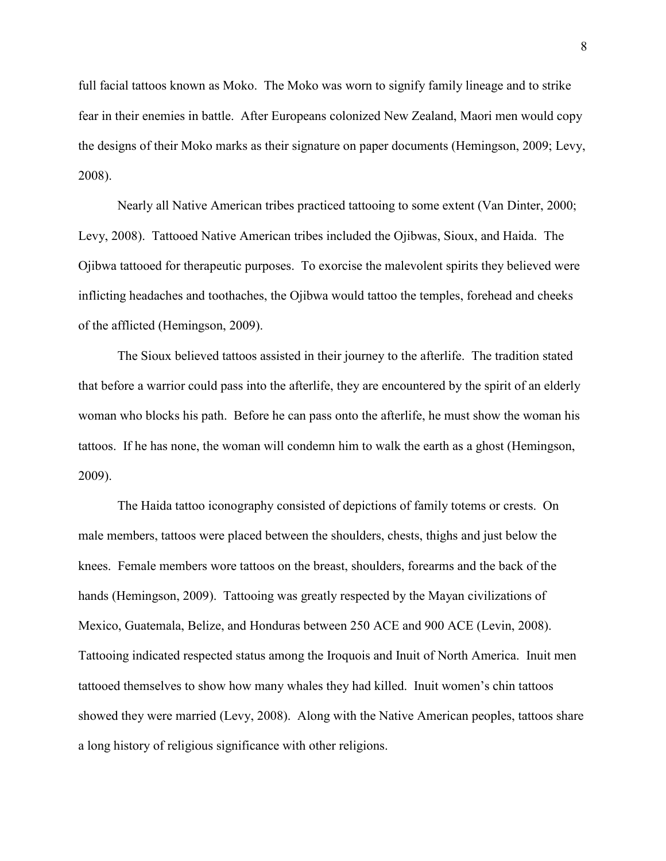full facial tattoos known as Moko. The Moko was worn to signify family lineage and to strike fear in their enemies in battle. After Europeans colonized New Zealand, Maori men would copy the designs of their Moko marks as their signature on paper documents (Hemingson, 2009; Levy, 2008).

Nearly all Native American tribes practiced tattooing to some extent (Van Dinter, 2000; Levy, 2008). Tattooed Native American tribes included the Ojibwas, Sioux, and Haida. The Ojibwa tattooed for therapeutic purposes. To exorcise the malevolent spirits they believed were inflicting headaches and toothaches, the Ojibwa would tattoo the temples, forehead and cheeks of the afflicted (Hemingson, 2009).

The Sioux believed tattoos assisted in their journey to the afterlife. The tradition stated that before a warrior could pass into the afterlife, they are encountered by the spirit of an elderly woman who blocks his path. Before he can pass onto the afterlife, he must show the woman his tattoos. If he has none, the woman will condemn him to walk the earth as a ghost (Hemingson, 2009).

The Haida tattoo iconography consisted of depictions of family totems or crests. On male members, tattoos were placed between the shoulders, chests, thighs and just below the knees. Female members wore tattoos on the breast, shoulders, forearms and the back of the hands (Hemingson, 2009). Tattooing was greatly respected by the Mayan civilizations of Mexico, Guatemala, Belize, and Honduras between 250 ACE and 900 ACE (Levin, 2008). Tattooing indicated respected status among the Iroquois and Inuit of North America. Inuit men tattooed themselves to show how many whales they had killed. Inuit women's chin tattoos showed they were married (Levy, 2008). Along with the Native American peoples, tattoos share a long history of religious significance with other religions.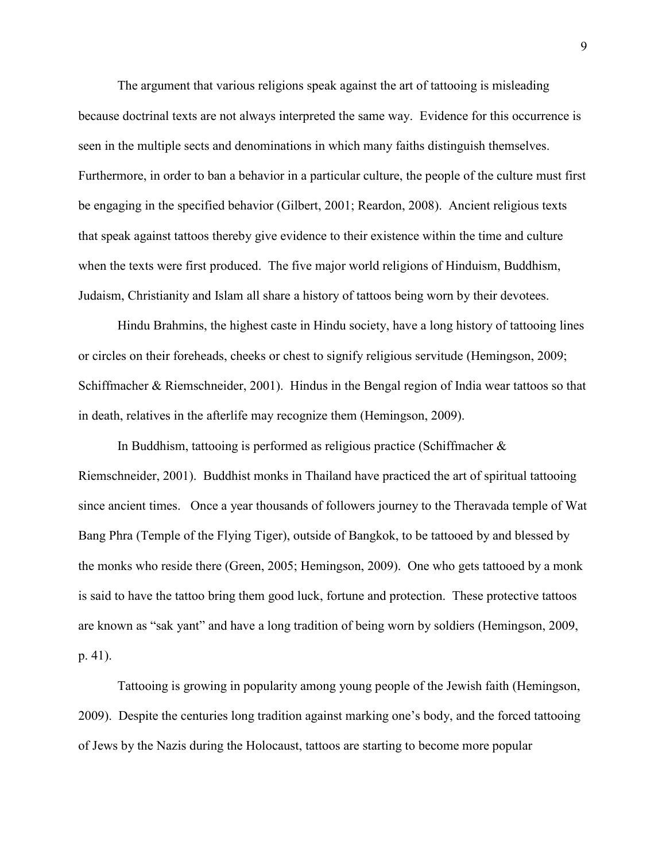The argument that various religions speak against the art of tattooing is misleading because doctrinal texts are not always interpreted the same way. Evidence for this occurrence is seen in the multiple sects and denominations in which many faiths distinguish themselves. Furthermore, in order to ban a behavior in a particular culture, the people of the culture must first be engaging in the specified behavior (Gilbert, 2001; Reardon, 2008). Ancient religious texts that speak against tattoos thereby give evidence to their existence within the time and culture when the texts were first produced. The five major world religions of Hinduism, Buddhism, Judaism, Christianity and Islam all share a history of tattoos being worn by their devotees.

Hindu Brahmins, the highest caste in Hindu society, have a long history of tattooing lines or circles on their foreheads, cheeks or chest to signify religious servitude (Hemingson, 2009; Schiffmacher & Riemschneider, 2001).Hindus in the Bengal region of India wear tattoos so that in death, relatives in the afterlife may recognize them (Hemingson, 2009).

In Buddhism, tattooing is performed as religious practice (Schiffmacher & Riemschneider, 2001).Buddhist monks in Thailand have practiced the art of spiritual tattooing since ancient times. Once a year thousands of followers journey to the Theravada temple of Wat Bang Phra (Temple of the Flying Tiger), outside of Bangkok, to be tattooed by and blessed by the monks who reside there (Green, 2005; Hemingson, 2009). One who gets tattooed by a monk is said to have the tattoo bring them good luck, fortune and protection. These protective tattoos are known as "sak yant" and have a long tradition of being worn by soldiers (Hemingson, 2009, p. 41).

Tattooing is growing in popularity among young people of the Jewish faith (Hemingson, 2009). Despite the centuries long tradition against marking one's body, and the forced tattooing of Jews by the Nazis during the Holocaust, tattoos are starting to become more popular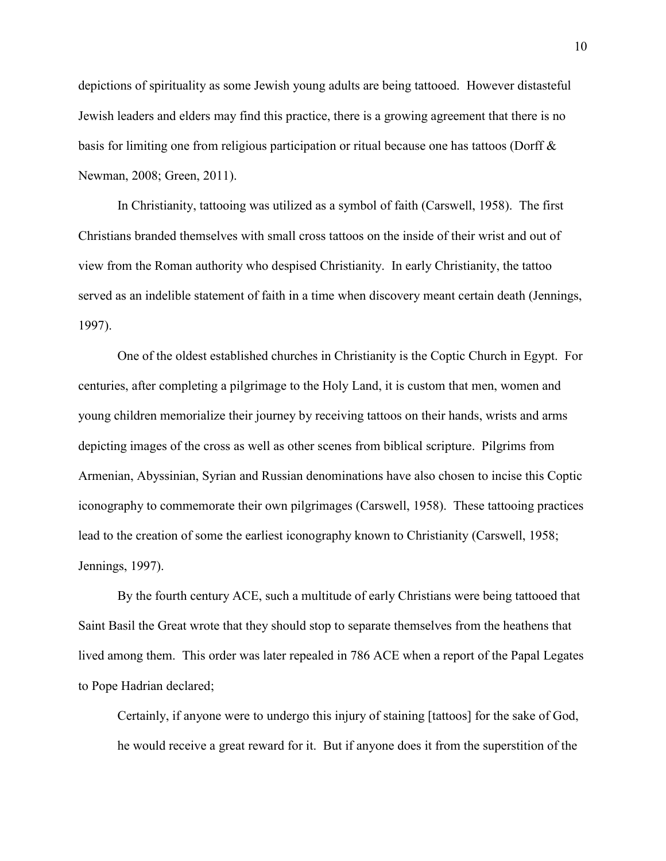depictions of spirituality as some Jewish young adults are being tattooed. However distasteful Jewish leaders and elders may find this practice, there is a growing agreement that there is no basis for limiting one from religious participation or ritual because one has tattoos (Dorff & Newman, 2008; Green, 2011).

In Christianity, tattooing was utilized as a symbol of faith (Carswell, 1958). The first Christians branded themselves with small cross tattoos on the inside of their wrist and out of view from the Roman authority who despised Christianity. In early Christianity, the tattoo served as an indelible statement of faith in a time when discovery meant certain death (Jennings, 1997).

One of the oldest established churches in Christianity is the Coptic Church in Egypt. For centuries, after completing a pilgrimage to the Holy Land, it is custom that men, women and young children memorialize their journey by receiving tattoos on their hands, wrists and arms depicting images of the cross as well as other scenes from biblical scripture. Pilgrims from Armenian, Abyssinian, Syrian and Russian denominations have also chosen to incise this Coptic iconography to commemorate their own pilgrimages (Carswell, 1958). These tattooing practices lead to the creation of some the earliest iconography known to Christianity (Carswell, 1958; Jennings, 1997).

By the fourth century ACE, such a multitude of early Christians were being tattooed that Saint Basil the Great wrote that they should stop to separate themselves from the heathens that lived among them. This order was later repealed in 786 ACE when a report of the Papal Legates to Pope Hadrian declared;

Certainly, if anyone were to undergo this injury of staining [tattoos] for the sake of God, he would receive a great reward for it. But if anyone does it from the superstition of the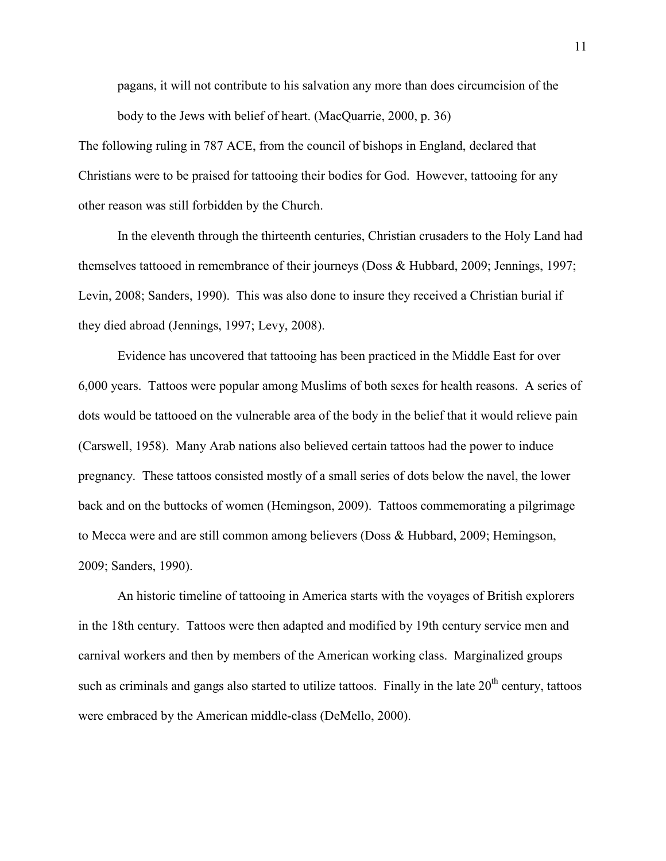pagans, it will not contribute to his salvation any more than does circumcision of the body to the Jews with belief of heart. (MacQuarrie, 2000, p. 36)

The following ruling in 787 ACE, from the council of bishops in England, declared that Christians were to be praised for tattooing their bodies for God. However, tattooing for any other reason was still forbidden by the Church.

In the eleventh through the thirteenth centuries, Christian crusaders to the Holy Land had themselves tattooed in remembrance of their journeys (Doss & Hubbard, 2009; Jennings, 1997; Levin, 2008; Sanders, 1990). This was also done to insure they received a Christian burial if they died abroad (Jennings, 1997; Levy, 2008).

Evidence has uncovered that tattooing has been practiced in the Middle East for over 6,000 years. Tattoos were popular among Muslims of both sexes for health reasons. A series of dots would be tattooed on the vulnerable area of the body in the belief that it would relieve pain (Carswell, 1958). Many Arab nations also believed certain tattoos had the power to induce pregnancy. These tattoos consisted mostly of a small series of dots below the navel, the lower back and on the buttocks of women (Hemingson, 2009). Tattoos commemorating a pilgrimage to Mecca were and are still common among believers (Doss & Hubbard, 2009; Hemingson, 2009; Sanders, 1990).

An historic timeline of tattooing in America starts with the voyages of British explorers in the 18th century. Tattoos were then adapted and modified by 19th century service men and carnival workers and then by members of the American working class. Marginalized groups such as criminals and gangs also started to utilize tattoos. Finally in the late  $20<sup>th</sup>$  century, tattoos were embraced by the American middle-class (DeMello, 2000).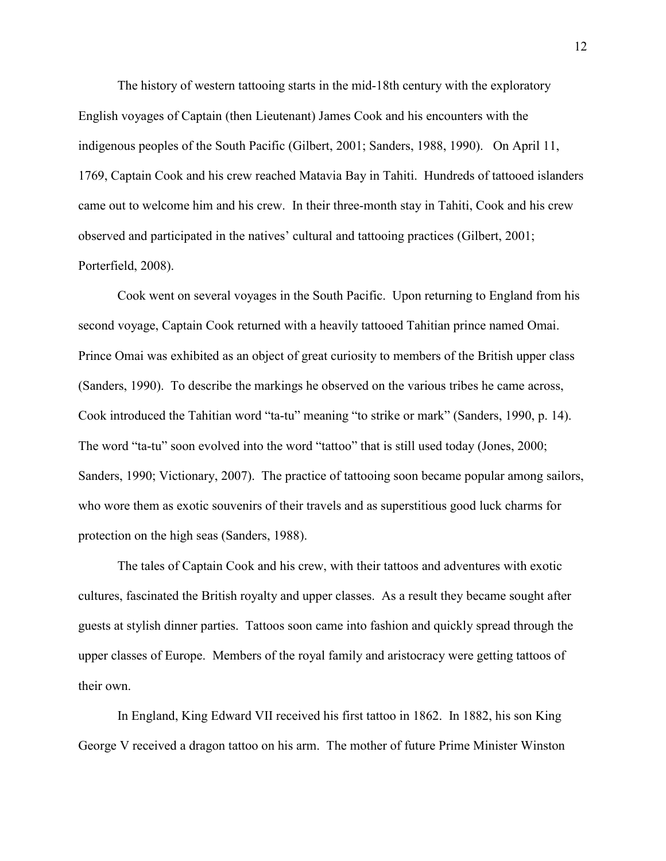The history of western tattooing starts in the mid-18th century with the exploratory English voyages of Captain (then Lieutenant) James Cook and his encounters with the indigenous peoples of the South Pacific (Gilbert, 2001; Sanders, 1988, 1990). On April 11, 1769, Captain Cook and his crew reached Matavia Bay in Tahiti. Hundreds of tattooed islanders came out to welcome him and his crew. In their three-month stay in Tahiti, Cook and his crew observed and participated in the natives' cultural and tattooing practices (Gilbert, 2001; Porterfield, 2008).

Cook went on several voyages in the South Pacific. Upon returning to England from his second voyage, Captain Cook returned with a heavily tattooed Tahitian prince named Omai. Prince Omai was exhibited as an object of great curiosity to members of the British upper class (Sanders, 1990). To describe the markings he observed on the various tribes he came across, Cook introduced the Tahitian word "ta-tu" meaning "to strike or mark" (Sanders, 1990, p. 14). The word "ta-tu" soon evolved into the word "tattoo" that is still used today (Jones, 2000; Sanders, 1990; Victionary, 2007). The practice of tattooing soon became popular among sailors, who wore them as exotic souvenirs of their travels and as superstitious good luck charms for protection on the high seas (Sanders, 1988).

The tales of Captain Cook and his crew, with their tattoos and adventures with exotic cultures, fascinated the British royalty and upper classes. As a result they became sought after guests at stylish dinner parties. Tattoos soon came into fashion and quickly spread through the upper classes of Europe. Members of the royal family and aristocracy were getting tattoos of their own.

In England, King Edward VII received his first tattoo in 1862. In 1882, his son King George V received a dragon tattoo on his arm. The mother of future Prime Minister Winston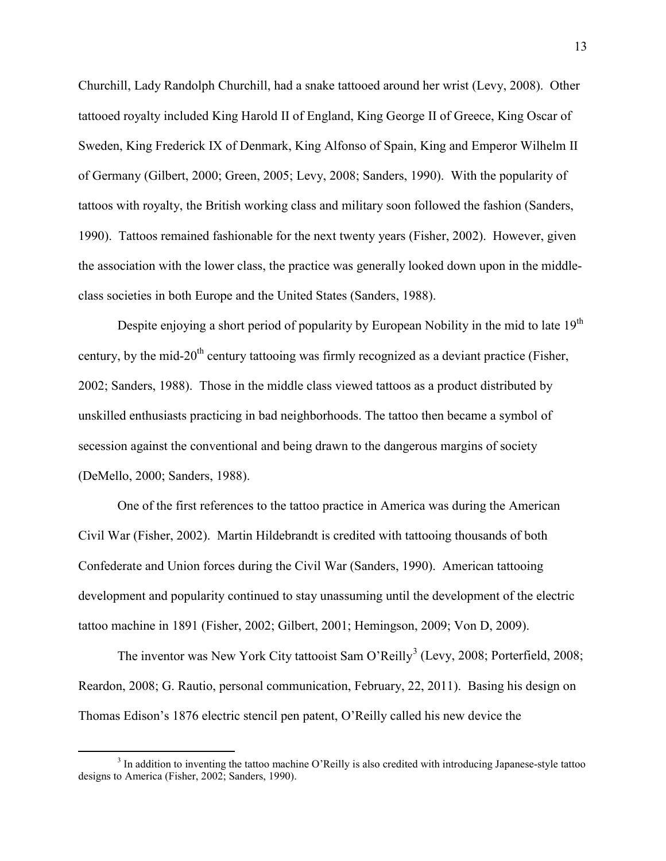Churchill, Lady Randolph Churchill, had a snake tattooed around her wrist (Levy, 2008). Other tattooed royalty included King Harold II of England, King George II of Greece, King Oscar of Sweden, King Frederick IX of Denmark, King Alfonso of Spain, King and Emperor Wilhelm II of Germany (Gilbert, 2000; Green, 2005; Levy, 2008; Sanders, 1990). With the popularity of tattoos with royalty, the British working class and military soon followed the fashion (Sanders, 1990). Tattoos remained fashionable for the next twenty years (Fisher, 2002). However, given the association with the lower class, the practice was generally looked down upon in the middleclass societies in both Europe and the United States (Sanders, 1988).

Despite enjoying a short period of popularity by European Nobility in the mid to late 19<sup>th</sup> century, by the mid-20<sup>th</sup> century tattooing was firmly recognized as a deviant practice (Fisher, 2002; Sanders, 1988). Those in the middle class viewed tattoos as a product distributed by unskilled enthusiasts practicing in bad neighborhoods. The tattoo then became a symbol of secession against the conventional and being drawn to the dangerous margins of society (DeMello, 2000; Sanders, 1988).

One of the first references to the tattoo practice in America was during the American Civil War (Fisher, 2002). Martin Hildebrandt is credited with tattooing thousands of both Confederate and Union forces during the Civil War (Sanders, 1990). American tattooing development and popularity continued to stay unassuming until the development of the electric tattoo machine in 1891 (Fisher, 2002; Gilbert, 2001; Hemingson, 2009; Von D, 2009).

The inventor was New York City tattooist Sam O'Reilly<sup>[3](#page-16-0)</sup> (Levy, 2008; Porterfield, 2008; Reardon, 2008; G. Rautio, personal communication, February, 22, 2011). Basing his design on Thomas Edison's 1876 electric stencil pen patent, O'Reilly called his new device the

 $\overline{a}$ 

<span id="page-16-0"></span><sup>&</sup>lt;sup>3</sup> In addition to inventing the tattoo machine O'Reilly is also credited with introducing Japanese-style tattoo designs to America (Fisher, 2002; Sanders, 1990).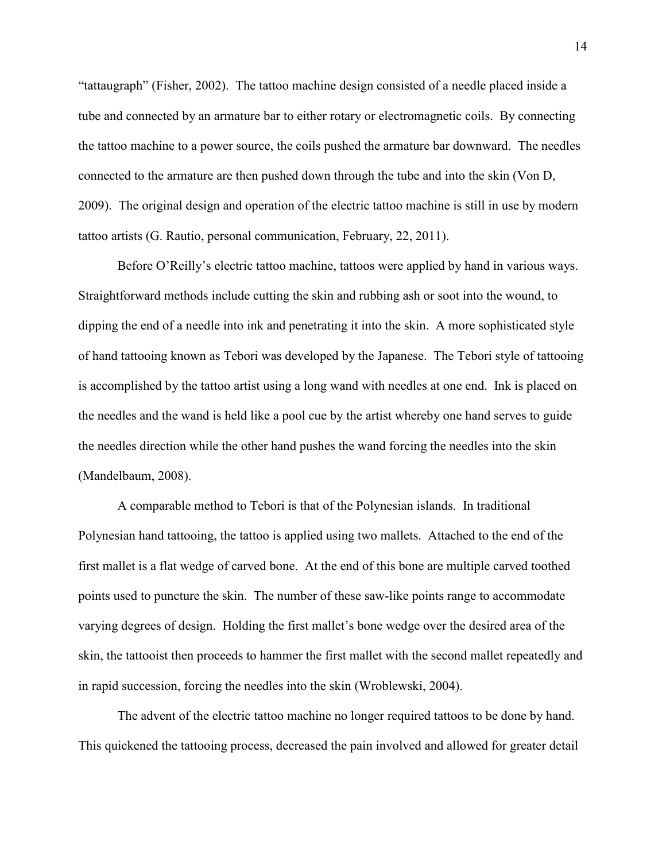"tattaugraph" (Fisher, 2002). The tattoo machine design consisted of a needle placed inside a tube and connected by an armature bar to either rotary or electromagnetic coils. By connecting the tattoo machine to a power source, the coils pushed the armature bar downward. The needles connected to the armature are then pushed down through the tube and into the skin (Von D, 2009). The original design and operation of the electric tattoo machine is still in use by modern tattoo artists (G. Rautio, personal communication, February, 22, 2011).

Before O'Reilly's electric tattoo machine, tattoos were applied by hand in various ways. Straightforward methods include cutting the skin and rubbing ash or soot into the wound, to dipping the end of a needle into ink and penetrating it into the skin. A more sophisticated style of hand tattooing known as Tebori was developed by the Japanese. The Tebori style of tattooing is accomplished by the tattoo artist using a long wand with needles at one end. Ink is placed on the needles and the wand is held like a pool cue by the artist whereby one hand serves to guide the needles direction while the other hand pushes the wand forcing the needles into the skin (Mandelbaum, 2008).

A comparable method to Tebori is that of the Polynesian islands. In traditional Polynesian hand tattooing, the tattoo is applied using two mallets. Attached to the end of the first mallet is a flat wedge of carved bone. At the end of this bone are multiple carved toothed points used to puncture the skin. The number of these saw-like points range to accommodate varying degrees of design. Holding the first mallet's bone wedge over the desired area of the skin, the tattooist then proceeds to hammer the first mallet with the second mallet repeatedly and in rapid succession, forcing the needles into the skin (Wroblewski, 2004).

The advent of the electric tattoo machine no longer required tattoos to be done by hand. This quickened the tattooing process, decreased the pain involved and allowed for greater detail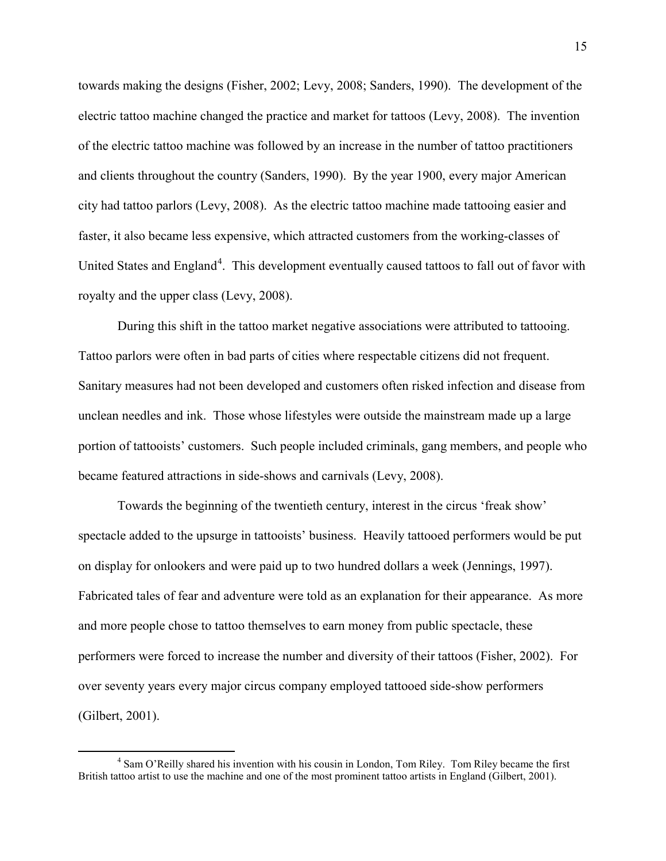towards making the designs (Fisher, 2002; Levy, 2008; Sanders, 1990). The development of the electric tattoo machine changed the practice and market for tattoos (Levy, 2008). The invention of the electric tattoo machine was followed by an increase in the number of tattoo practitioners and clients throughout the country (Sanders, 1990). By the year 1900, every major American city had tattoo parlors (Levy, 2008). As the electric tattoo machine made tattooing easier and faster, it also became less expensive, which attracted customers from the working-classes of United States and England<sup>[4](#page-18-0)</sup>. This development eventually caused tattoos to fall out of favor with royalty and the upper class (Levy, 2008).

During this shift in the tattoo market negative associations were attributed to tattooing. Tattoo parlors were often in bad parts of cities where respectable citizens did not frequent. Sanitary measures had not been developed and customers often risked infection and disease from unclean needles and ink. Those whose lifestyles were outside the mainstream made up a large portion of tattooists' customers. Such people included criminals, gang members, and people who became featured attractions in side-shows and carnivals (Levy, 2008).

Towards the beginning of the twentieth century, interest in the circus 'freak show' spectacle added to the upsurge in tattooists' business. Heavily tattooed performers would be put on display for onlookers and were paid up to two hundred dollars a week (Jennings, 1997). Fabricated tales of fear and adventure were told as an explanation for their appearance. As more and more people chose to tattoo themselves to earn money from public spectacle, these performers were forced to increase the number and diversity of their tattoos (Fisher, 2002). For over seventy years every major circus company employed tattooed side-show performers (Gilbert, 2001).

 $\overline{a}$ 

<span id="page-18-0"></span><sup>4</sup> Sam O'Reilly shared his invention with his cousin in London, Tom Riley. Tom Riley became the first British tattoo artist to use the machine and one of the most prominent tattoo artists in England (Gilbert, 2001).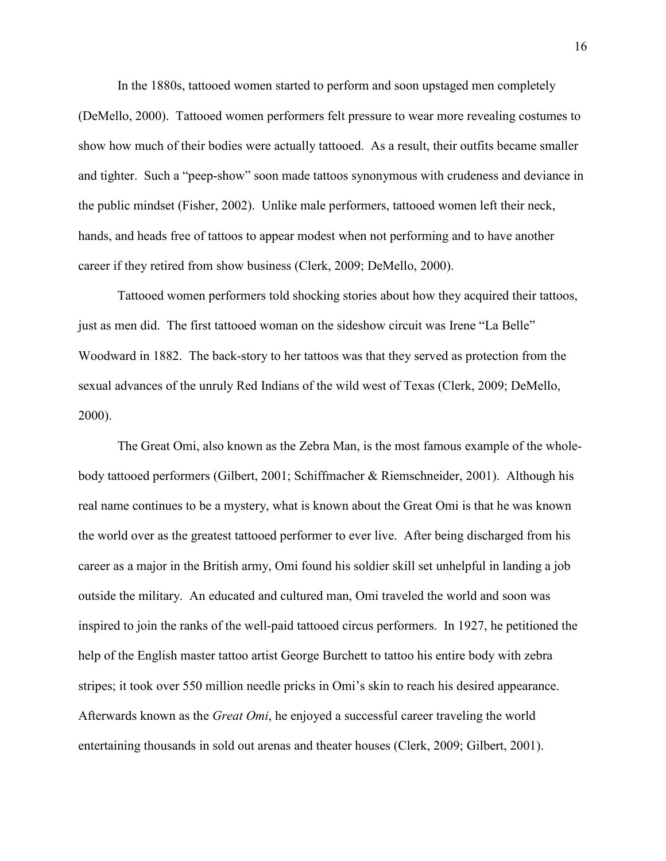In the 1880s, tattooed women started to perform and soon upstaged men completely (DeMello, 2000). Tattooed women performers felt pressure to wear more revealing costumes to show how much of their bodies were actually tattooed. As a result, their outfits became smaller and tighter. Such a "peep-show" soon made tattoos synonymous with crudeness and deviance in the public mindset (Fisher, 2002). Unlike male performers, tattooed women left their neck, hands, and heads free of tattoos to appear modest when not performing and to have another career if they retired from show business (Clerk, 2009; DeMello, 2000).

Tattooed women performers told shocking stories about how they acquired their tattoos, just as men did. The first tattooed woman on the sideshow circuit was Irene "La Belle" Woodward in 1882. The back-story to her tattoos was that they served as protection from the sexual advances of the unruly Red Indians of the wild west of Texas (Clerk, 2009; DeMello, 2000).

The Great Omi, also known as the Zebra Man, is the most famous example of the wholebody tattooed performers (Gilbert, 2001; Schiffmacher & Riemschneider, 2001). Although his real name continues to be a mystery, what is known about the Great Omi is that he was known the world over as the greatest tattooed performer to ever live. After being discharged from his career as a major in the British army, Omi found his soldier skill set unhelpful in landing a job outside the military. An educated and cultured man, Omi traveled the world and soon was inspired to join the ranks of the well-paid tattooed circus performers. In 1927, he petitioned the help of the English master tattoo artist George Burchett to tattoo his entire body with zebra stripes; it took over 550 million needle pricks in Omi's skin to reach his desired appearance. Afterwards known as the *Great Omi*, he enjoyed a successful career traveling the world entertaining thousands in sold out arenas and theater houses (Clerk, 2009; Gilbert, 2001).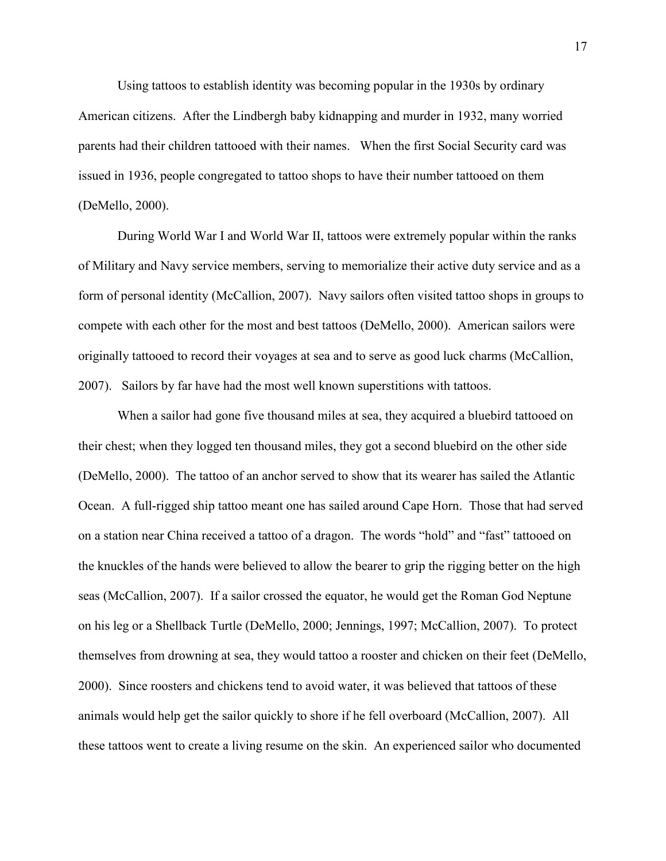Using tattoos to establish identity was becoming popular in the 1930s by ordinary American citizens. After the Lindbergh baby kidnapping and murder in 1932, many worried parents had their children tattooed with their names. When the first Social Security card was issued in 1936, people congregated to tattoo shops to have their number tattooed on them (DeMello, 2000).

During World War I and World War II, tattoos were extremely popular within the ranks of Military and Navy service members, serving to memorialize their active duty service and as a form of personal identity (McCallion, 2007). Navy sailors often visited tattoo shops in groups to compete with each other for the most and best tattoos (DeMello, 2000). American sailors were originally tattooed to record their voyages at sea and to serve as good luck charms (McCallion, 2007). Sailors by far have had the most well known superstitions with tattoos.

When a sailor had gone five thousand miles at sea, they acquired a bluebird tattooed on their chest; when they logged ten thousand miles, they got a second bluebird on the other side (DeMello, 2000). The tattoo of an anchor served to show that its wearer has sailed the Atlantic Ocean. A full-rigged ship tattoo meant one has sailed around Cape Horn. Those that had served on a station near China received a tattoo of a dragon. The words "hold" and "fast" tattooed on the knuckles of the hands were believed to allow the bearer to grip the rigging better on the high seas (McCallion, 2007). If a sailor crossed the equator, he would get the Roman God Neptune on his leg or a Shellback Turtle (DeMello, 2000; Jennings, 1997; McCallion, 2007). To protect themselves from drowning at sea, they would tattoo a rooster and chicken on their feet (DeMello, 2000). Since roosters and chickens tend to avoid water, it was believed that tattoos of these animals would help get the sailor quickly to shore if he fell overboard (McCallion, 2007). All these tattoos went to create a living resume on the skin. An experienced sailor who documented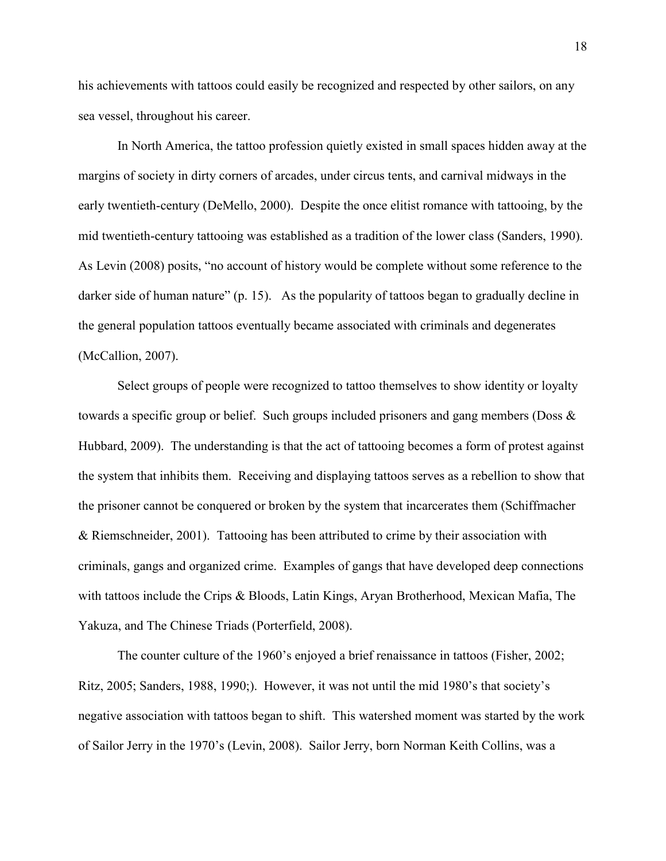his achievements with tattoos could easily be recognized and respected by other sailors, on any sea vessel, throughout his career.

In North America, the tattoo profession quietly existed in small spaces hidden away at the margins of society in dirty corners of arcades, under circus tents, and carnival midways in the early twentieth-century (DeMello, 2000). Despite the once elitist romance with tattooing, by the mid twentieth-century tattooing was established as a tradition of the lower class (Sanders, 1990). As Levin (2008) posits, "no account of history would be complete without some reference to the darker side of human nature" (p. 15). As the popularity of tattoos began to gradually decline in the general population tattoos eventually became associated with criminals and degenerates (McCallion, 2007).

Select groups of people were recognized to tattoo themselves to show identity or loyalty towards a specific group or belief. Such groups included prisoners and gang members (Doss & Hubbard, 2009). The understanding is that the act of tattooing becomes a form of protest against the system that inhibits them. Receiving and displaying tattoos serves as a rebellion to show that the prisoner cannot be conquered or broken by the system that incarcerates them (Schiffmacher & Riemschneider, 2001). Tattooing has been attributed to crime by their association with criminals, gangs and organized crime. Examples of gangs that have developed deep connections with tattoos include the Crips & Bloods, Latin Kings, Aryan Brotherhood, Mexican Mafia, The Yakuza, and The Chinese Triads (Porterfield, 2008).

The counter culture of the 1960's enjoyed a brief renaissance in tattoos (Fisher, 2002; Ritz, 2005; Sanders, 1988, 1990;). However, it was not until the mid 1980's that society's negative association with tattoos began to shift. This watershed moment was started by the work of Sailor Jerry in the 1970's (Levin, 2008). Sailor Jerry, born Norman Keith Collins, was a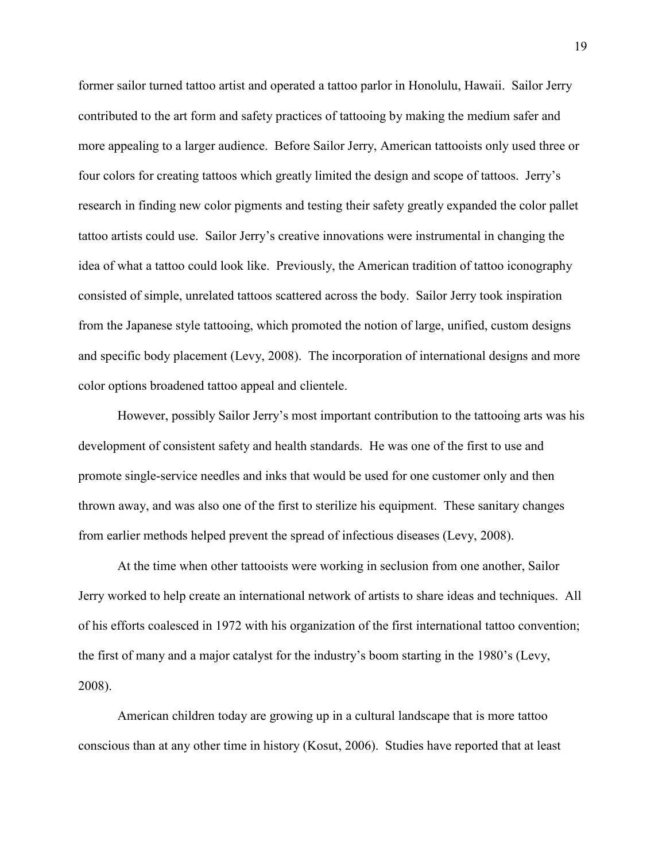former sailor turned tattoo artist and operated a tattoo parlor in Honolulu, Hawaii. Sailor Jerry contributed to the art form and safety practices of tattooing by making the medium safer and more appealing to a larger audience. Before Sailor Jerry, American tattooists only used three or four colors for creating tattoos which greatly limited the design and scope of tattoos. Jerry's research in finding new color pigments and testing their safety greatly expanded the color pallet tattoo artists could use. Sailor Jerry's creative innovations were instrumental in changing the idea of what a tattoo could look like. Previously, the American tradition of tattoo iconography consisted of simple, unrelated tattoos scattered across the body. Sailor Jerry took inspiration from the Japanese style tattooing, which promoted the notion of large, unified, custom designs and specific body placement (Levy, 2008). The incorporation of international designs and more color options broadened tattoo appeal and clientele.

However, possibly Sailor Jerry's most important contribution to the tattooing arts was his development of consistent safety and health standards. He was one of the first to use and promote single-service needles and inks that would be used for one customer only and then thrown away, and was also one of the first to sterilize his equipment. These sanitary changes from earlier methods helped prevent the spread of infectious diseases (Levy, 2008).

At the time when other tattooists were working in seclusion from one another, Sailor Jerry worked to help create an international network of artists to share ideas and techniques. All of his efforts coalesced in 1972 with his organization of the first international tattoo convention; the first of many and a major catalyst for the industry's boom starting in the 1980's (Levy, 2008).

American children today are growing up in a cultural landscape that is more tattoo conscious than at any other time in history (Kosut, 2006). Studies have reported that at least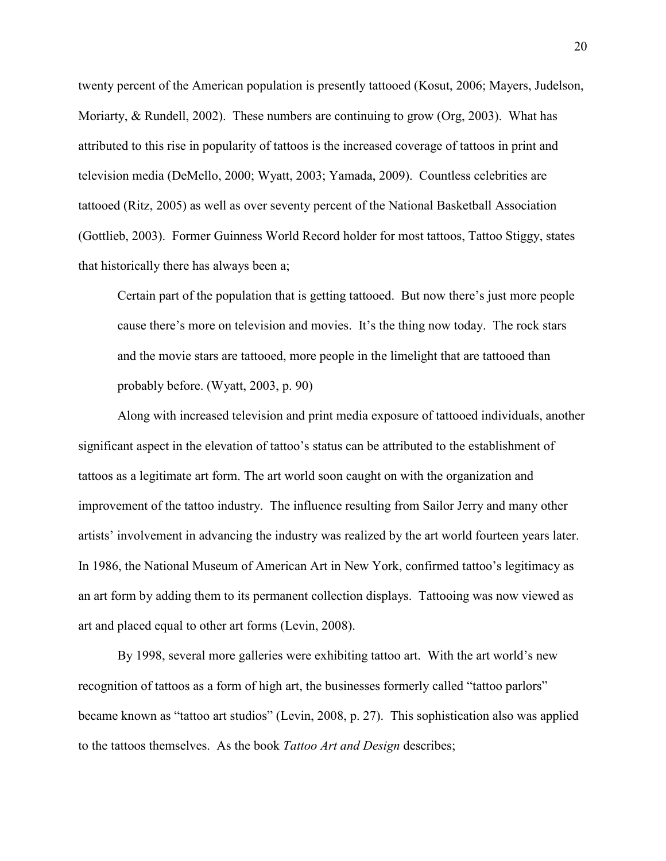twenty percent of the American population is presently tattooed (Kosut, 2006; Mayers, Judelson, Moriarty, & Rundell, 2002). These numbers are continuing to grow (Org, 2003). What has attributed to this rise in popularity of tattoos is the increased coverage of tattoos in print and television media (DeMello, 2000; Wyatt, 2003; Yamada, 2009). Countless celebrities are tattooed (Ritz, 2005) as well as over seventy percent of the National Basketball Association (Gottlieb, 2003). Former Guinness World Record holder for most tattoos, Tattoo Stiggy, states that historically there has always been a;

Certain part of the population that is getting tattooed. But now there's just more people cause there's more on television and movies. It's the thing now today. The rock stars and the movie stars are tattooed, more people in the limelight that are tattooed than probably before. (Wyatt, 2003, p. 90)

Along with increased television and print media exposure of tattooed individuals, another significant aspect in the elevation of tattoo's status can be attributed to the establishment of tattoos as a legitimate art form. The art world soon caught on with the organization and improvement of the tattoo industry. The influence resulting from Sailor Jerry and many other artists' involvement in advancing the industry was realized by the art world fourteen years later. In 1986, the National Museum of American Art in New York, confirmed tattoo's legitimacy as an art form by adding them to its permanent collection displays. Tattooing was now viewed as art and placed equal to other art forms (Levin, 2008).

By 1998, several more galleries were exhibiting tattoo art. With the art world's new recognition of tattoos as a form of high art, the businesses formerly called "tattoo parlors" became known as "tattoo art studios" (Levin, 2008, p. 27). This sophistication also was applied to the tattoos themselves. As the book *Tattoo Art and Design* describes;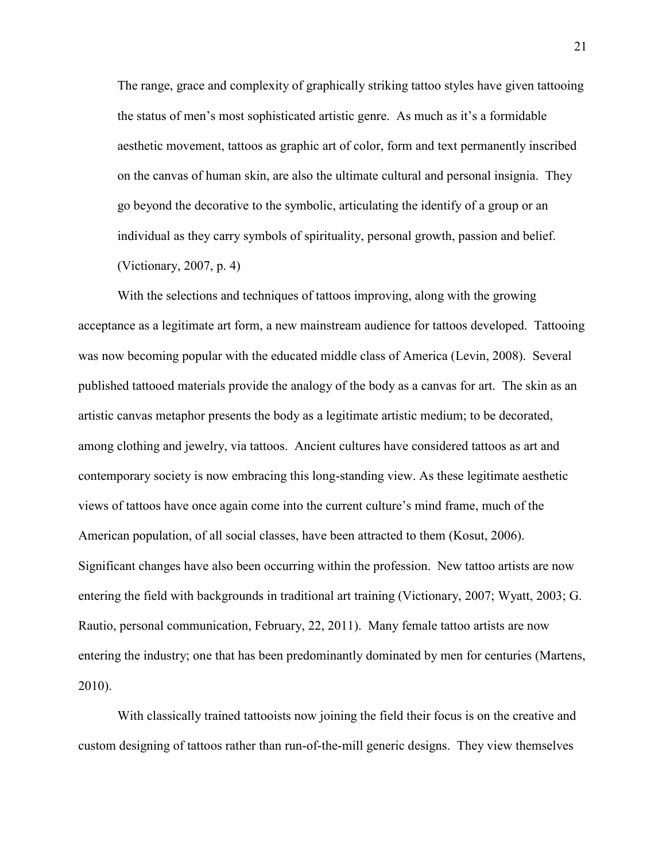The range, grace and complexity of graphically striking tattoo styles have given tattooing the status of men's most sophisticated artistic genre. As much as it's a formidable aesthetic movement, tattoos as graphic art of color, form and text permanently inscribed on the canvas of human skin, are also the ultimate cultural and personal insignia. They go beyond the decorative to the symbolic, articulating the identify of a group or an individual as they carry symbols of spirituality, personal growth, passion and belief. (Victionary, 2007, p. 4)

With the selections and techniques of tattoos improving, along with the growing acceptance as a legitimate art form, a new mainstream audience for tattoos developed. Tattooing was now becoming popular with the educated middle class of America (Levin, 2008). Several published tattooed materials provide the analogy of the body as a canvas for art. The skin as an artistic canvas metaphor presents the body as a legitimate artistic medium; to be decorated, among clothing and jewelry, via tattoos. Ancient cultures have considered tattoos as art and contemporary society is now embracing this long-standing view. As these legitimate aesthetic views of tattoos have once again come into the current culture's mind frame, much of the American population, of all social classes, have been attracted to them (Kosut, 2006). Significant changes have also been occurring within the profession. New tattoo artists are now entering the field with backgrounds in traditional art training (Victionary, 2007; Wyatt, 2003; G. Rautio, personal communication, February, 22, 2011). Many female tattoo artists are now entering the industry; one that has been predominantly dominated by men for centuries (Martens, 2010).

With classically trained tattooists now joining the field their focus is on the creative and custom designing of tattoos rather than run-of-the-mill generic designs. They view themselves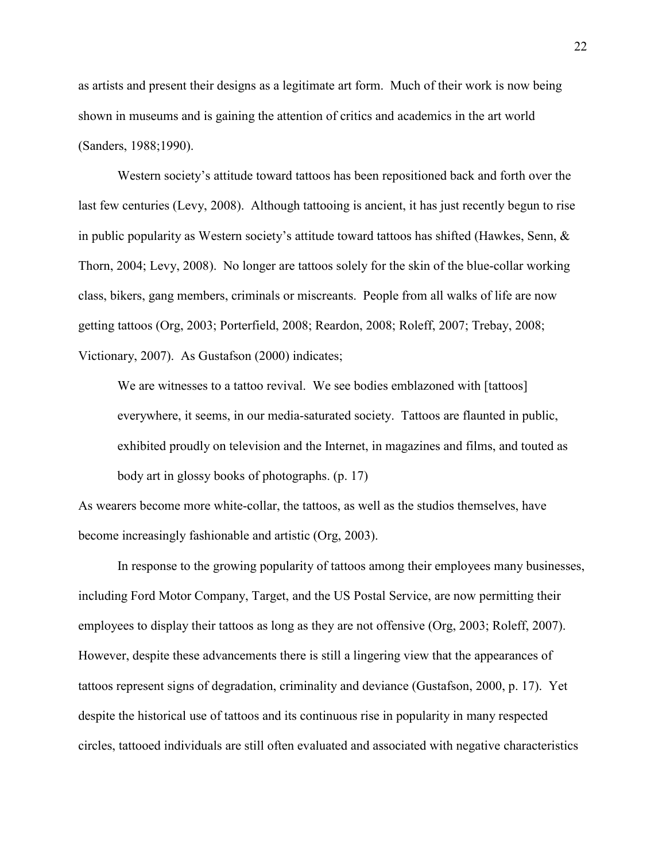as artists and present their designs as a legitimate art form. Much of their work is now being shown in museums and is gaining the attention of critics and academics in the art world (Sanders, 1988;1990).

Western society's attitude toward tattoos has been repositioned back and forth over the last few centuries (Levy, 2008). Although tattooing is ancient, it has just recently begun to rise in public popularity as Western society's attitude toward tattoos has shifted (Hawkes, Senn, & Thorn, 2004; Levy, 2008). No longer are tattoos solely for the skin of the blue-collar working class, bikers, gang members, criminals or miscreants. People from all walks of life are now getting tattoos (Org, 2003; Porterfield, 2008; Reardon, 2008; Roleff, 2007; Trebay, 2008; Victionary, 2007). As Gustafson (2000) indicates;

We are witnesses to a tattoo revival. We see bodies emblazoned with [tattoos] everywhere, it seems, in our media-saturated society. Tattoos are flaunted in public, exhibited proudly on television and the Internet, in magazines and films, and touted as body art in glossy books of photographs. (p. 17)

As wearers become more white-collar, the tattoos, as well as the studios themselves, have become increasingly fashionable and artistic (Org, 2003).

In response to the growing popularity of tattoos among their employees many businesses, including Ford Motor Company, Target, and the US Postal Service, are now permitting their employees to display their tattoos as long as they are not offensive (Org, 2003; Roleff, 2007). However, despite these advancements there is still a lingering view that the appearances of tattoos represent signs of degradation, criminality and deviance (Gustafson, 2000, p. 17). Yet despite the historical use of tattoos and its continuous rise in popularity in many respected circles, tattooed individuals are still often evaluated and associated with negative characteristics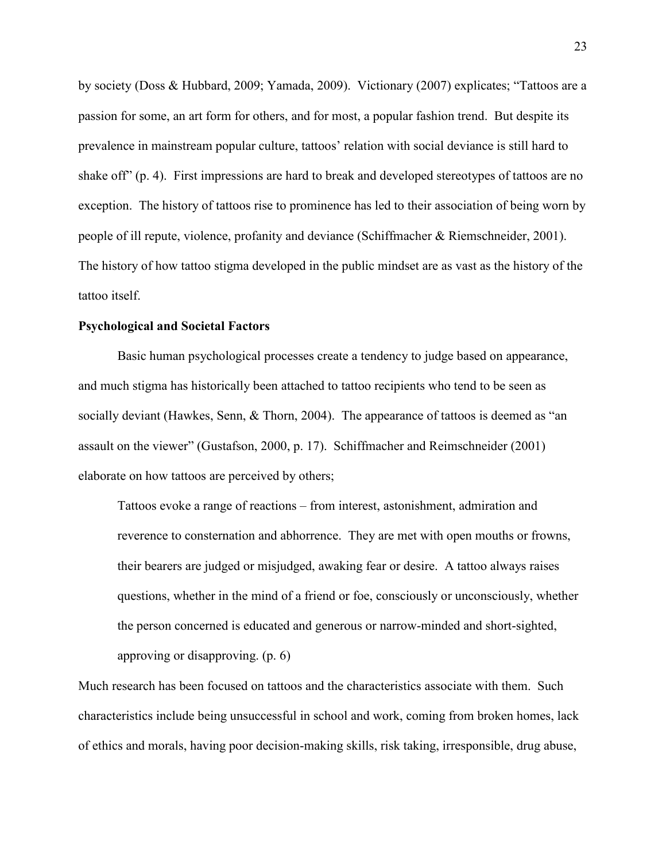by society (Doss & Hubbard, 2009; Yamada, 2009). Victionary (2007) explicates; "Tattoos are a passion for some, an art form for others, and for most, a popular fashion trend. But despite its prevalence in mainstream popular culture, tattoos' relation with social deviance is still hard to shake off" (p. 4). First impressions are hard to break and developed stereotypes of tattoos are no exception. The history of tattoos rise to prominence has led to their association of being worn by people of ill repute, violence, profanity and deviance (Schiffmacher & Riemschneider, 2001). The history of how tattoo stigma developed in the public mindset are as vast as the history of the tattoo itself.

### **Psychological and Societal Factors**

Basic human psychological processes create a tendency to judge based on appearance, and much stigma has historically been attached to tattoo recipients who tend to be seen as socially deviant (Hawkes, Senn, & Thorn, 2004). The appearance of tattoos is deemed as "an assault on the viewer" (Gustafson, 2000, p. 17). Schiffmacher and Reimschneider (2001) elaborate on how tattoos are perceived by others;

Tattoos evoke a range of reactions – from interest, astonishment, admiration and reverence to consternation and abhorrence. They are met with open mouths or frowns, their bearers are judged or misjudged, awaking fear or desire. A tattoo always raises questions, whether in the mind of a friend or foe, consciously or unconsciously, whether the person concerned is educated and generous or narrow-minded and short-sighted, approving or disapproving. (p. 6)

Much research has been focused on tattoos and the characteristics associate with them. Such characteristics include being unsuccessful in school and work, coming from broken homes, lack of ethics and morals, having poor decision-making skills, risk taking, irresponsible, drug abuse,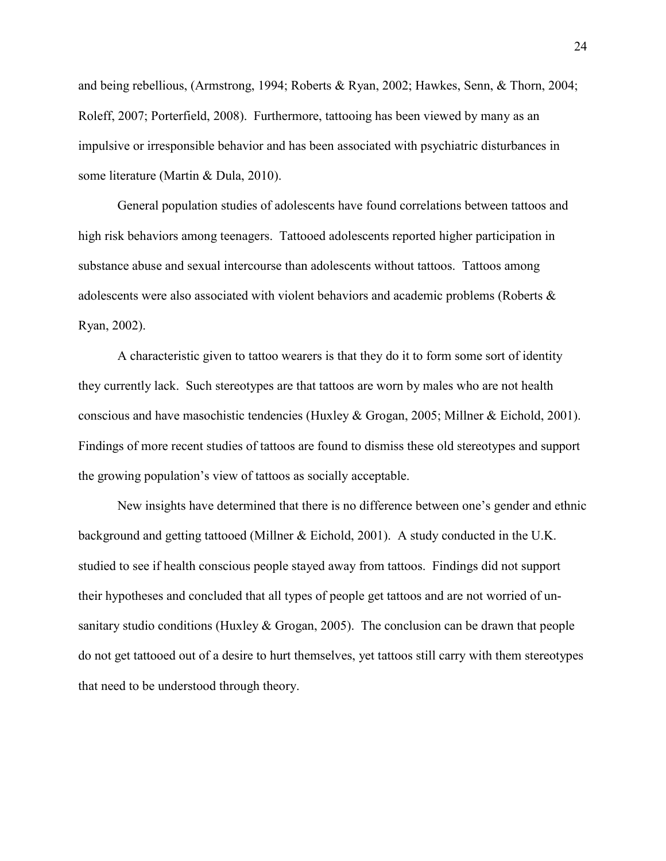and being rebellious, (Armstrong, 1994; Roberts & Ryan, 2002; Hawkes, Senn, & Thorn, 2004; Roleff, 2007; Porterfield, 2008). Furthermore, tattooing has been viewed by many as an impulsive or irresponsible behavior and has been associated with psychiatric disturbances in some literature (Martin & Dula, 2010).

 General population studies of adolescents have found correlations between tattoos and high risk behaviors among teenagers. Tattooed adolescents reported higher participation in substance abuse and sexual intercourse than adolescents without tattoos. Tattoos among adolescents were also associated with violent behaviors and academic problems (Roberts & Ryan, 2002).

A characteristic given to tattoo wearers is that they do it to form some sort of identity they currently lack. Such stereotypes are that tattoos are worn by males who are not health conscious and have masochistic tendencies (Huxley & Grogan, 2005; Millner & Eichold, 2001). Findings of more recent studies of tattoos are found to dismiss these old stereotypes and support the growing population's view of tattoos as socially acceptable.

New insights have determined that there is no difference between one's gender and ethnic background and getting tattooed (Millner & Eichold, 2001). A study conducted in the U.K. studied to see if health conscious people stayed away from tattoos. Findings did not support their hypotheses and concluded that all types of people get tattoos and are not worried of unsanitary studio conditions (Huxley & Grogan, 2005). The conclusion can be drawn that people do not get tattooed out of a desire to hurt themselves, yet tattoos still carry with them stereotypes that need to be understood through theory.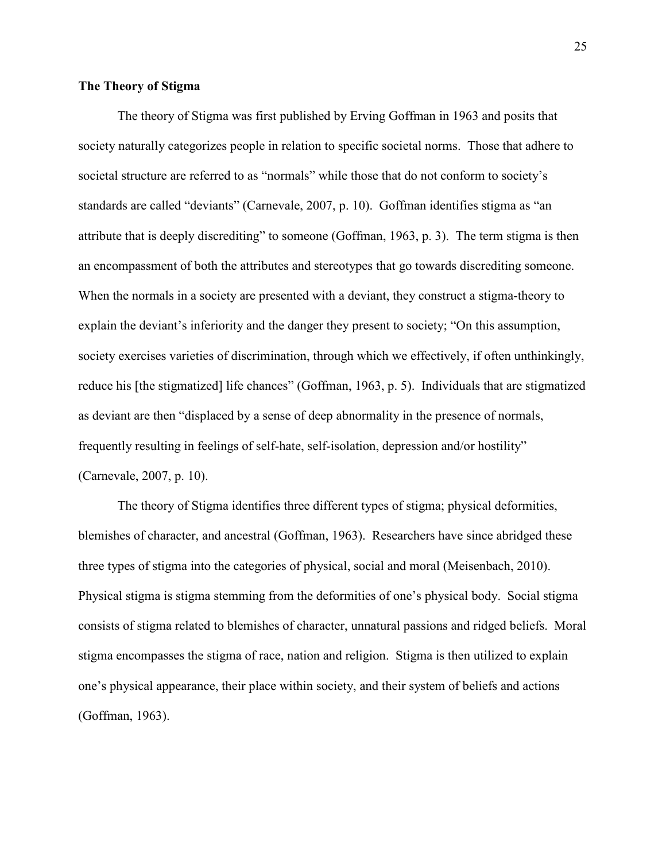### **The Theory of Stigma**

The theory of Stigma was first published by Erving Goffman in 1963 and posits that society naturally categorizes people in relation to specific societal norms. Those that adhere to societal structure are referred to as "normals" while those that do not conform to society's standards are called "deviants" (Carnevale, 2007, p. 10). Goffman identifies stigma as "an attribute that is deeply discrediting" to someone (Goffman, 1963, p. 3). The term stigma is then an encompassment of both the attributes and stereotypes that go towards discrediting someone. When the normals in a society are presented with a deviant, they construct a stigma-theory to explain the deviant's inferiority and the danger they present to society; "On this assumption, society exercises varieties of discrimination, through which we effectively, if often unthinkingly, reduce his [the stigmatized] life chances" (Goffman, 1963, p. 5). Individuals that are stigmatized as deviant are then "displaced by a sense of deep abnormality in the presence of normals, frequently resulting in feelings of self-hate, self-isolation, depression and/or hostility" (Carnevale, 2007, p. 10).

The theory of Stigma identifies three different types of stigma; physical deformities, blemishes of character, and ancestral (Goffman, 1963). Researchers have since abridged these three types of stigma into the categories of physical, social and moral (Meisenbach, 2010). Physical stigma is stigma stemming from the deformities of one's physical body. Social stigma consists of stigma related to blemishes of character, unnatural passions and ridged beliefs. Moral stigma encompasses the stigma of race, nation and religion. Stigma is then utilized to explain one's physical appearance, their place within society, and their system of beliefs and actions (Goffman, 1963).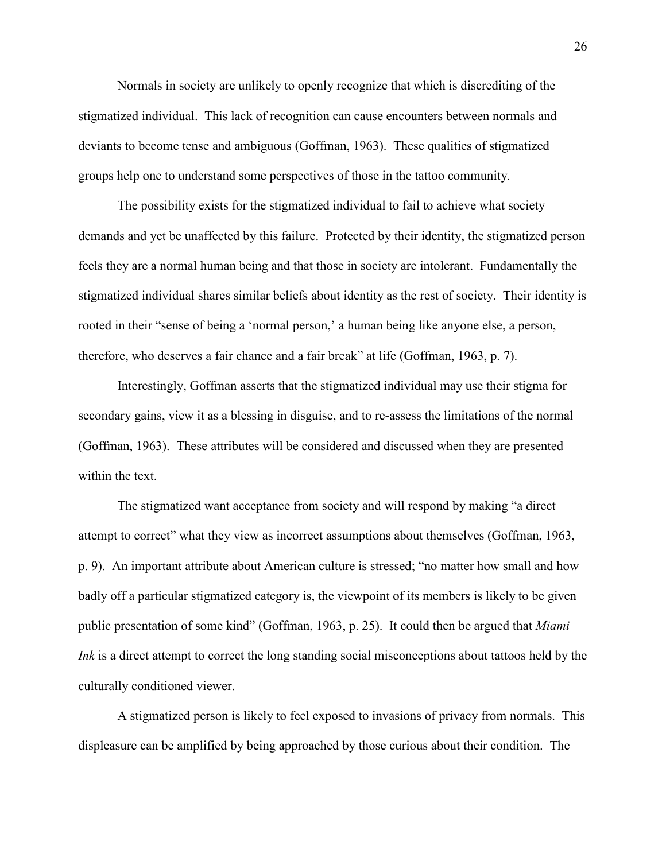Normals in society are unlikely to openly recognize that which is discrediting of the stigmatized individual. This lack of recognition can cause encounters between normals and deviants to become tense and ambiguous (Goffman, 1963). These qualities of stigmatized groups help one to understand some perspectives of those in the tattoo community.

The possibility exists for the stigmatized individual to fail to achieve what society demands and yet be unaffected by this failure. Protected by their identity, the stigmatized person feels they are a normal human being and that those in society are intolerant. Fundamentally the stigmatized individual shares similar beliefs about identity as the rest of society. Their identity is rooted in their "sense of being a 'normal person,' a human being like anyone else, a person, therefore, who deserves a fair chance and a fair break" at life (Goffman, 1963, p. 7).

Interestingly, Goffman asserts that the stigmatized individual may use their stigma for secondary gains, view it as a blessing in disguise, and to re-assess the limitations of the normal (Goffman, 1963). These attributes will be considered and discussed when they are presented within the text.

The stigmatized want acceptance from society and will respond by making "a direct attempt to correct" what they view as incorrect assumptions about themselves (Goffman, 1963, p. 9). An important attribute about American culture is stressed; "no matter how small and how badly off a particular stigmatized category is, the viewpoint of its members is likely to be given public presentation of some kind" (Goffman, 1963, p. 25). It could then be argued that *Miami Ink* is a direct attempt to correct the long standing social misconceptions about tattoos held by the culturally conditioned viewer.

A stigmatized person is likely to feel exposed to invasions of privacy from normals. This displeasure can be amplified by being approached by those curious about their condition. The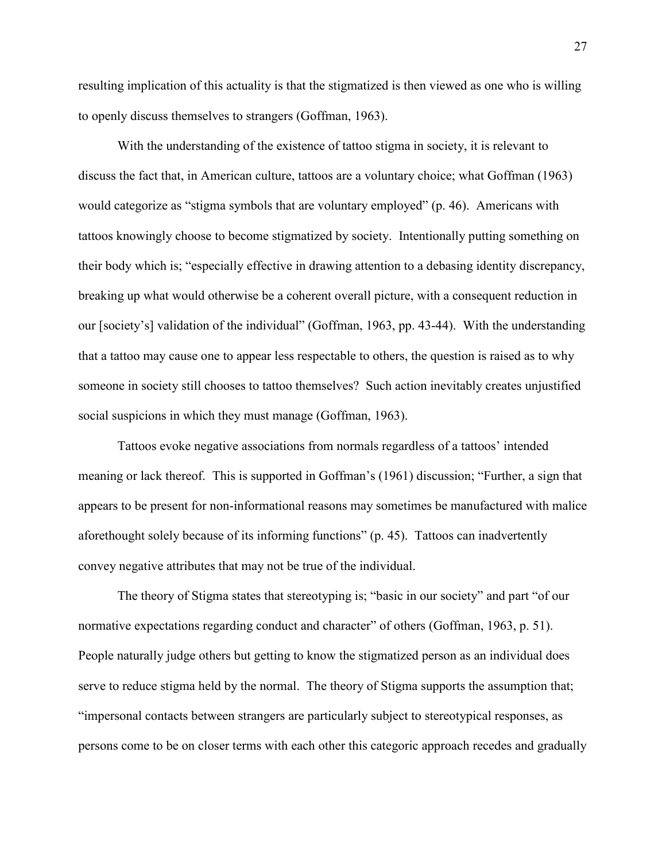resulting implication of this actuality is that the stigmatized is then viewed as one who is willing to openly discuss themselves to strangers (Goffman, 1963).

With the understanding of the existence of tattoo stigma in society, it is relevant to discuss the fact that, in American culture, tattoos are a voluntary choice; what Goffman (1963) would categorize as "stigma symbols that are voluntary employed" (p. 46). Americans with tattoos knowingly choose to become stigmatized by society. Intentionally putting something on their body which is; "especially effective in drawing attention to a debasing identity discrepancy, breaking up what would otherwise be a coherent overall picture, with a consequent reduction in our [society's] validation of the individual" (Goffman, 1963, pp. 43-44). With the understanding that a tattoo may cause one to appear less respectable to others, the question is raised as to why someone in society still chooses to tattoo themselves? Such action inevitably creates unjustified social suspicions in which they must manage (Goffman, 1963).

Tattoos evoke negative associations from normals regardless of a tattoos' intended meaning or lack thereof. This is supported in Goffman's (1961) discussion; "Further, a sign that appears to be present for non-informational reasons may sometimes be manufactured with malice aforethought solely because of its informing functions" (p. 45). Tattoos can inadvertently convey negative attributes that may not be true of the individual.

The theory of Stigma states that stereotyping is; "basic in our society" and part "of our normative expectations regarding conduct and character" of others (Goffman, 1963, p. 51). People naturally judge others but getting to know the stigmatized person as an individual does serve to reduce stigma held by the normal. The theory of Stigma supports the assumption that; "impersonal contacts between strangers are particularly subject to stereotypical responses, as persons come to be on closer terms with each other this categoric approach recedes and gradually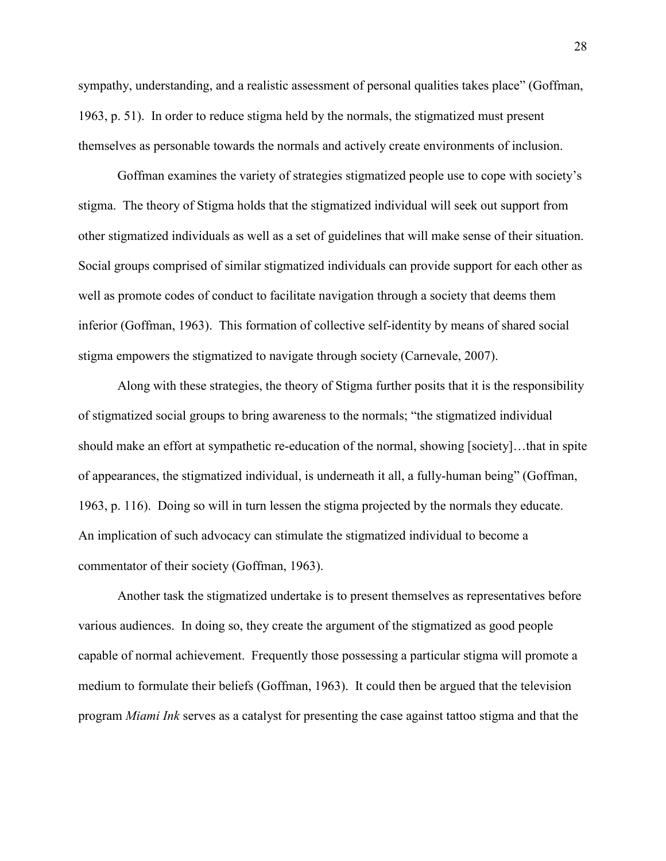sympathy, understanding, and a realistic assessment of personal qualities takes place" (Goffman, 1963, p. 51). In order to reduce stigma held by the normals, the stigmatized must present themselves as personable towards the normals and actively create environments of inclusion.

Goffman examines the variety of strategies stigmatized people use to cope with society's stigma. The theory of Stigma holds that the stigmatized individual will seek out support from other stigmatized individuals as well as a set of guidelines that will make sense of their situation. Social groups comprised of similar stigmatized individuals can provide support for each other as well as promote codes of conduct to facilitate navigation through a society that deems them inferior (Goffman, 1963). This formation of collective self-identity by means of shared social stigma empowers the stigmatized to navigate through society (Carnevale, 2007).

Along with these strategies, the theory of Stigma further posits that it is the responsibility of stigmatized social groups to bring awareness to the normals; "the stigmatized individual should make an effort at sympathetic re-education of the normal, showing [society]…that in spite of appearances, the stigmatized individual, is underneath it all, a fully-human being" (Goffman, 1963, p. 116). Doing so will in turn lessen the stigma projected by the normals they educate. An implication of such advocacy can stimulate the stigmatized individual to become a commentator of their society (Goffman, 1963).

Another task the stigmatized undertake is to present themselves as representatives before various audiences. In doing so, they create the argument of the stigmatized as good people capable of normal achievement. Frequently those possessing a particular stigma will promote a medium to formulate their beliefs (Goffman, 1963). It could then be argued that the television program *Miami Ink* serves as a catalyst for presenting the case against tattoo stigma and that the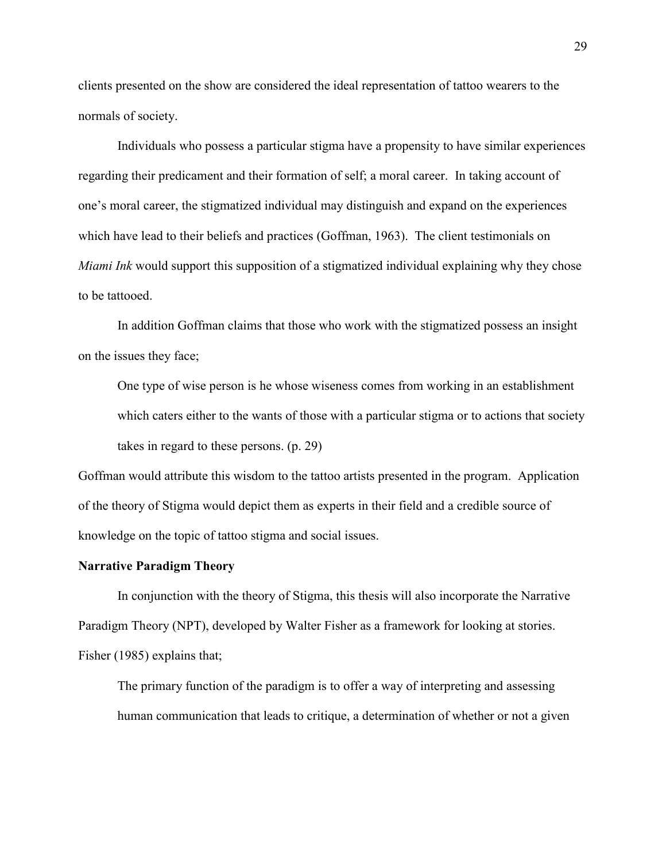clients presented on the show are considered the ideal representation of tattoo wearers to the normals of society.

 Individuals who possess a particular stigma have a propensity to have similar experiences regarding their predicament and their formation of self; a moral career. In taking account of one's moral career, the stigmatized individual may distinguish and expand on the experiences which have lead to their beliefs and practices (Goffman, 1963). The client testimonials on *Miami Ink* would support this supposition of a stigmatized individual explaining why they chose to be tattooed.

In addition Goffman claims that those who work with the stigmatized possess an insight on the issues they face;

One type of wise person is he whose wiseness comes from working in an establishment which caters either to the wants of those with a particular stigma or to actions that society takes in regard to these persons. (p. 29)

Goffman would attribute this wisdom to the tattoo artists presented in the program. Application of the theory of Stigma would depict them as experts in their field and a credible source of knowledge on the topic of tattoo stigma and social issues.

#### **Narrative Paradigm Theory**

In conjunction with the theory of Stigma, this thesis will also incorporate the Narrative Paradigm Theory (NPT), developed by Walter Fisher as a framework for looking at stories. Fisher (1985) explains that;

The primary function of the paradigm is to offer a way of interpreting and assessing human communication that leads to critique, a determination of whether or not a given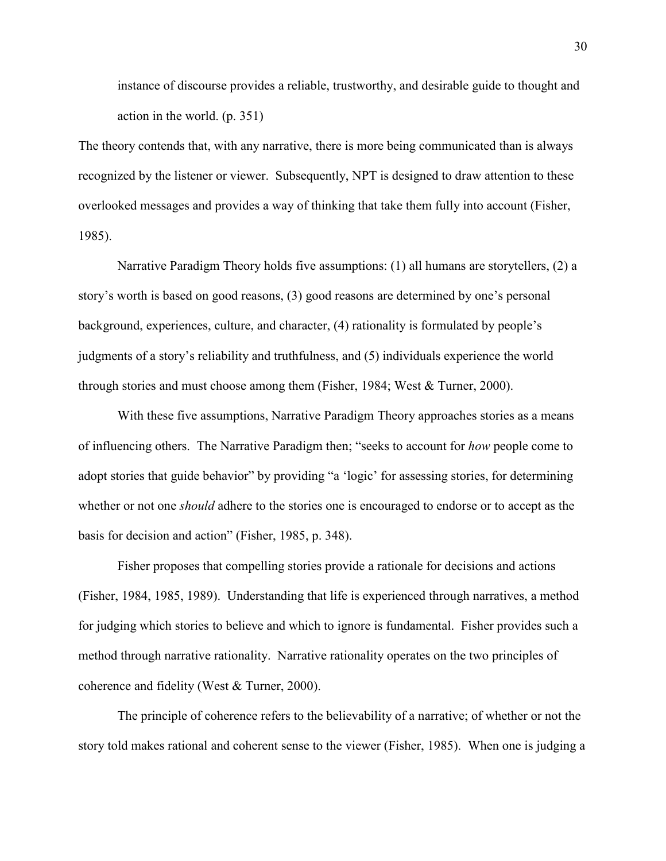instance of discourse provides a reliable, trustworthy, and desirable guide to thought and action in the world. (p. 351)

The theory contends that, with any narrative, there is more being communicated than is always recognized by the listener or viewer. Subsequently, NPT is designed to draw attention to these overlooked messages and provides a way of thinking that take them fully into account (Fisher, 1985).

Narrative Paradigm Theory holds five assumptions: (1) all humans are storytellers, (2) a story's worth is based on good reasons, (3) good reasons are determined by one's personal background, experiences, culture, and character, (4) rationality is formulated by people's judgments of a story's reliability and truthfulness, and (5) individuals experience the world through stories and must choose among them (Fisher, 1984; West & Turner, 2000).

With these five assumptions, Narrative Paradigm Theory approaches stories as a means of influencing others. The Narrative Paradigm then; "seeks to account for *how* people come to adopt stories that guide behavior" by providing "a 'logic' for assessing stories, for determining whether or not one *should* adhere to the stories one is encouraged to endorse or to accept as the basis for decision and action" (Fisher, 1985, p. 348).

Fisher proposes that compelling stories provide a rationale for decisions and actions (Fisher, 1984, 1985, 1989). Understanding that life is experienced through narratives, a method for judging which stories to believe and which to ignore is fundamental. Fisher provides such a method through narrative rationality. Narrative rationality operates on the two principles of coherence and fidelity (West & Turner, 2000).

The principle of coherence refers to the believability of a narrative; of whether or not the story told makes rational and coherent sense to the viewer (Fisher, 1985). When one is judging a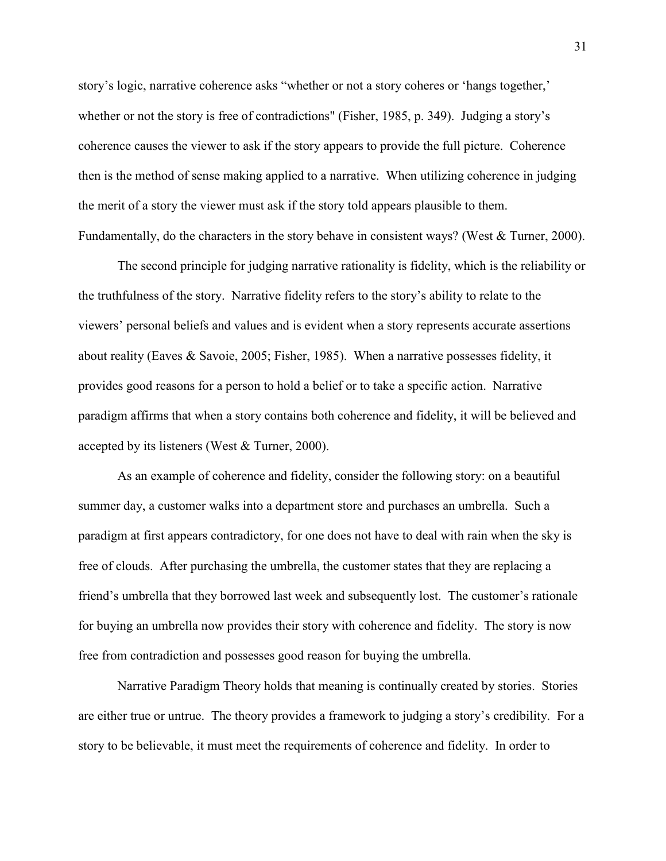story's logic, narrative coherence asks "whether or not a story coheres or 'hangs together,' whether or not the story is free of contradictions" (Fisher, 1985, p. 349). Judging a story's coherence causes the viewer to ask if the story appears to provide the full picture. Coherence then is the method of sense making applied to a narrative. When utilizing coherence in judging the merit of a story the viewer must ask if the story told appears plausible to them. Fundamentally, do the characters in the story behave in consistent ways? (West & Turner, 2000).

The second principle for judging narrative rationality is fidelity, which is the reliability or the truthfulness of the story. Narrative fidelity refers to the story's ability to relate to the viewers' personal beliefs and values and is evident when a story represents accurate assertions about reality (Eaves & Savoie, 2005; Fisher, 1985). When a narrative possesses fidelity, it provides good reasons for a person to hold a belief or to take a specific action. Narrative paradigm affirms that when a story contains both coherence and fidelity, it will be believed and accepted by its listeners (West & Turner, 2000).

As an example of coherence and fidelity, consider the following story: on a beautiful summer day, a customer walks into a department store and purchases an umbrella. Such a paradigm at first appears contradictory, for one does not have to deal with rain when the sky is free of clouds. After purchasing the umbrella, the customer states that they are replacing a friend's umbrella that they borrowed last week and subsequently lost. The customer's rationale for buying an umbrella now provides their story with coherence and fidelity. The story is now free from contradiction and possesses good reason for buying the umbrella.

Narrative Paradigm Theory holds that meaning is continually created by stories. Stories are either true or untrue. The theory provides a framework to judging a story's credibility. For a story to be believable, it must meet the requirements of coherence and fidelity. In order to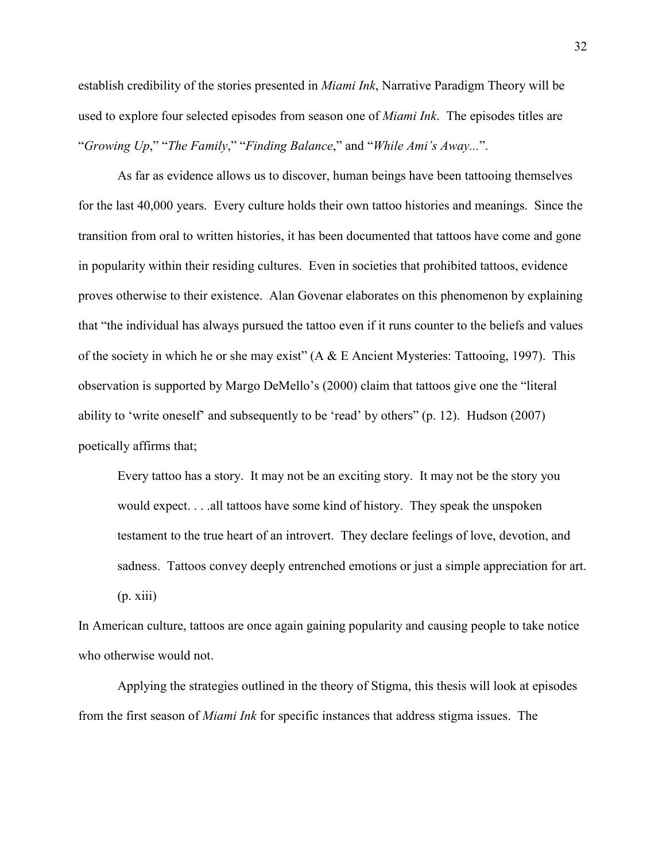establish credibility of the stories presented in *Miami Ink*, Narrative Paradigm Theory will be used to explore four selected episodes from season one of *Miami Ink*. The episodes titles are "*Growing Up*," "*The Family*," "*Finding Balance*," and "*While Ami's Away...*".

As far as evidence allows us to discover, human beings have been tattooing themselves for the last 40,000 years. Every culture holds their own tattoo histories and meanings. Since the transition from oral to written histories, it has been documented that tattoos have come and gone in popularity within their residing cultures. Even in societies that prohibited tattoos, evidence proves otherwise to their existence. Alan Govenar elaborates on this phenomenon by explaining that "the individual has always pursued the tattoo even if it runs counter to the beliefs and values of the society in which he or she may exist" (A & E Ancient Mysteries: Tattooing, 1997). This observation is supported by Margo DeMello's (2000) claim that tattoos give one the "literal ability to 'write oneself' and subsequently to be 'read' by others" (p. 12). Hudson (2007) poetically affirms that;

Every tattoo has a story. It may not be an exciting story. It may not be the story you would expect. . . .all tattoos have some kind of history. They speak the unspoken testament to the true heart of an introvert. They declare feelings of love, devotion, and sadness. Tattoos convey deeply entrenched emotions or just a simple appreciation for art.  $(p. xiii)$ 

In American culture, tattoos are once again gaining popularity and causing people to take notice who otherwise would not.

Applying the strategies outlined in the theory of Stigma, this thesis will look at episodes from the first season of *Miami Ink* for specific instances that address stigma issues. The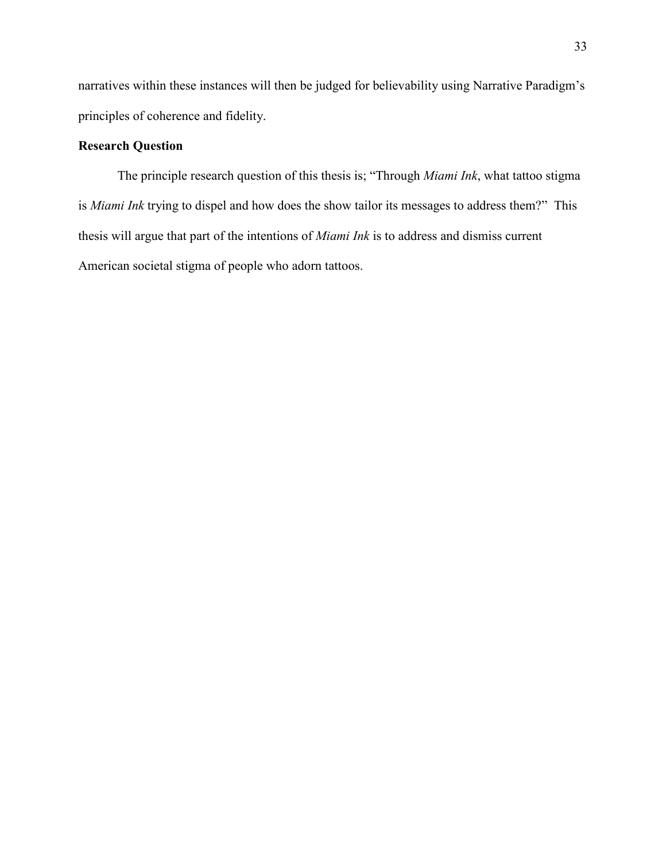narratives within these instances will then be judged for believability using Narrative Paradigm's principles of coherence and fidelity.

# **Research Question**

The principle research question of this thesis is; "Through *Miami Ink*, what tattoo stigma is *Miami Ink* trying to dispel and how does the show tailor its messages to address them?" This thesis will argue that part of the intentions of *Miami Ink* is to address and dismiss current American societal stigma of people who adorn tattoos.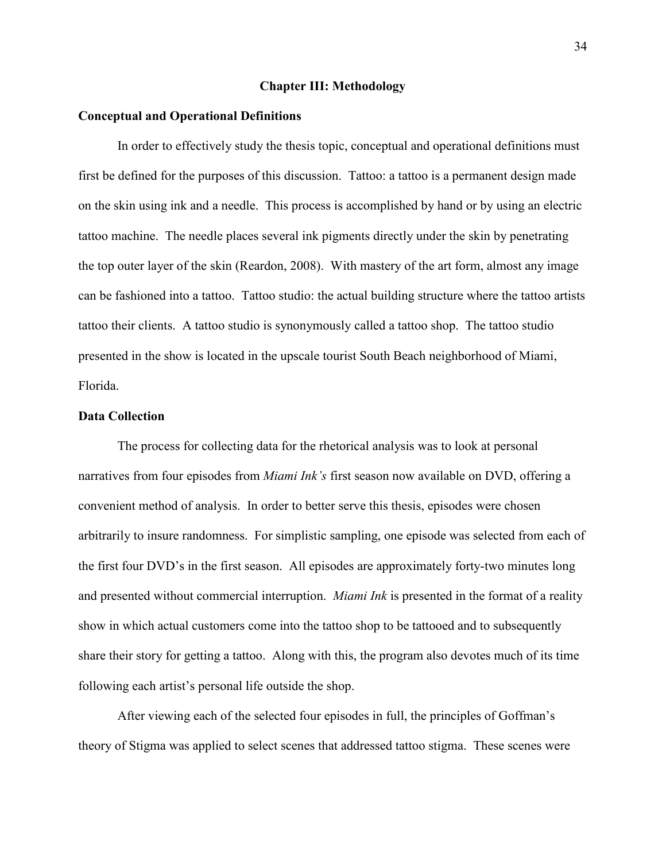#### **Chapter III: Methodology**

## **Conceptual and Operational Definitions**

In order to effectively study the thesis topic, conceptual and operational definitions must first be defined for the purposes of this discussion. Tattoo: a tattoo is a permanent design made on the skin using ink and a needle. This process is accomplished by hand or by using an electric tattoo machine. The needle places several ink pigments directly under the skin by penetrating the top outer layer of the skin (Reardon, 2008). With mastery of the art form, almost any image can be fashioned into a tattoo. Tattoo studio: the actual building structure where the tattoo artists tattoo their clients. A tattoo studio is synonymously called a tattoo shop. The tattoo studio presented in the show is located in the upscale tourist South Beach neighborhood of Miami, Florida.

# **Data Collection**

The process for collecting data for the rhetorical analysis was to look at personal narratives from four episodes from *Miami Ink's* first season now available on DVD, offering a convenient method of analysis. In order to better serve this thesis, episodes were chosen arbitrarily to insure randomness. For simplistic sampling, one episode was selected from each of the first four DVD's in the first season. All episodes are approximately forty-two minutes long and presented without commercial interruption. *Miami Ink* is presented in the format of a reality show in which actual customers come into the tattoo shop to be tattooed and to subsequently share their story for getting a tattoo. Along with this, the program also devotes much of its time following each artist's personal life outside the shop.

After viewing each of the selected four episodes in full, the principles of Goffman's theory of Stigma was applied to select scenes that addressed tattoo stigma. These scenes were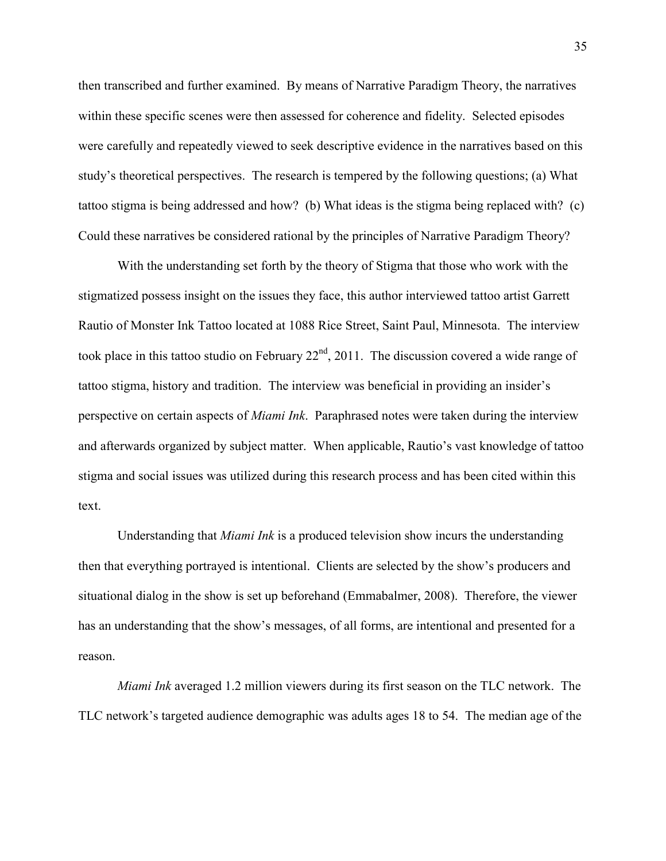then transcribed and further examined. By means of Narrative Paradigm Theory, the narratives within these specific scenes were then assessed for coherence and fidelity. Selected episodes were carefully and repeatedly viewed to seek descriptive evidence in the narratives based on this study's theoretical perspectives. The research is tempered by the following questions; (a) What tattoo stigma is being addressed and how? (b) What ideas is the stigma being replaced with? (c) Could these narratives be considered rational by the principles of Narrative Paradigm Theory?

With the understanding set forth by the theory of Stigma that those who work with the stigmatized possess insight on the issues they face, this author interviewed tattoo artist Garrett Rautio of Monster Ink Tattoo located at 1088 Rice Street, Saint Paul, Minnesota. The interview took place in this tattoo studio on February  $22<sup>nd</sup>$ , 2011. The discussion covered a wide range of tattoo stigma, history and tradition. The interview was beneficial in providing an insider's perspective on certain aspects of *Miami Ink*. Paraphrased notes were taken during the interview and afterwards organized by subject matter. When applicable, Rautio's vast knowledge of tattoo stigma and social issues was utilized during this research process and has been cited within this text.

Understanding that *Miami Ink* is a produced television show incurs the understanding then that everything portrayed is intentional. Clients are selected by the show's producers and situational dialog in the show is set up beforehand (Emmabalmer, 2008). Therefore, the viewer has an understanding that the show's messages, of all forms, are intentional and presented for a reason.

*Miami Ink* averaged 1.2 million viewers during its first season on the TLC network. The TLC network's targeted audience demographic was adults ages 18 to 54. The median age of the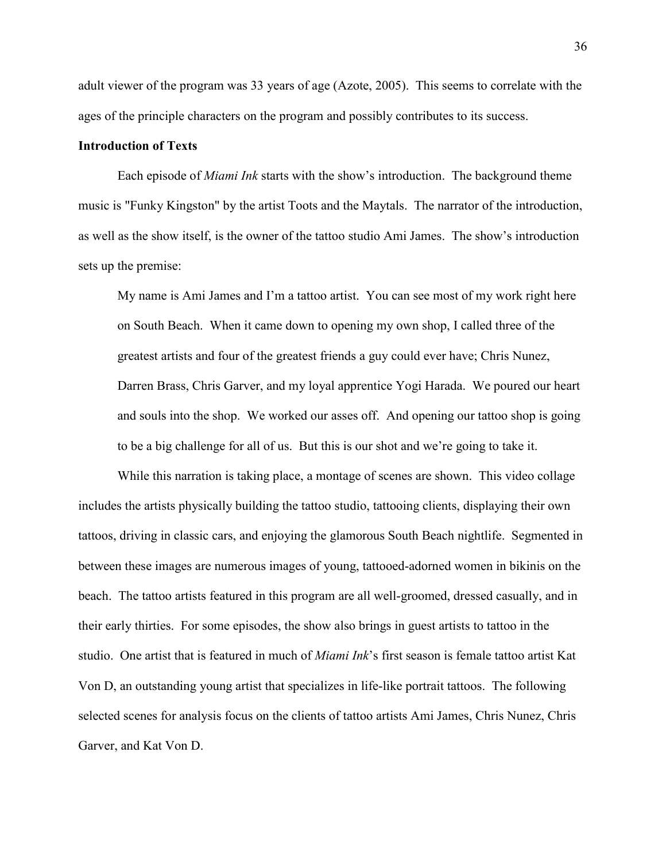adult viewer of the program was 33 years of age (Azote, 2005). This seems to correlate with the ages of the principle characters on the program and possibly contributes to its success.

# **Introduction of Texts**

Each episode of *Miami Ink* starts with the show's introduction. The background theme music is "Funky Kingston" by the artist Toots and the Maytals. The narrator of the introduction, as well as the show itself, is the owner of the tattoo studio Ami James. The show's introduction sets up the premise:

My name is Ami James and I'm a tattoo artist. You can see most of my work right here on South Beach. When it came down to opening my own shop, I called three of the greatest artists and four of the greatest friends a guy could ever have; Chris Nunez, Darren Brass, Chris Garver, and my loyal apprentice Yogi Harada. We poured our heart and souls into the shop. We worked our asses off. And opening our tattoo shop is going to be a big challenge for all of us. But this is our shot and we're going to take it.

While this narration is taking place, a montage of scenes are shown. This video collage includes the artists physically building the tattoo studio, tattooing clients, displaying their own tattoos, driving in classic cars, and enjoying the glamorous South Beach nightlife. Segmented in between these images are numerous images of young, tattooed-adorned women in bikinis on the beach. The tattoo artists featured in this program are all well-groomed, dressed casually, and in their early thirties. For some episodes, the show also brings in guest artists to tattoo in the studio. One artist that is featured in much of *Miami Ink*'s first season is female tattoo artist Kat Von D, an outstanding young artist that specializes in life-like portrait tattoos. The following selected scenes for analysis focus on the clients of tattoo artists Ami James, Chris Nunez, Chris Garver, and Kat Von D.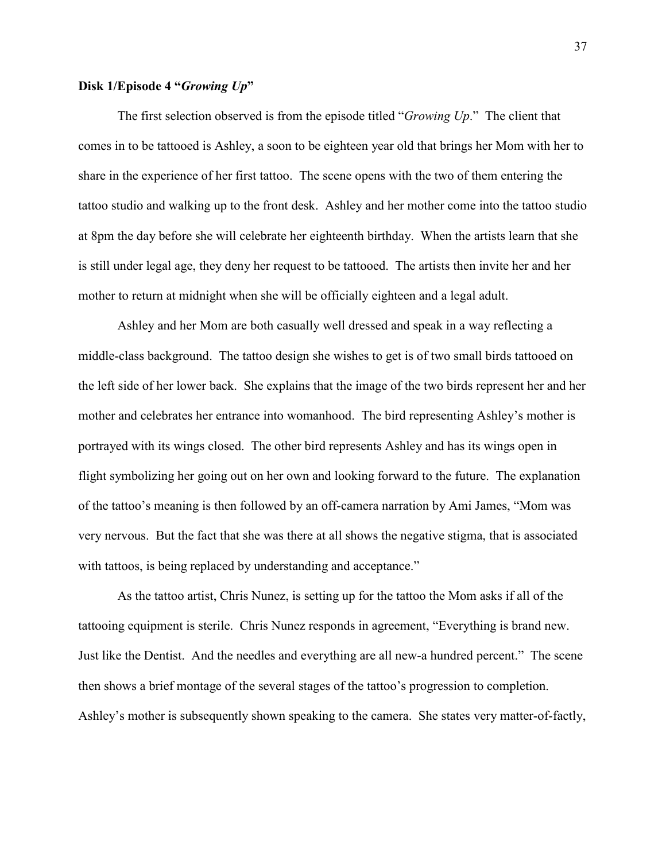# **Disk 1/Episode 4 "***Growing Up***"**

The first selection observed is from the episode titled "*Growing Up*." The client that comes in to be tattooed is Ashley, a soon to be eighteen year old that brings her Mom with her to share in the experience of her first tattoo. The scene opens with the two of them entering the tattoo studio and walking up to the front desk. Ashley and her mother come into the tattoo studio at 8pm the day before she will celebrate her eighteenth birthday. When the artists learn that she is still under legal age, they deny her request to be tattooed. The artists then invite her and her mother to return at midnight when she will be officially eighteen and a legal adult.

Ashley and her Mom are both casually well dressed and speak in a way reflecting a middle-class background. The tattoo design she wishes to get is of two small birds tattooed on the left side of her lower back. She explains that the image of the two birds represent her and her mother and celebrates her entrance into womanhood. The bird representing Ashley's mother is portrayed with its wings closed. The other bird represents Ashley and has its wings open in flight symbolizing her going out on her own and looking forward to the future. The explanation of the tattoo's meaning is then followed by an off-camera narration by Ami James, "Mom was very nervous. But the fact that she was there at all shows the negative stigma, that is associated with tattoos, is being replaced by understanding and acceptance."

As the tattoo artist, Chris Nunez, is setting up for the tattoo the Mom asks if all of the tattooing equipment is sterile. Chris Nunez responds in agreement, "Everything is brand new. Just like the Dentist. And the needles and everything are all new-a hundred percent." The scene then shows a brief montage of the several stages of the tattoo's progression to completion. Ashley's mother is subsequently shown speaking to the camera. She states very matter-of-factly,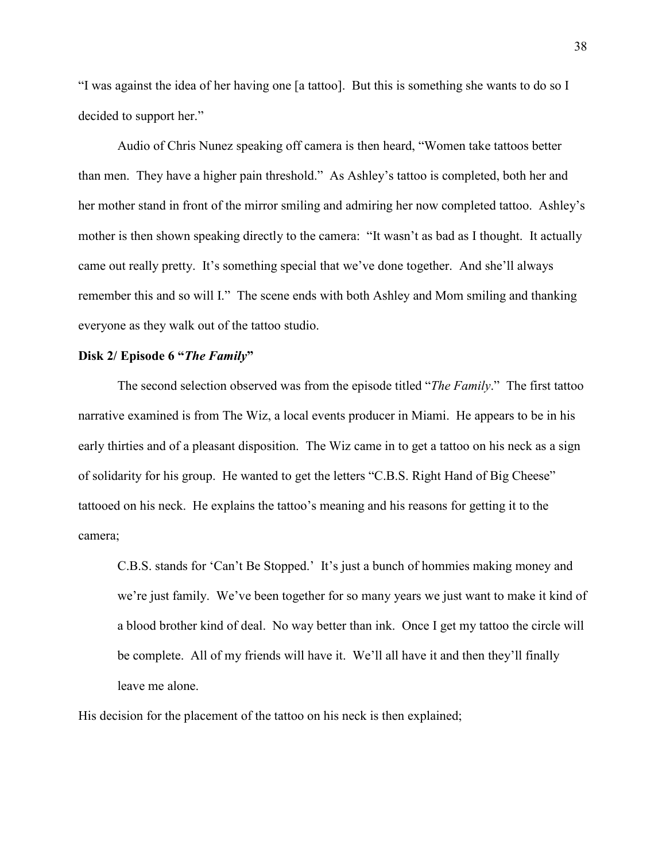"I was against the idea of her having one [a tattoo]. But this is something she wants to do so I decided to support her."

Audio of Chris Nunez speaking off camera is then heard, "Women take tattoos better than men. They have a higher pain threshold." As Ashley's tattoo is completed, both her and her mother stand in front of the mirror smiling and admiring her now completed tattoo. Ashley's mother is then shown speaking directly to the camera: "It wasn't as bad as I thought. It actually came out really pretty. It's something special that we've done together. And she'll always remember this and so will I." The scene ends with both Ashley and Mom smiling and thanking everyone as they walk out of the tattoo studio.

# **Disk 2/ Episode 6 "***The Family***"**

The second selection observed was from the episode titled "*The Family*." The first tattoo narrative examined is from The Wiz, a local events producer in Miami. He appears to be in his early thirties and of a pleasant disposition. The Wiz came in to get a tattoo on his neck as a sign of solidarity for his group. He wanted to get the letters "C.B.S. Right Hand of Big Cheese" tattooed on his neck. He explains the tattoo's meaning and his reasons for getting it to the camera;

C.B.S. stands for 'Can't Be Stopped.' It's just a bunch of hommies making money and we're just family. We've been together for so many years we just want to make it kind of a blood brother kind of deal. No way better than ink. Once I get my tattoo the circle will be complete. All of my friends will have it. We'll all have it and then they'll finally leave me alone.

His decision for the placement of the tattoo on his neck is then explained;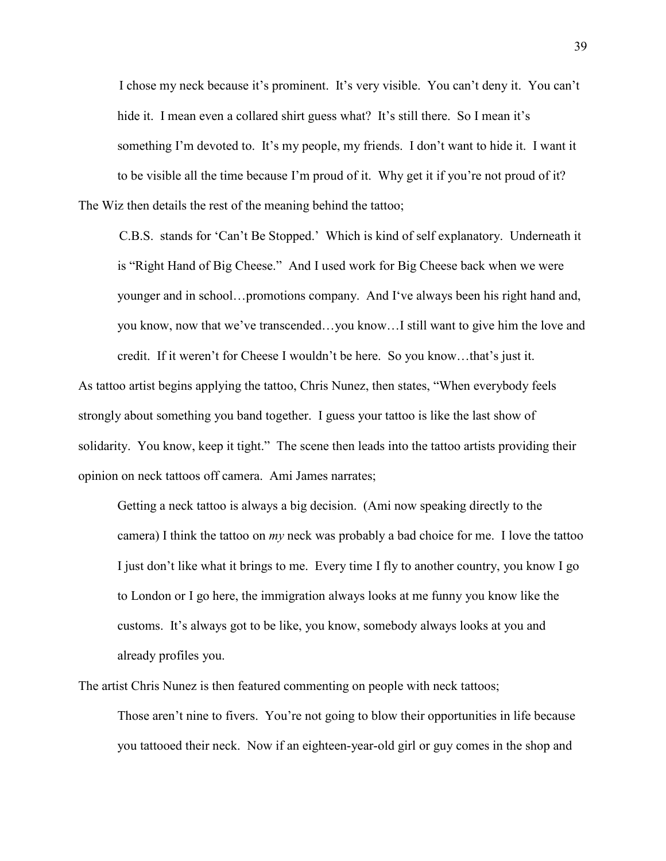I chose my neck because it's prominent. It's very visible. You can't deny it. You can't hide it. I mean even a collared shirt guess what? It's still there. So I mean it's something I'm devoted to. It's my people, my friends. I don't want to hide it. I want it to be visible all the time because I'm proud of it. Why get it if you're not proud of it? The Wiz then details the rest of the meaning behind the tattoo;

C.B.S. stands for 'Can't Be Stopped.' Which is kind of self explanatory. Underneath it is "Right Hand of Big Cheese." And I used work for Big Cheese back when we were younger and in school…promotions company. And I've always been his right hand and, you know, now that we've transcended…you know…I still want to give him the love and credit. If it weren't for Cheese I wouldn't be here. So you know…that's just it.

As tattoo artist begins applying the tattoo, Chris Nunez, then states, "When everybody feels strongly about something you band together. I guess your tattoo is like the last show of solidarity. You know, keep it tight." The scene then leads into the tattoo artists providing their opinion on neck tattoos off camera. Ami James narrates;

Getting a neck tattoo is always a big decision. (Ami now speaking directly to the camera) I think the tattoo on *my* neck was probably a bad choice for me. I love the tattoo I just don't like what it brings to me. Every time I fly to another country, you know I go to London or I go here, the immigration always looks at me funny you know like the customs. It's always got to be like, you know, somebody always looks at you and already profiles you.

The artist Chris Nunez is then featured commenting on people with neck tattoos;

Those aren't nine to fivers. You're not going to blow their opportunities in life because you tattooed their neck. Now if an eighteen-year-old girl or guy comes in the shop and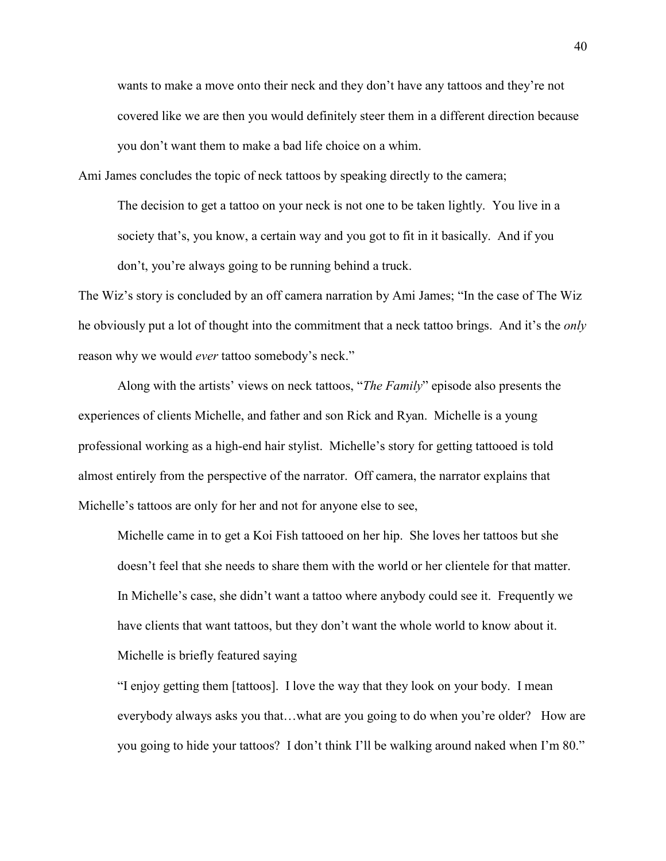wants to make a move onto their neck and they don't have any tattoos and they're not covered like we are then you would definitely steer them in a different direction because you don't want them to make a bad life choice on a whim.

Ami James concludes the topic of neck tattoos by speaking directly to the camera;

The decision to get a tattoo on your neck is not one to be taken lightly. You live in a society that's, you know, a certain way and you got to fit in it basically. And if you don't, you're always going to be running behind a truck.

The Wiz's story is concluded by an off camera narration by Ami James; "In the case of The Wiz he obviously put a lot of thought into the commitment that a neck tattoo brings. And it's the *only* reason why we would *ever* tattoo somebody's neck."

Along with the artists' views on neck tattoos, "*The Family*" episode also presents the experiences of clients Michelle, and father and son Rick and Ryan. Michelle is a young professional working as a high-end hair stylist. Michelle's story for getting tattooed is told almost entirely from the perspective of the narrator. Off camera, the narrator explains that Michelle's tattoos are only for her and not for anyone else to see,

Michelle came in to get a Koi Fish tattooed on her hip. She loves her tattoos but she doesn't feel that she needs to share them with the world or her clientele for that matter. In Michelle's case, she didn't want a tattoo where anybody could see it. Frequently we have clients that want tattoos, but they don't want the whole world to know about it. Michelle is briefly featured saying

"I enjoy getting them [tattoos]. I love the way that they look on your body. I mean everybody always asks you that…what are you going to do when you're older? How are you going to hide your tattoos? I don't think I'll be walking around naked when I'm 80."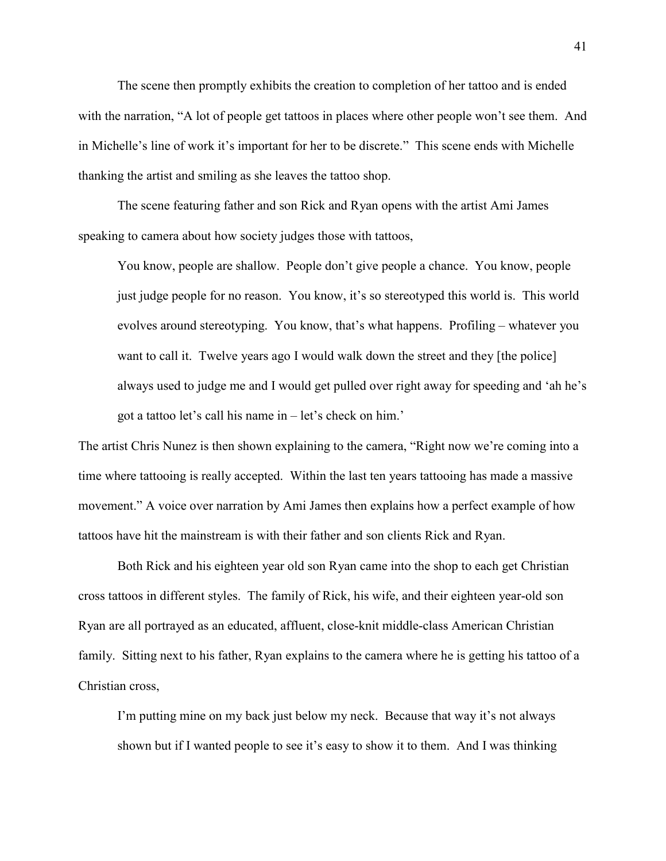The scene then promptly exhibits the creation to completion of her tattoo and is ended with the narration, "A lot of people get tattoos in places where other people won't see them. And in Michelle's line of work it's important for her to be discrete." This scene ends with Michelle thanking the artist and smiling as she leaves the tattoo shop.

The scene featuring father and son Rick and Ryan opens with the artist Ami James speaking to camera about how society judges those with tattoos,

You know, people are shallow. People don't give people a chance. You know, people just judge people for no reason. You know, it's so stereotyped this world is. This world evolves around stereotyping. You know, that's what happens. Profiling – whatever you want to call it. Twelve years ago I would walk down the street and they [the police] always used to judge me and I would get pulled over right away for speeding and 'ah he's got a tattoo let's call his name in – let's check on him.'

The artist Chris Nunez is then shown explaining to the camera, "Right now we're coming into a time where tattooing is really accepted. Within the last ten years tattooing has made a massive movement." A voice over narration by Ami James then explains how a perfect example of how tattoos have hit the mainstream is with their father and son clients Rick and Ryan.

Both Rick and his eighteen year old son Ryan came into the shop to each get Christian cross tattoos in different styles. The family of Rick, his wife, and their eighteen year-old son Ryan are all portrayed as an educated, affluent, close-knit middle-class American Christian family. Sitting next to his father, Ryan explains to the camera where he is getting his tattoo of a Christian cross,

I'm putting mine on my back just below my neck. Because that way it's not always shown but if I wanted people to see it's easy to show it to them. And I was thinking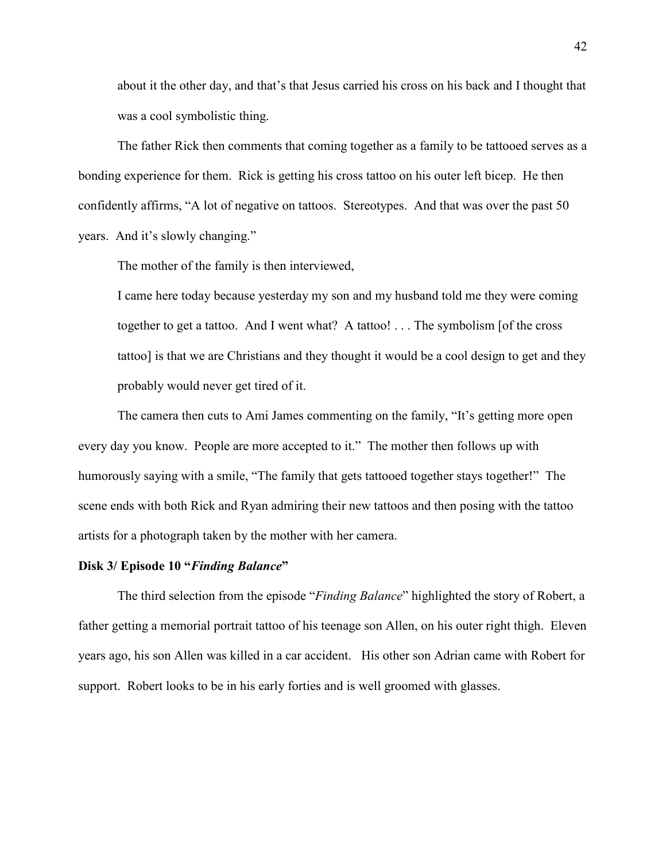about it the other day, and that's that Jesus carried his cross on his back and I thought that was a cool symbolistic thing.

The father Rick then comments that coming together as a family to be tattooed serves as a bonding experience for them. Rick is getting his cross tattoo on his outer left bicep. He then confidently affirms, "A lot of negative on tattoos. Stereotypes. And that was over the past 50 years. And it's slowly changing."

The mother of the family is then interviewed,

I came here today because yesterday my son and my husband told me they were coming together to get a tattoo. And I went what? A tattoo! . . . The symbolism [of the cross tattoo] is that we are Christians and they thought it would be a cool design to get and they probably would never get tired of it.

The camera then cuts to Ami James commenting on the family, "It's getting more open every day you know. People are more accepted to it." The mother then follows up with humorously saying with a smile, "The family that gets tattooed together stays together!" The scene ends with both Rick and Ryan admiring their new tattoos and then posing with the tattoo artists for a photograph taken by the mother with her camera.

## **Disk 3/ Episode 10 "***Finding Balance***"**

The third selection from the episode "*Finding Balance*" highlighted the story of Robert, a father getting a memorial portrait tattoo of his teenage son Allen, on his outer right thigh. Eleven years ago, his son Allen was killed in a car accident. His other son Adrian came with Robert for support. Robert looks to be in his early forties and is well groomed with glasses.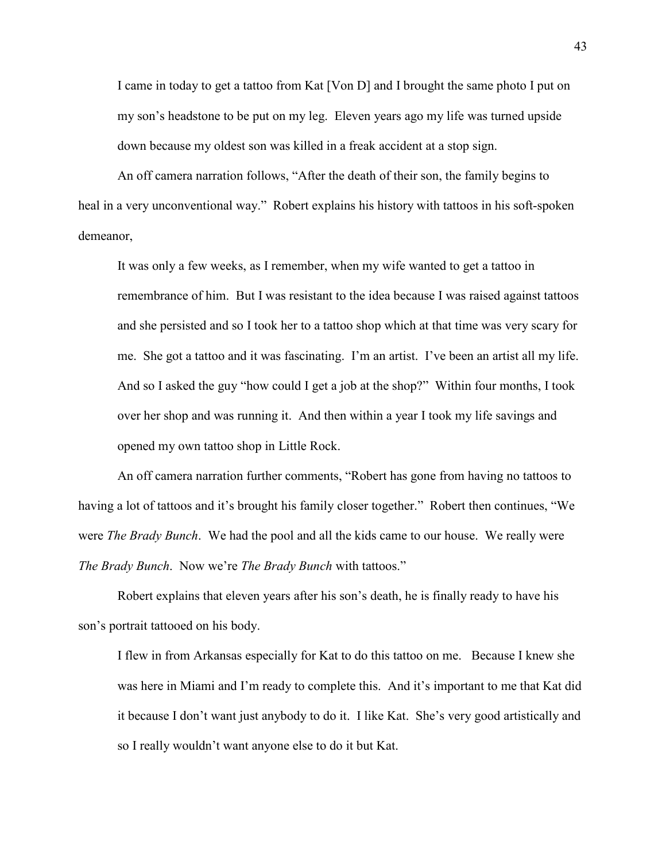I came in today to get a tattoo from Kat [Von D] and I brought the same photo I put on my son's headstone to be put on my leg. Eleven years ago my life was turned upside down because my oldest son was killed in a freak accident at a stop sign.

An off camera narration follows, "After the death of their son, the family begins to heal in a very unconventional way." Robert explains his history with tattoos in his soft-spoken demeanor,

It was only a few weeks, as I remember, when my wife wanted to get a tattoo in remembrance of him. But I was resistant to the idea because I was raised against tattoos and she persisted and so I took her to a tattoo shop which at that time was very scary for me. She got a tattoo and it was fascinating. I'm an artist. I've been an artist all my life. And so I asked the guy "how could I get a job at the shop?" Within four months, I took over her shop and was running it. And then within a year I took my life savings and opened my own tattoo shop in Little Rock.

An off camera narration further comments, "Robert has gone from having no tattoos to having a lot of tattoos and it's brought his family closer together." Robert then continues, "We were *The Brady Bunch*. We had the pool and all the kids came to our house. We really were *The Brady Bunch*. Now we're *The Brady Bunch* with tattoos."

Robert explains that eleven years after his son's death, he is finally ready to have his son's portrait tattooed on his body.

I flew in from Arkansas especially for Kat to do this tattoo on me. Because I knew she was here in Miami and I'm ready to complete this. And it's important to me that Kat did it because I don't want just anybody to do it. I like Kat. She's very good artistically and so I really wouldn't want anyone else to do it but Kat.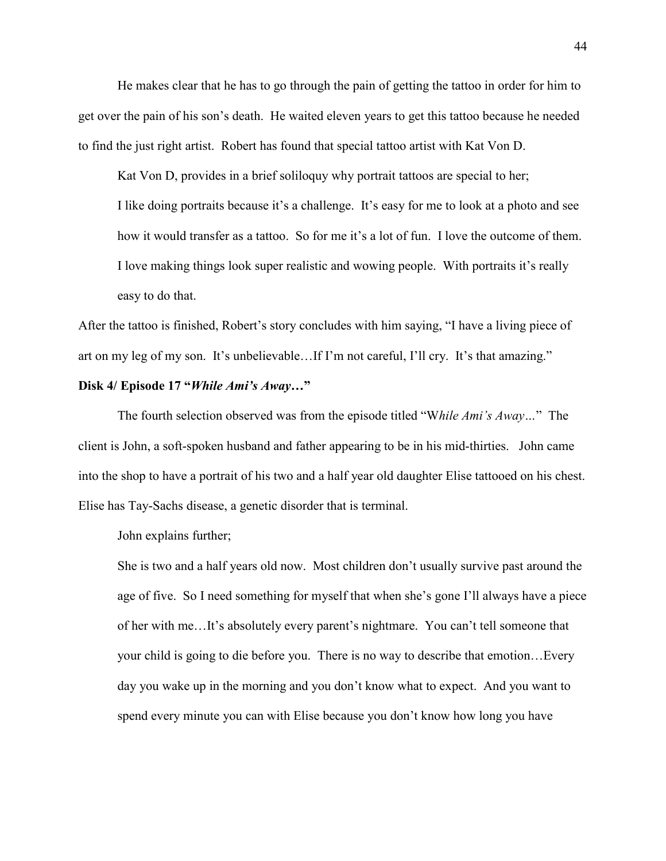He makes clear that he has to go through the pain of getting the tattoo in order for him to get over the pain of his son's death. He waited eleven years to get this tattoo because he needed to find the just right artist. Robert has found that special tattoo artist with Kat Von D.

Kat Von D, provides in a brief soliloquy why portrait tattoos are special to her; I like doing portraits because it's a challenge. It's easy for me to look at a photo and see how it would transfer as a tattoo. So for me it's a lot of fun. I love the outcome of them. I love making things look super realistic and wowing people. With portraits it's really easy to do that.

After the tattoo is finished, Robert's story concludes with him saying, "I have a living piece of art on my leg of my son. It's unbelievable…If I'm not careful, I'll cry. It's that amazing."

### **Disk 4/ Episode 17 "***While Ami's Away…***"**

The fourth selection observed was from the episode titled "W*hile Ami's Away…*" The client is John, a soft-spoken husband and father appearing to be in his mid-thirties. John came into the shop to have a portrait of his two and a half year old daughter Elise tattooed on his chest. Elise has Tay-Sachs disease, a genetic disorder that is terminal.

John explains further;

She is two and a half years old now. Most children don't usually survive past around the age of five. So I need something for myself that when she's gone I'll always have a piece of her with me…It's absolutely every parent's nightmare. You can't tell someone that your child is going to die before you. There is no way to describe that emotion…Every day you wake up in the morning and you don't know what to expect. And you want to spend every minute you can with Elise because you don't know how long you have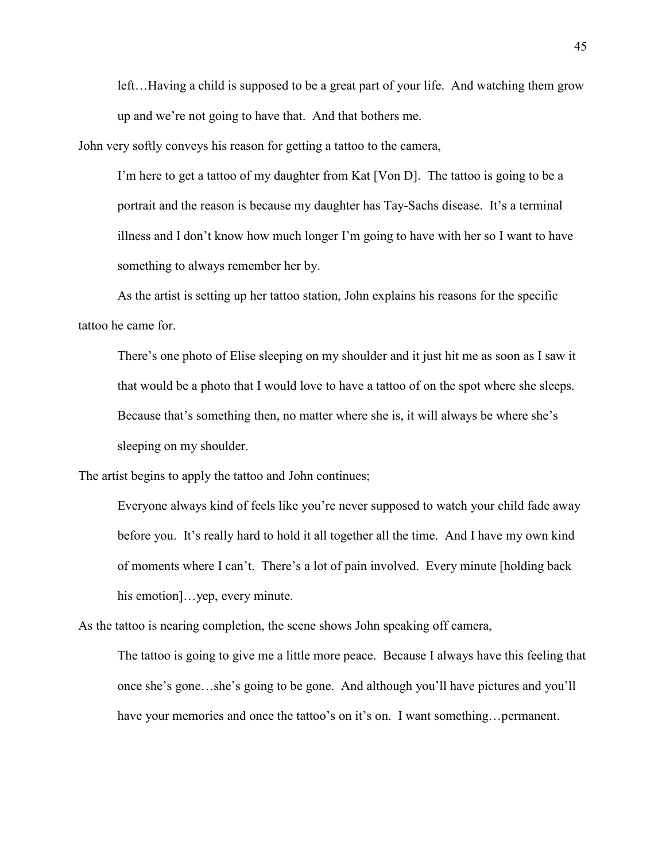left…Having a child is supposed to be a great part of your life. And watching them grow up and we're not going to have that. And that bothers me.

John very softly conveys his reason for getting a tattoo to the camera,

I'm here to get a tattoo of my daughter from Kat [Von D]. The tattoo is going to be a portrait and the reason is because my daughter has Tay-Sachs disease. It's a terminal illness and I don't know how much longer I'm going to have with her so I want to have something to always remember her by.

As the artist is setting up her tattoo station, John explains his reasons for the specific tattoo he came for.

There's one photo of Elise sleeping on my shoulder and it just hit me as soon as I saw it that would be a photo that I would love to have a tattoo of on the spot where she sleeps. Because that's something then, no matter where she is, it will always be where she's sleeping on my shoulder.

The artist begins to apply the tattoo and John continues;

Everyone always kind of feels like you're never supposed to watch your child fade away before you. It's really hard to hold it all together all the time. And I have my own kind of moments where I can't. There's a lot of pain involved. Every minute [holding back his emotion]...yep, every minute.

As the tattoo is nearing completion, the scene shows John speaking off camera,

The tattoo is going to give me a little more peace. Because I always have this feeling that once she's gone…she's going to be gone. And although you'll have pictures and you'll have your memories and once the tattoo's on it's on. I want something... permanent.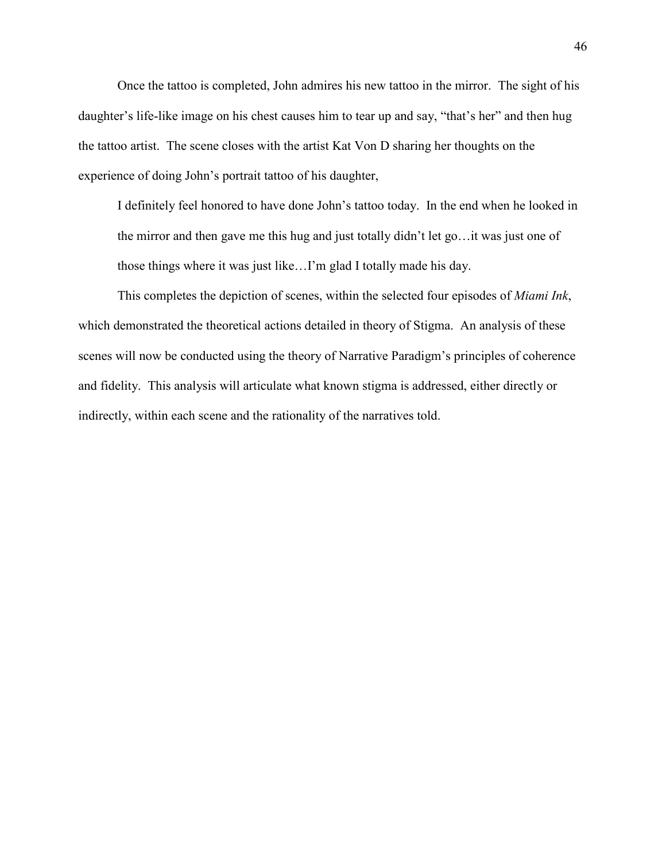Once the tattoo is completed, John admires his new tattoo in the mirror. The sight of his daughter's life-like image on his chest causes him to tear up and say, "that's her" and then hug the tattoo artist. The scene closes with the artist Kat Von D sharing her thoughts on the experience of doing John's portrait tattoo of his daughter,

I definitely feel honored to have done John's tattoo today. In the end when he looked in the mirror and then gave me this hug and just totally didn't let go…it was just one of those things where it was just like…I'm glad I totally made his day.

This completes the depiction of scenes, within the selected four episodes of *Miami Ink*, which demonstrated the theoretical actions detailed in theory of Stigma. An analysis of these scenes will now be conducted using the theory of Narrative Paradigm's principles of coherence and fidelity. This analysis will articulate what known stigma is addressed, either directly or indirectly, within each scene and the rationality of the narratives told.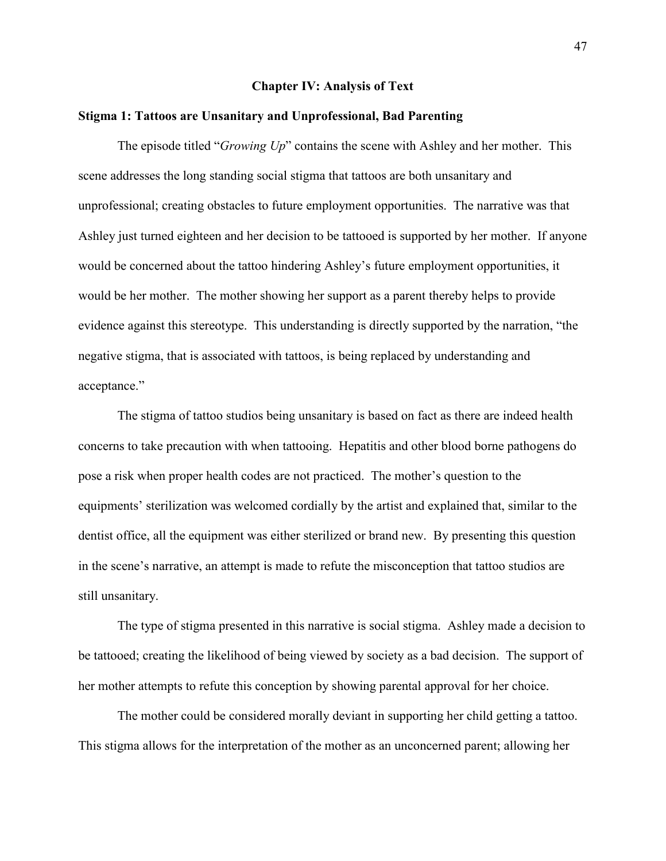#### **Chapter IV: Analysis of Text**

## **Stigma 1: Tattoos are Unsanitary and Unprofessional, Bad Parenting**

The episode titled "*Growing Up*" contains the scene with Ashley and her mother. This scene addresses the long standing social stigma that tattoos are both unsanitary and unprofessional; creating obstacles to future employment opportunities. The narrative was that Ashley just turned eighteen and her decision to be tattooed is supported by her mother. If anyone would be concerned about the tattoo hindering Ashley's future employment opportunities, it would be her mother. The mother showing her support as a parent thereby helps to provide evidence against this stereotype. This understanding is directly supported by the narration, "the negative stigma, that is associated with tattoos, is being replaced by understanding and acceptance."

The stigma of tattoo studios being unsanitary is based on fact as there are indeed health concerns to take precaution with when tattooing. Hepatitis and other blood borne pathogens do pose a risk when proper health codes are not practiced. The mother's question to the equipments' sterilization was welcomed cordially by the artist and explained that, similar to the dentist office, all the equipment was either sterilized or brand new. By presenting this question in the scene's narrative, an attempt is made to refute the misconception that tattoo studios are still unsanitary.

The type of stigma presented in this narrative is social stigma. Ashley made a decision to be tattooed; creating the likelihood of being viewed by society as a bad decision. The support of her mother attempts to refute this conception by showing parental approval for her choice.

The mother could be considered morally deviant in supporting her child getting a tattoo. This stigma allows for the interpretation of the mother as an unconcerned parent; allowing her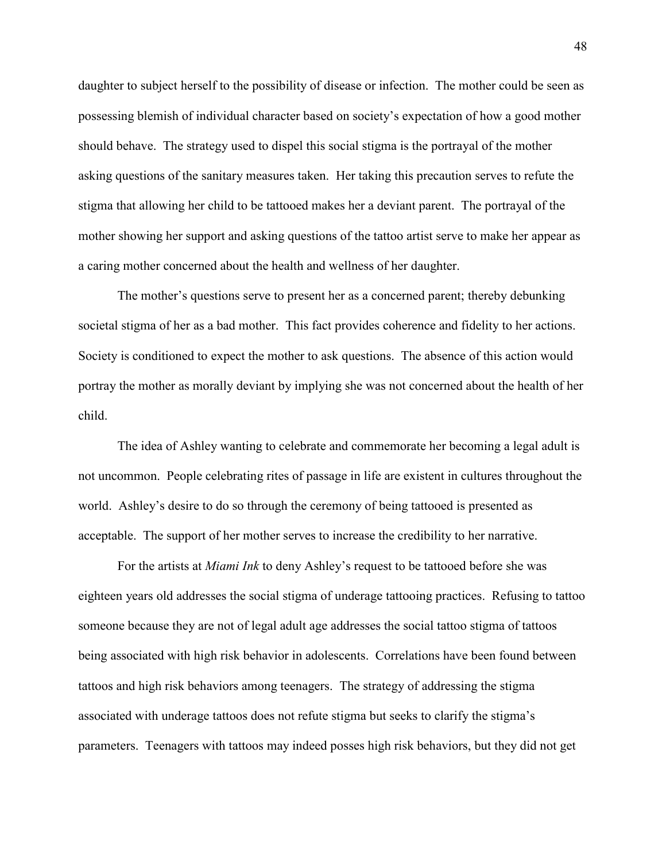daughter to subject herself to the possibility of disease or infection. The mother could be seen as possessing blemish of individual character based on society's expectation of how a good mother should behave. The strategy used to dispel this social stigma is the portrayal of the mother asking questions of the sanitary measures taken. Her taking this precaution serves to refute the stigma that allowing her child to be tattooed makes her a deviant parent. The portrayal of the mother showing her support and asking questions of the tattoo artist serve to make her appear as a caring mother concerned about the health and wellness of her daughter.

The mother's questions serve to present her as a concerned parent; thereby debunking societal stigma of her as a bad mother. This fact provides coherence and fidelity to her actions. Society is conditioned to expect the mother to ask questions. The absence of this action would portray the mother as morally deviant by implying she was not concerned about the health of her child.

The idea of Ashley wanting to celebrate and commemorate her becoming a legal adult is not uncommon. People celebrating rites of passage in life are existent in cultures throughout the world. Ashley's desire to do so through the ceremony of being tattooed is presented as acceptable. The support of her mother serves to increase the credibility to her narrative.

For the artists at *Miami Ink* to deny Ashley's request to be tattooed before she was eighteen years old addresses the social stigma of underage tattooing practices. Refusing to tattoo someone because they are not of legal adult age addresses the social tattoo stigma of tattoos being associated with high risk behavior in adolescents. Correlations have been found between tattoos and high risk behaviors among teenagers. The strategy of addressing the stigma associated with underage tattoos does not refute stigma but seeks to clarify the stigma's parameters. Teenagers with tattoos may indeed posses high risk behaviors, but they did not get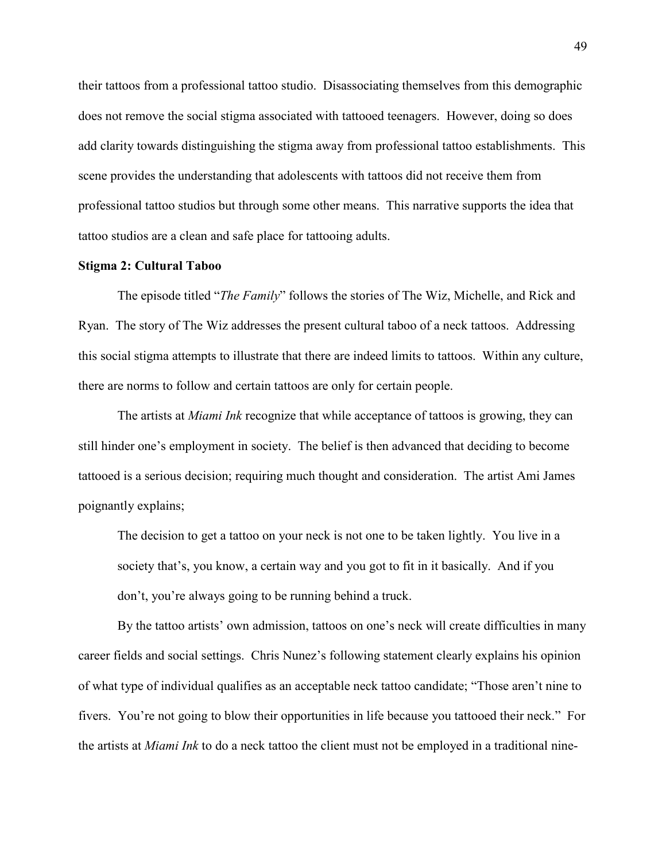their tattoos from a professional tattoo studio. Disassociating themselves from this demographic does not remove the social stigma associated with tattooed teenagers. However, doing so does add clarity towards distinguishing the stigma away from professional tattoo establishments. This scene provides the understanding that adolescents with tattoos did not receive them from professional tattoo studios but through some other means. This narrative supports the idea that tattoo studios are a clean and safe place for tattooing adults.

## **Stigma 2: Cultural Taboo**

The episode titled "*The Family*" follows the stories of The Wiz, Michelle, and Rick and Ryan. The story of The Wiz addresses the present cultural taboo of a neck tattoos. Addressing this social stigma attempts to illustrate that there are indeed limits to tattoos. Within any culture, there are norms to follow and certain tattoos are only for certain people.

The artists at *Miami Ink* recognize that while acceptance of tattoos is growing, they can still hinder one's employment in society. The belief is then advanced that deciding to become tattooed is a serious decision; requiring much thought and consideration. The artist Ami James poignantly explains;

The decision to get a tattoo on your neck is not one to be taken lightly. You live in a society that's, you know, a certain way and you got to fit in it basically. And if you don't, you're always going to be running behind a truck.

By the tattoo artists' own admission, tattoos on one's neck will create difficulties in many career fields and social settings. Chris Nunez's following statement clearly explains his opinion of what type of individual qualifies as an acceptable neck tattoo candidate; "Those aren't nine to fivers. You're not going to blow their opportunities in life because you tattooed their neck." For the artists at *Miami Ink* to do a neck tattoo the client must not be employed in a traditional nine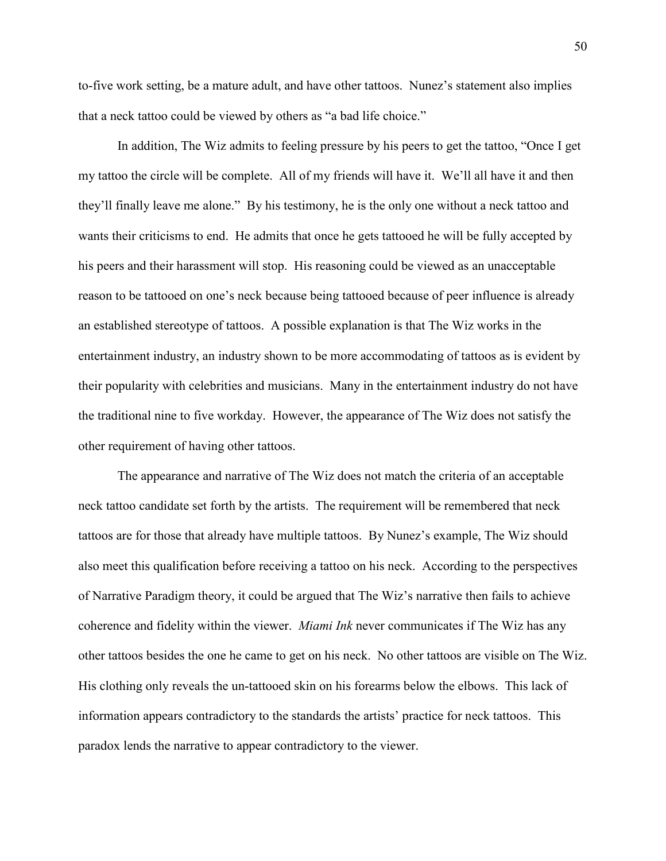to-five work setting, be a mature adult, and have other tattoos. Nunez's statement also implies that a neck tattoo could be viewed by others as "a bad life choice."

In addition, The Wiz admits to feeling pressure by his peers to get the tattoo, "Once I get my tattoo the circle will be complete. All of my friends will have it. We'll all have it and then they'll finally leave me alone." By his testimony, he is the only one without a neck tattoo and wants their criticisms to end. He admits that once he gets tattooed he will be fully accepted by his peers and their harassment will stop. His reasoning could be viewed as an unacceptable reason to be tattooed on one's neck because being tattooed because of peer influence is already an established stereotype of tattoos. A possible explanation is that The Wiz works in the entertainment industry, an industry shown to be more accommodating of tattoos as is evident by their popularity with celebrities and musicians. Many in the entertainment industry do not have the traditional nine to five workday. However, the appearance of The Wiz does not satisfy the other requirement of having other tattoos.

The appearance and narrative of The Wiz does not match the criteria of an acceptable neck tattoo candidate set forth by the artists. The requirement will be remembered that neck tattoos are for those that already have multiple tattoos. By Nunez's example, The Wiz should also meet this qualification before receiving a tattoo on his neck. According to the perspectives of Narrative Paradigm theory, it could be argued that The Wiz's narrative then fails to achieve coherence and fidelity within the viewer. *Miami Ink* never communicates if The Wiz has any other tattoos besides the one he came to get on his neck. No other tattoos are visible on The Wiz. His clothing only reveals the un-tattooed skin on his forearms below the elbows. This lack of information appears contradictory to the standards the artists' practice for neck tattoos. This paradox lends the narrative to appear contradictory to the viewer.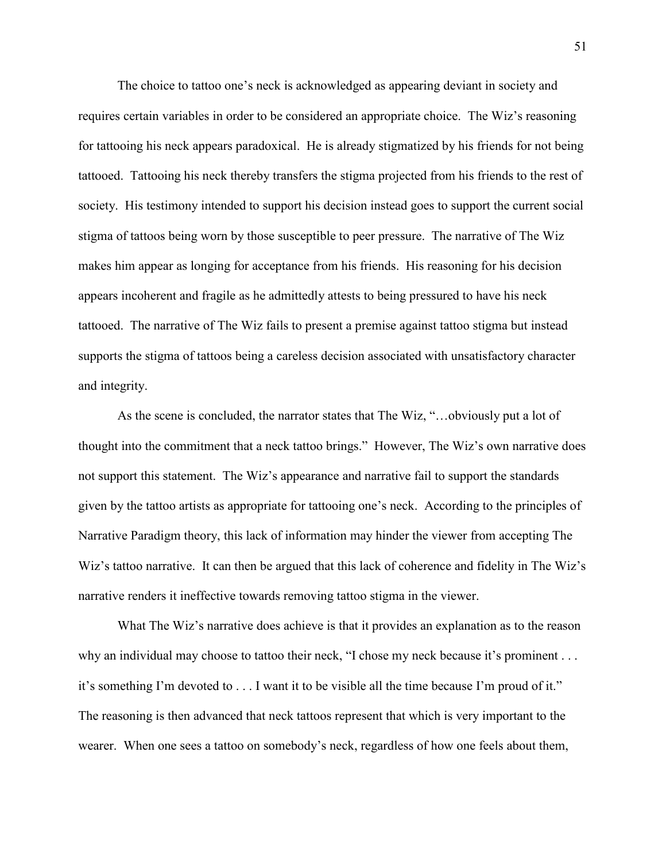The choice to tattoo one's neck is acknowledged as appearing deviant in society and requires certain variables in order to be considered an appropriate choice. The Wiz's reasoning for tattooing his neck appears paradoxical. He is already stigmatized by his friends for not being tattooed. Tattooing his neck thereby transfers the stigma projected from his friends to the rest of society. His testimony intended to support his decision instead goes to support the current social stigma of tattoos being worn by those susceptible to peer pressure. The narrative of The Wiz makes him appear as longing for acceptance from his friends. His reasoning for his decision appears incoherent and fragile as he admittedly attests to being pressured to have his neck tattooed. The narrative of The Wiz fails to present a premise against tattoo stigma but instead supports the stigma of tattoos being a careless decision associated with unsatisfactory character and integrity.

As the scene is concluded, the narrator states that The Wiz, "…obviously put a lot of thought into the commitment that a neck tattoo brings." However, The Wiz's own narrative does not support this statement. The Wiz's appearance and narrative fail to support the standards given by the tattoo artists as appropriate for tattooing one's neck. According to the principles of Narrative Paradigm theory, this lack of information may hinder the viewer from accepting The Wiz's tattoo narrative. It can then be argued that this lack of coherence and fidelity in The Wiz's narrative renders it ineffective towards removing tattoo stigma in the viewer.

What The Wiz's narrative does achieve is that it provides an explanation as to the reason why an individual may choose to tattoo their neck, "I chose my neck because it's prominent . . . it's something I'm devoted to . . . I want it to be visible all the time because I'm proud of it." The reasoning is then advanced that neck tattoos represent that which is very important to the wearer. When one sees a tattoo on somebody's neck, regardless of how one feels about them,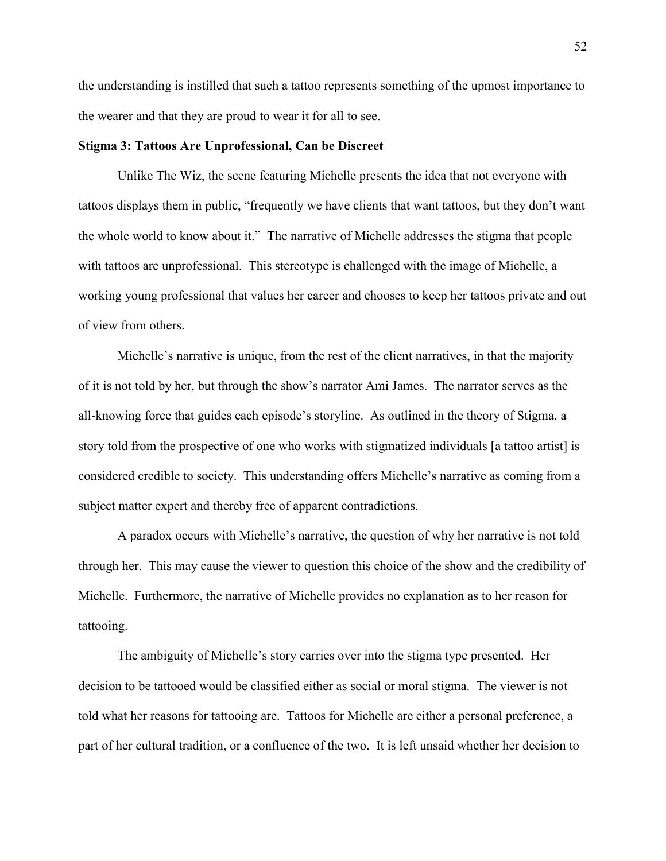the understanding is instilled that such a tattoo represents something of the upmost importance to the wearer and that they are proud to wear it for all to see.

## **Stigma 3: Tattoos Are Unprofessional, Can be Discreet**

Unlike The Wiz, the scene featuring Michelle presents the idea that not everyone with tattoos displays them in public, "frequently we have clients that want tattoos, but they don't want the whole world to know about it." The narrative of Michelle addresses the stigma that people with tattoos are unprofessional. This stereotype is challenged with the image of Michelle, a working young professional that values her career and chooses to keep her tattoos private and out of view from others.

Michelle's narrative is unique, from the rest of the client narratives, in that the majority of it is not told by her, but through the show's narrator Ami James. The narrator serves as the all-knowing force that guides each episode's storyline. As outlined in the theory of Stigma, a story told from the prospective of one who works with stigmatized individuals [a tattoo artist] is considered credible to society. This understanding offers Michelle's narrative as coming from a subject matter expert and thereby free of apparent contradictions.

A paradox occurs with Michelle's narrative, the question of why her narrative is not told through her. This may cause the viewer to question this choice of the show and the credibility of Michelle. Furthermore, the narrative of Michelle provides no explanation as to her reason for tattooing.

The ambiguity of Michelle's story carries over into the stigma type presented. Her decision to be tattooed would be classified either as social or moral stigma. The viewer is not told what her reasons for tattooing are. Tattoos for Michelle are either a personal preference, a part of her cultural tradition, or a confluence of the two. It is left unsaid whether her decision to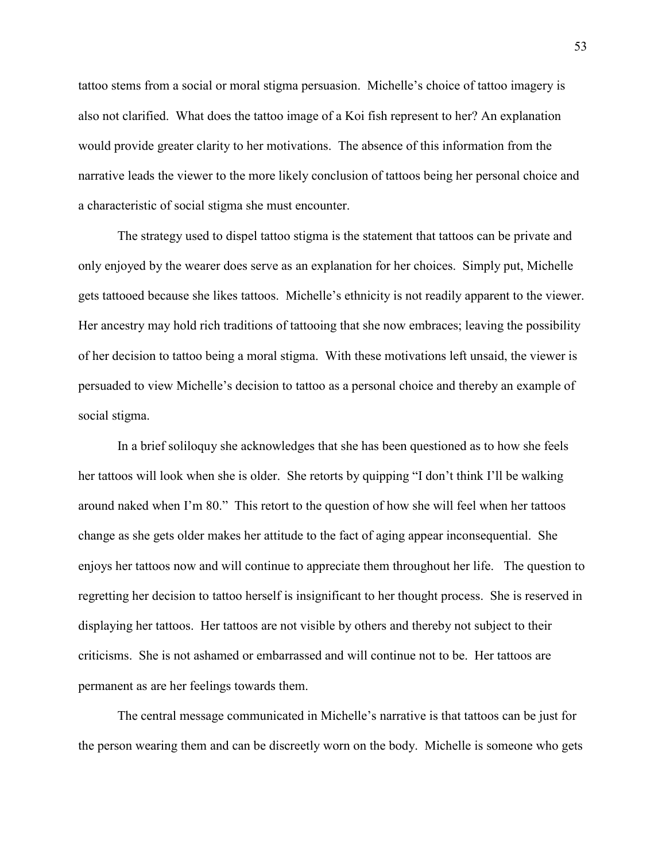tattoo stems from a social or moral stigma persuasion. Michelle's choice of tattoo imagery is also not clarified. What does the tattoo image of a Koi fish represent to her? An explanation would provide greater clarity to her motivations. The absence of this information from the narrative leads the viewer to the more likely conclusion of tattoos being her personal choice and a characteristic of social stigma she must encounter.

The strategy used to dispel tattoo stigma is the statement that tattoos can be private and only enjoyed by the wearer does serve as an explanation for her choices. Simply put, Michelle gets tattooed because she likes tattoos. Michelle's ethnicity is not readily apparent to the viewer. Her ancestry may hold rich traditions of tattooing that she now embraces; leaving the possibility of her decision to tattoo being a moral stigma. With these motivations left unsaid, the viewer is persuaded to view Michelle's decision to tattoo as a personal choice and thereby an example of social stigma.

In a brief soliloquy she acknowledges that she has been questioned as to how she feels her tattoos will look when she is older. She retorts by quipping "I don't think I'll be walking around naked when I'm 80." This retort to the question of how she will feel when her tattoos change as she gets older makes her attitude to the fact of aging appear inconsequential. She enjoys her tattoos now and will continue to appreciate them throughout her life. The question to regretting her decision to tattoo herself is insignificant to her thought process. She is reserved in displaying her tattoos. Her tattoos are not visible by others and thereby not subject to their criticisms. She is not ashamed or embarrassed and will continue not to be. Her tattoos are permanent as are her feelings towards them.

The central message communicated in Michelle's narrative is that tattoos can be just for the person wearing them and can be discreetly worn on the body. Michelle is someone who gets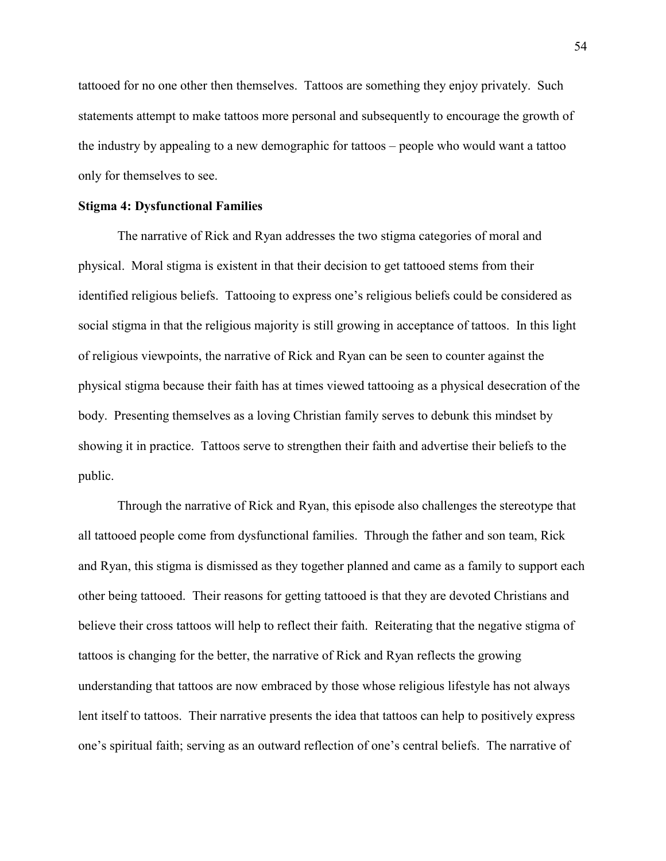tattooed for no one other then themselves. Tattoos are something they enjoy privately. Such statements attempt to make tattoos more personal and subsequently to encourage the growth of the industry by appealing to a new demographic for tattoos – people who would want a tattoo only for themselves to see.

# **Stigma 4: Dysfunctional Families**

The narrative of Rick and Ryan addresses the two stigma categories of moral and physical. Moral stigma is existent in that their decision to get tattooed stems from their identified religious beliefs. Tattooing to express one's religious beliefs could be considered as social stigma in that the religious majority is still growing in acceptance of tattoos. In this light of religious viewpoints, the narrative of Rick and Ryan can be seen to counter against the physical stigma because their faith has at times viewed tattooing as a physical desecration of the body. Presenting themselves as a loving Christian family serves to debunk this mindset by showing it in practice. Tattoos serve to strengthen their faith and advertise their beliefs to the public.

Through the narrative of Rick and Ryan, this episode also challenges the stereotype that all tattooed people come from dysfunctional families. Through the father and son team, Rick and Ryan, this stigma is dismissed as they together planned and came as a family to support each other being tattooed. Their reasons for getting tattooed is that they are devoted Christians and believe their cross tattoos will help to reflect their faith. Reiterating that the negative stigma of tattoos is changing for the better, the narrative of Rick and Ryan reflects the growing understanding that tattoos are now embraced by those whose religious lifestyle has not always lent itself to tattoos. Their narrative presents the idea that tattoos can help to positively express one's spiritual faith; serving as an outward reflection of one's central beliefs. The narrative of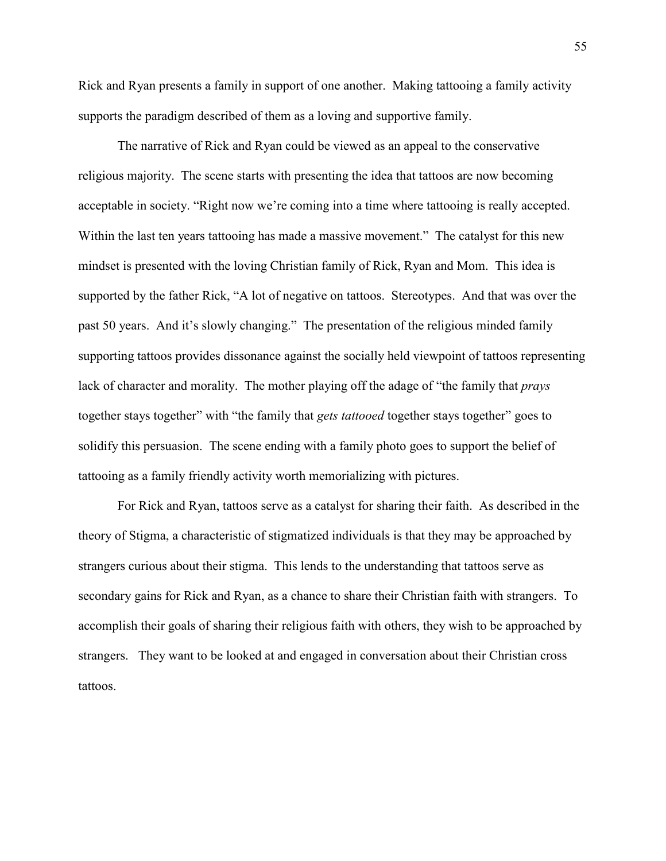Rick and Ryan presents a family in support of one another. Making tattooing a family activity supports the paradigm described of them as a loving and supportive family.

The narrative of Rick and Ryan could be viewed as an appeal to the conservative religious majority. The scene starts with presenting the idea that tattoos are now becoming acceptable in society. "Right now we're coming into a time where tattooing is really accepted. Within the last ten years tattooing has made a massive movement." The catalyst for this new mindset is presented with the loving Christian family of Rick, Ryan and Mom. This idea is supported by the father Rick, "A lot of negative on tattoos. Stereotypes. And that was over the past 50 years. And it's slowly changing." The presentation of the religious minded family supporting tattoos provides dissonance against the socially held viewpoint of tattoos representing lack of character and morality. The mother playing off the adage of "the family that *prays* together stays together" with "the family that *gets tattooed* together stays together" goes to solidify this persuasion. The scene ending with a family photo goes to support the belief of tattooing as a family friendly activity worth memorializing with pictures.

For Rick and Ryan, tattoos serve as a catalyst for sharing their faith. As described in the theory of Stigma, a characteristic of stigmatized individuals is that they may be approached by strangers curious about their stigma. This lends to the understanding that tattoos serve as secondary gains for Rick and Ryan, as a chance to share their Christian faith with strangers. To accomplish their goals of sharing their religious faith with others, they wish to be approached by strangers. They want to be looked at and engaged in conversation about their Christian cross tattoos.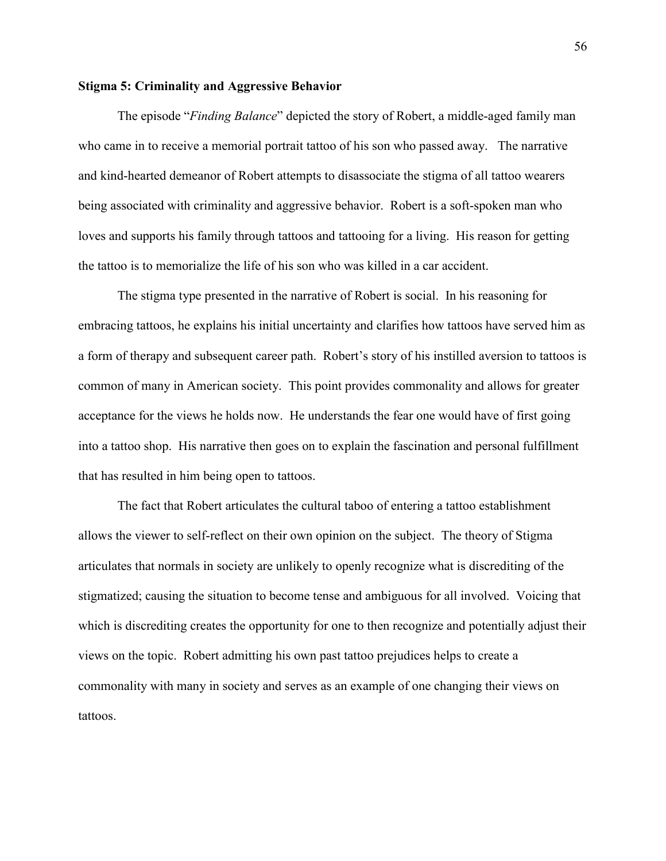# **Stigma 5: Criminality and Aggressive Behavior**

The episode "*Finding Balance*" depicted the story of Robert, a middle-aged family man who came in to receive a memorial portrait tattoo of his son who passed away. The narrative and kind-hearted demeanor of Robert attempts to disassociate the stigma of all tattoo wearers being associated with criminality and aggressive behavior. Robert is a soft-spoken man who loves and supports his family through tattoos and tattooing for a living. His reason for getting the tattoo is to memorialize the life of his son who was killed in a car accident.

The stigma type presented in the narrative of Robert is social. In his reasoning for embracing tattoos, he explains his initial uncertainty and clarifies how tattoos have served him as a form of therapy and subsequent career path. Robert's story of his instilled aversion to tattoos is common of many in American society. This point provides commonality and allows for greater acceptance for the views he holds now. He understands the fear one would have of first going into a tattoo shop. His narrative then goes on to explain the fascination and personal fulfillment that has resulted in him being open to tattoos.

The fact that Robert articulates the cultural taboo of entering a tattoo establishment allows the viewer to self-reflect on their own opinion on the subject. The theory of Stigma articulates that normals in society are unlikely to openly recognize what is discrediting of the stigmatized; causing the situation to become tense and ambiguous for all involved. Voicing that which is discrediting creates the opportunity for one to then recognize and potentially adjust their views on the topic. Robert admitting his own past tattoo prejudices helps to create a commonality with many in society and serves as an example of one changing their views on tattoos.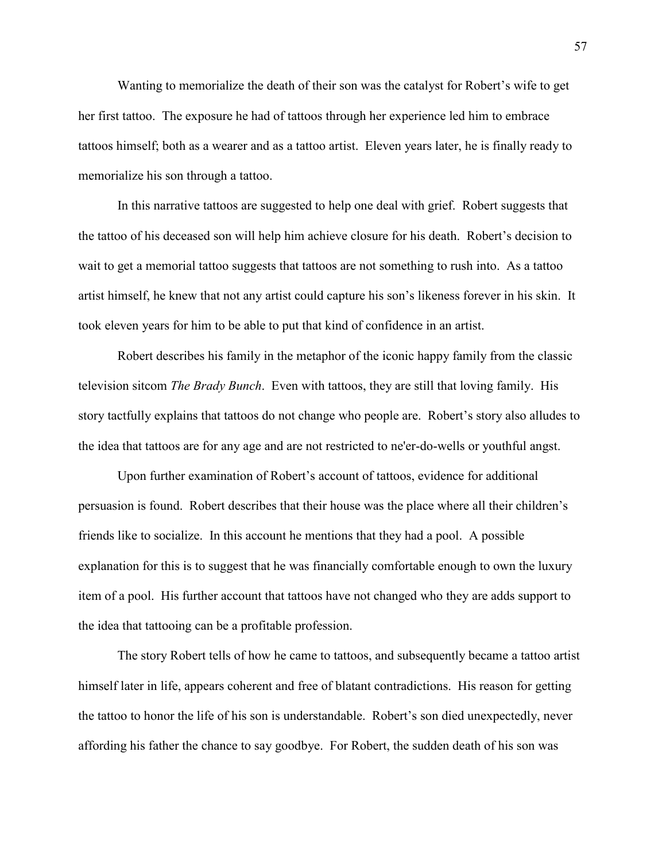Wanting to memorialize the death of their son was the catalyst for Robert's wife to get her first tattoo. The exposure he had of tattoos through her experience led him to embrace tattoos himself; both as a wearer and as a tattoo artist. Eleven years later, he is finally ready to memorialize his son through a tattoo.

In this narrative tattoos are suggested to help one deal with grief. Robert suggests that the tattoo of his deceased son will help him achieve closure for his death. Robert's decision to wait to get a memorial tattoo suggests that tattoos are not something to rush into. As a tattoo artist himself, he knew that not any artist could capture his son's likeness forever in his skin. It took eleven years for him to be able to put that kind of confidence in an artist.

Robert describes his family in the metaphor of the iconic happy family from the classic television sitcom *The Brady Bunch*. Even with tattoos, they are still that loving family. His story tactfully explains that tattoos do not change who people are. Robert's story also alludes to the idea that tattoos are for any age and are not restricted to ne'er-do-wells or youthful angst.

Upon further examination of Robert's account of tattoos, evidence for additional persuasion is found. Robert describes that their house was the place where all their children's friends like to socialize. In this account he mentions that they had a pool. A possible explanation for this is to suggest that he was financially comfortable enough to own the luxury item of a pool. His further account that tattoos have not changed who they are adds support to the idea that tattooing can be a profitable profession.

The story Robert tells of how he came to tattoos, and subsequently became a tattoo artist himself later in life, appears coherent and free of blatant contradictions. His reason for getting the tattoo to honor the life of his son is understandable. Robert's son died unexpectedly, never affording his father the chance to say goodbye. For Robert, the sudden death of his son was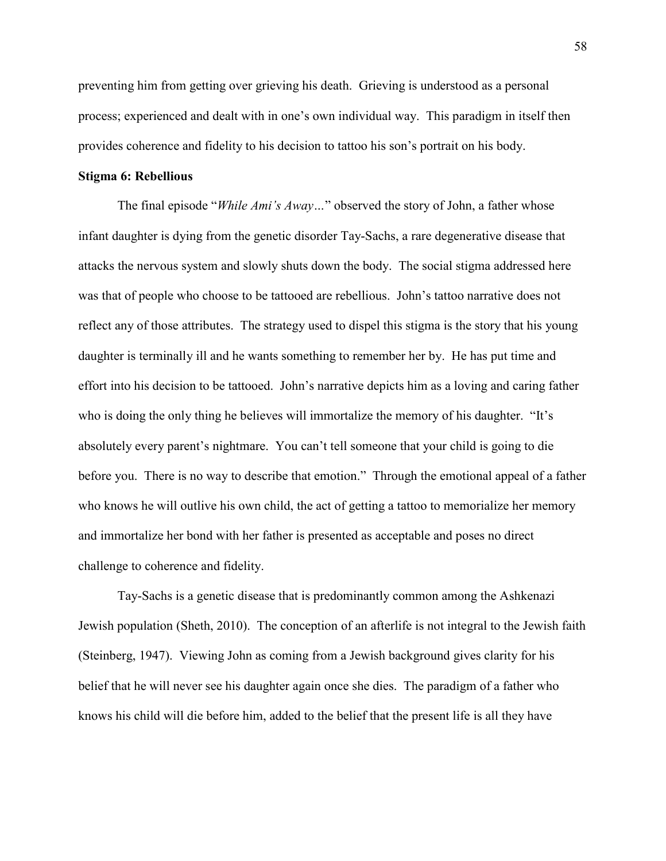preventing him from getting over grieving his death. Grieving is understood as a personal process; experienced and dealt with in one's own individual way. This paradigm in itself then provides coherence and fidelity to his decision to tattoo his son's portrait on his body.

# **Stigma 6: Rebellious**

The final episode "*While Ami's Away…*" observed the story of John, a father whose infant daughter is dying from the genetic disorder Tay-Sachs, a rare degenerative disease that attacks the nervous system and slowly shuts down the body. The social stigma addressed here was that of people who choose to be tattooed are rebellious. John's tattoo narrative does not reflect any of those attributes. The strategy used to dispel this stigma is the story that his young daughter is terminally ill and he wants something to remember her by. He has put time and effort into his decision to be tattooed. John's narrative depicts him as a loving and caring father who is doing the only thing he believes will immortalize the memory of his daughter. "It's absolutely every parent's nightmare. You can't tell someone that your child is going to die before you. There is no way to describe that emotion." Through the emotional appeal of a father who knows he will outlive his own child, the act of getting a tattoo to memorialize her memory and immortalize her bond with her father is presented as acceptable and poses no direct challenge to coherence and fidelity.

Tay-Sachs is a genetic disease that is predominantly common among the Ashkenazi Jewish population (Sheth, 2010). The conception of an afterlife is not integral to the Jewish faith (Steinberg, 1947). Viewing John as coming from a Jewish background gives clarity for his belief that he will never see his daughter again once she dies. The paradigm of a father who knows his child will die before him, added to the belief that the present life is all they have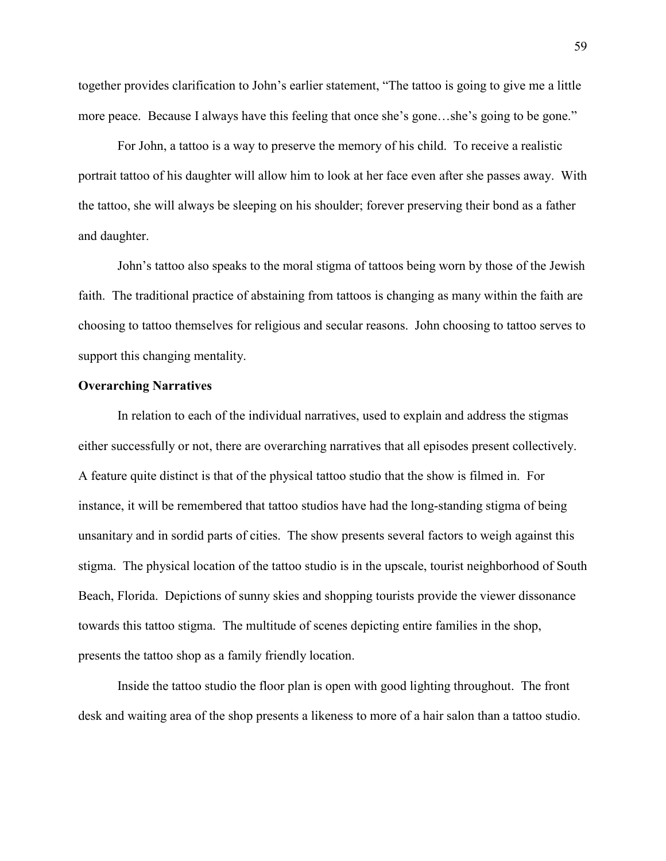together provides clarification to John's earlier statement, "The tattoo is going to give me a little more peace. Because I always have this feeling that once she's gone...she's going to be gone."

For John, a tattoo is a way to preserve the memory of his child. To receive a realistic portrait tattoo of his daughter will allow him to look at her face even after she passes away. With the tattoo, she will always be sleeping on his shoulder; forever preserving their bond as a father and daughter.

John's tattoo also speaks to the moral stigma of tattoos being worn by those of the Jewish faith. The traditional practice of abstaining from tattoos is changing as many within the faith are choosing to tattoo themselves for religious and secular reasons. John choosing to tattoo serves to support this changing mentality.

## **Overarching Narratives**

 In relation to each of the individual narratives, used to explain and address the stigmas either successfully or not, there are overarching narratives that all episodes present collectively. A feature quite distinct is that of the physical tattoo studio that the show is filmed in. For instance, it will be remembered that tattoo studios have had the long-standing stigma of being unsanitary and in sordid parts of cities. The show presents several factors to weigh against this stigma. The physical location of the tattoo studio is in the upscale, tourist neighborhood of South Beach, Florida. Depictions of sunny skies and shopping tourists provide the viewer dissonance towards this tattoo stigma. The multitude of scenes depicting entire families in the shop, presents the tattoo shop as a family friendly location.

Inside the tattoo studio the floor plan is open with good lighting throughout. The front desk and waiting area of the shop presents a likeness to more of a hair salon than a tattoo studio.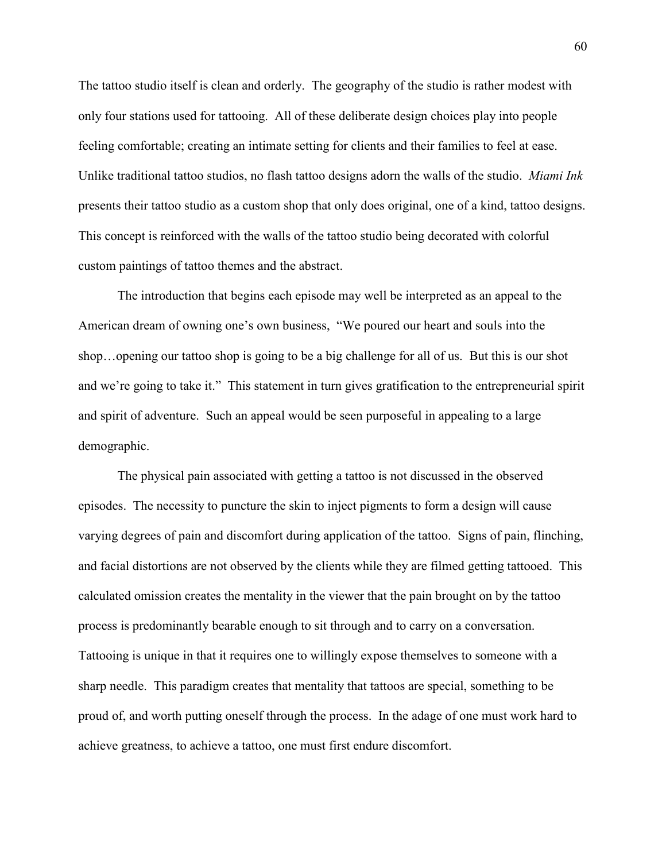The tattoo studio itself is clean and orderly. The geography of the studio is rather modest with only four stations used for tattooing. All of these deliberate design choices play into people feeling comfortable; creating an intimate setting for clients and their families to feel at ease. Unlike traditional tattoo studios, no flash tattoo designs adorn the walls of the studio. *Miami Ink* presents their tattoo studio as a custom shop that only does original, one of a kind, tattoo designs. This concept is reinforced with the walls of the tattoo studio being decorated with colorful custom paintings of tattoo themes and the abstract.

The introduction that begins each episode may well be interpreted as an appeal to the American dream of owning one's own business, "We poured our heart and souls into the shop…opening our tattoo shop is going to be a big challenge for all of us. But this is our shot and we're going to take it." This statement in turn gives gratification to the entrepreneurial spirit and spirit of adventure. Such an appeal would be seen purposeful in appealing to a large demographic.

The physical pain associated with getting a tattoo is not discussed in the observed episodes. The necessity to puncture the skin to inject pigments to form a design will cause varying degrees of pain and discomfort during application of the tattoo. Signs of pain, flinching, and facial distortions are not observed by the clients while they are filmed getting tattooed. This calculated omission creates the mentality in the viewer that the pain brought on by the tattoo process is predominantly bearable enough to sit through and to carry on a conversation. Tattooing is unique in that it requires one to willingly expose themselves to someone with a sharp needle. This paradigm creates that mentality that tattoos are special, something to be proud of, and worth putting oneself through the process. In the adage of one must work hard to achieve greatness, to achieve a tattoo, one must first endure discomfort.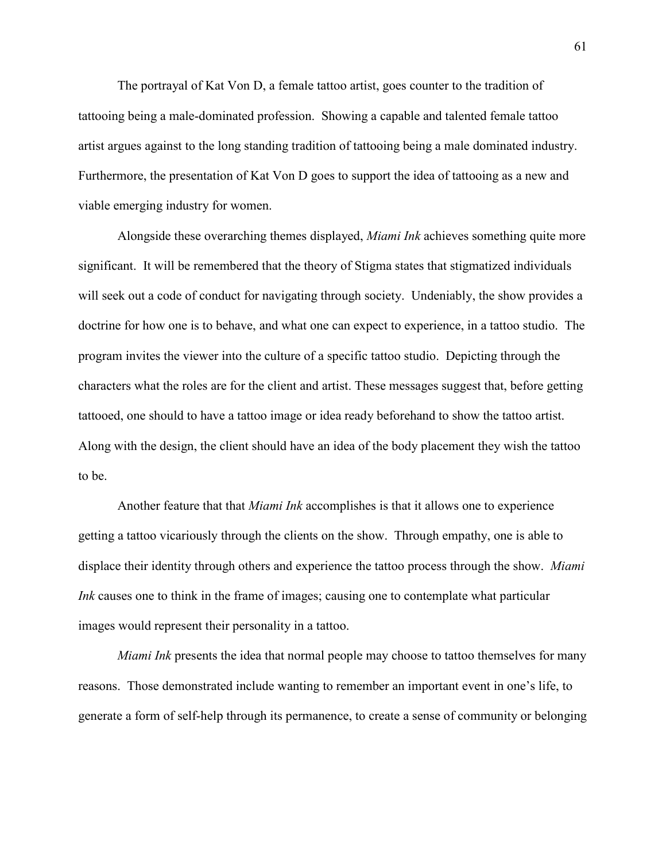The portrayal of Kat Von D, a female tattoo artist, goes counter to the tradition of tattooing being a male-dominated profession. Showing a capable and talented female tattoo artist argues against to the long standing tradition of tattooing being a male dominated industry. Furthermore, the presentation of Kat Von D goes to support the idea of tattooing as a new and viable emerging industry for women.

Alongside these overarching themes displayed, *Miami Ink* achieves something quite more significant. It will be remembered that the theory of Stigma states that stigmatized individuals will seek out a code of conduct for navigating through society. Undeniably, the show provides a doctrine for how one is to behave, and what one can expect to experience, in a tattoo studio. The program invites the viewer into the culture of a specific tattoo studio. Depicting through the characters what the roles are for the client and artist. These messages suggest that, before getting tattooed, one should to have a tattoo image or idea ready beforehand to show the tattoo artist. Along with the design, the client should have an idea of the body placement they wish the tattoo to be.

Another feature that that *Miami Ink* accomplishes is that it allows one to experience getting a tattoo vicariously through the clients on the show. Through empathy, one is able to displace their identity through others and experience the tattoo process through the show. *Miami Ink* causes one to think in the frame of images; causing one to contemplate what particular images would represent their personality in a tattoo.

*Miami Ink* presents the idea that normal people may choose to tattoo themselves for many reasons. Those demonstrated include wanting to remember an important event in one's life, to generate a form of self-help through its permanence, to create a sense of community or belonging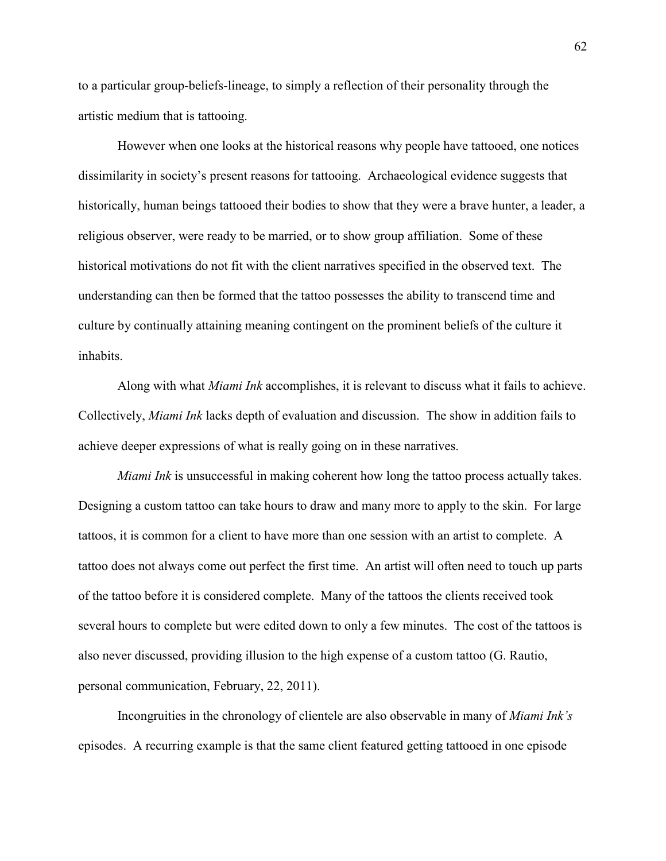to a particular group-beliefs-lineage, to simply a reflection of their personality through the artistic medium that is tattooing.

However when one looks at the historical reasons why people have tattooed, one notices dissimilarity in society's present reasons for tattooing. Archaeological evidence suggests that historically, human beings tattooed their bodies to show that they were a brave hunter, a leader, a religious observer, were ready to be married, or to show group affiliation. Some of these historical motivations do not fit with the client narratives specified in the observed text. The understanding can then be formed that the tattoo possesses the ability to transcend time and culture by continually attaining meaning contingent on the prominent beliefs of the culture it inhabits.

Along with what *Miami Ink* accomplishes, it is relevant to discuss what it fails to achieve. Collectively, *Miami Ink* lacks depth of evaluation and discussion. The show in addition fails to achieve deeper expressions of what is really going on in these narratives.

*Miami Ink* is unsuccessful in making coherent how long the tattoo process actually takes. Designing a custom tattoo can take hours to draw and many more to apply to the skin. For large tattoos, it is common for a client to have more than one session with an artist to complete. A tattoo does not always come out perfect the first time. An artist will often need to touch up parts of the tattoo before it is considered complete. Many of the tattoos the clients received took several hours to complete but were edited down to only a few minutes. The cost of the tattoos is also never discussed, providing illusion to the high expense of a custom tattoo (G. Rautio, personal communication, February, 22, 2011).

Incongruities in the chronology of clientele are also observable in many of *Miami Ink's* episodes. A recurring example is that the same client featured getting tattooed in one episode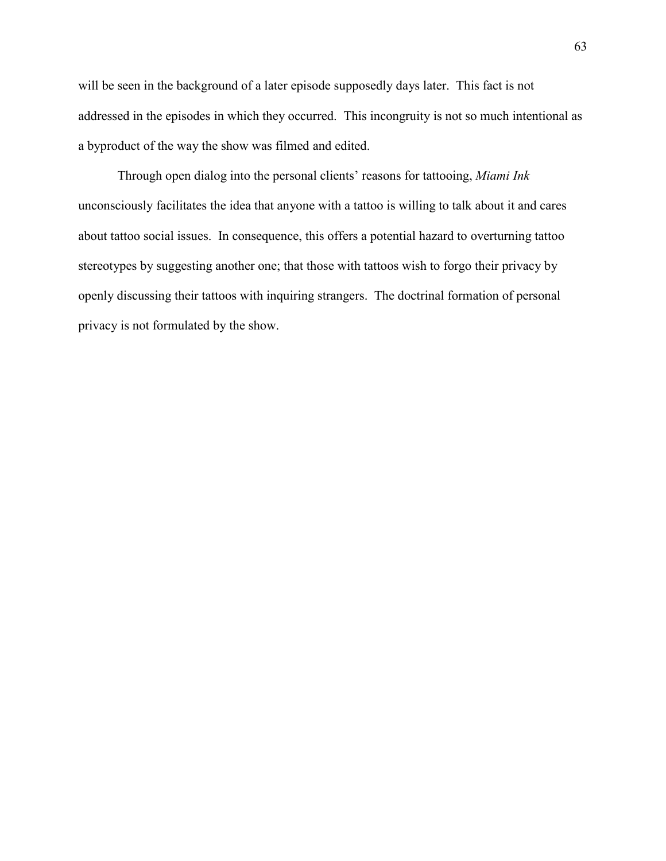will be seen in the background of a later episode supposedly days later. This fact is not addressed in the episodes in which they occurred. This incongruity is not so much intentional as a byproduct of the way the show was filmed and edited.

Through open dialog into the personal clients' reasons for tattooing, *Miami Ink* unconsciously facilitates the idea that anyone with a tattoo is willing to talk about it and cares about tattoo social issues. In consequence, this offers a potential hazard to overturning tattoo stereotypes by suggesting another one; that those with tattoos wish to forgo their privacy by openly discussing their tattoos with inquiring strangers. The doctrinal formation of personal privacy is not formulated by the show.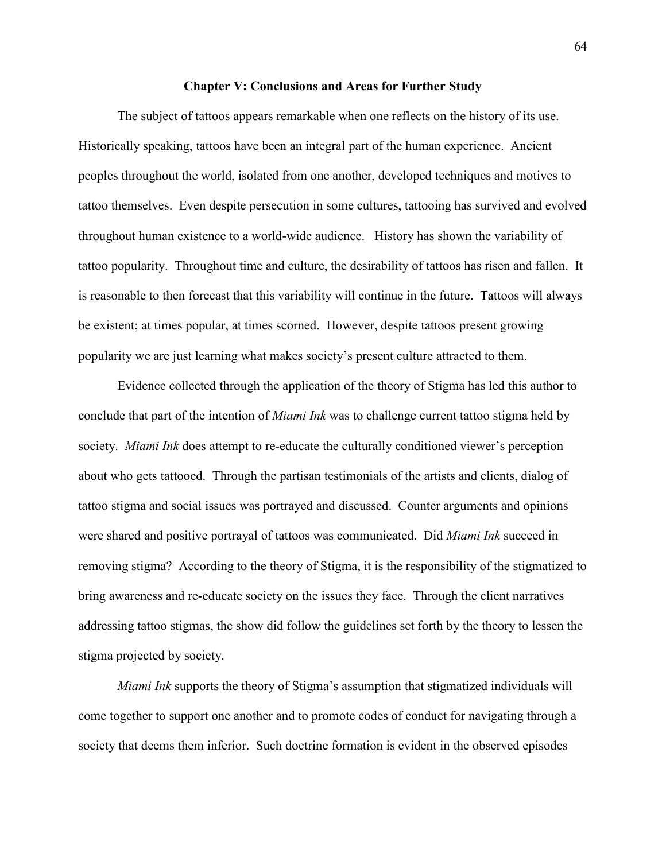#### **Chapter V: Conclusions and Areas for Further Study**

The subject of tattoos appears remarkable when one reflects on the history of its use. Historically speaking, tattoos have been an integral part of the human experience. Ancient peoples throughout the world, isolated from one another, developed techniques and motives to tattoo themselves. Even despite persecution in some cultures, tattooing has survived and evolved throughout human existence to a world-wide audience. History has shown the variability of tattoo popularity. Throughout time and culture, the desirability of tattoos has risen and fallen. It is reasonable to then forecast that this variability will continue in the future. Tattoos will always be existent; at times popular, at times scorned. However, despite tattoos present growing popularity we are just learning what makes society's present culture attracted to them.

Evidence collected through the application of the theory of Stigma has led this author to conclude that part of the intention of *Miami Ink* was to challenge current tattoo stigma held by society. *Miami Ink* does attempt to re-educate the culturally conditioned viewer's perception about who gets tattooed. Through the partisan testimonials of the artists and clients, dialog of tattoo stigma and social issues was portrayed and discussed. Counter arguments and opinions were shared and positive portrayal of tattoos was communicated. Did *Miami Ink* succeed in removing stigma? According to the theory of Stigma, it is the responsibility of the stigmatized to bring awareness and re-educate society on the issues they face. Through the client narratives addressing tattoo stigmas, the show did follow the guidelines set forth by the theory to lessen the stigma projected by society.

*Miami Ink* supports the theory of Stigma's assumption that stigmatized individuals will come together to support one another and to promote codes of conduct for navigating through a society that deems them inferior. Such doctrine formation is evident in the observed episodes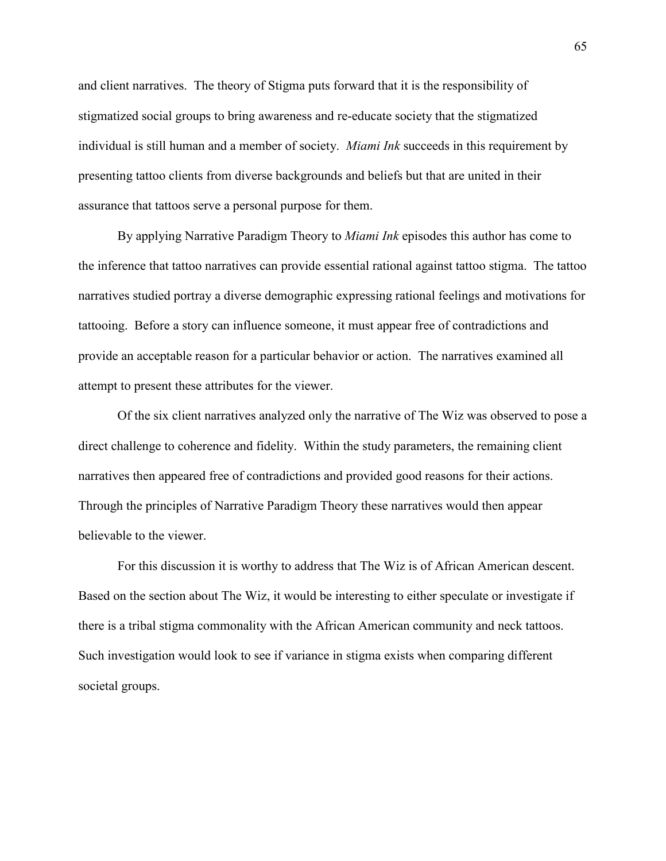and client narratives. The theory of Stigma puts forward that it is the responsibility of stigmatized social groups to bring awareness and re-educate society that the stigmatized individual is still human and a member of society. *Miami Ink* succeeds in this requirement by presenting tattoo clients from diverse backgrounds and beliefs but that are united in their assurance that tattoos serve a personal purpose for them.

By applying Narrative Paradigm Theory to *Miami Ink* episodes this author has come to the inference that tattoo narratives can provide essential rational against tattoo stigma. The tattoo narratives studied portray a diverse demographic expressing rational feelings and motivations for tattooing. Before a story can influence someone, it must appear free of contradictions and provide an acceptable reason for a particular behavior or action. The narratives examined all attempt to present these attributes for the viewer.

Of the six client narratives analyzed only the narrative of The Wiz was observed to pose a direct challenge to coherence and fidelity. Within the study parameters, the remaining client narratives then appeared free of contradictions and provided good reasons for their actions. Through the principles of Narrative Paradigm Theory these narratives would then appear believable to the viewer.

For this discussion it is worthy to address that The Wiz is of African American descent. Based on the section about The Wiz, it would be interesting to either speculate or investigate if there is a tribal stigma commonality with the African American community and neck tattoos. Such investigation would look to see if variance in stigma exists when comparing different societal groups.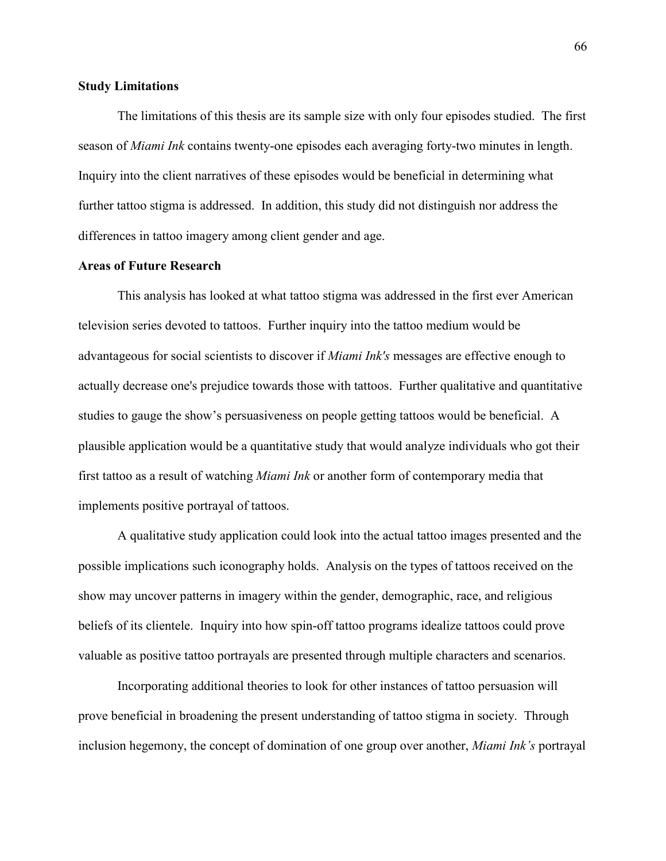# **Study Limitations**

The limitations of this thesis are its sample size with only four episodes studied. The first season of *Miami Ink* contains twenty-one episodes each averaging forty-two minutes in length. Inquiry into the client narratives of these episodes would be beneficial in determining what further tattoo stigma is addressed. In addition, this study did not distinguish nor address the differences in tattoo imagery among client gender and age.

# **Areas of Future Research**

This analysis has looked at what tattoo stigma was addressed in the first ever American television series devoted to tattoos. Further inquiry into the tattoo medium would be advantageous for social scientists to discover if *Miami Ink's* messages are effective enough to actually decrease one's prejudice towards those with tattoos. Further qualitative and quantitative studies to gauge the show's persuasiveness on people getting tattoos would be beneficial. A plausible application would be a quantitative study that would analyze individuals who got their first tattoo as a result of watching *Miami Ink* or another form of contemporary media that implements positive portrayal of tattoos.

A qualitative study application could look into the actual tattoo images presented and the possible implications such iconography holds. Analysis on the types of tattoos received on the show may uncover patterns in imagery within the gender, demographic, race, and religious beliefs of its clientele. Inquiry into how spin-off tattoo programs idealize tattoos could prove valuable as positive tattoo portrayals are presented through multiple characters and scenarios.

Incorporating additional theories to look for other instances of tattoo persuasion will prove beneficial in broadening the present understanding of tattoo stigma in society. Through inclusion hegemony, the concept of domination of one group over another, *Miami Ink's* portrayal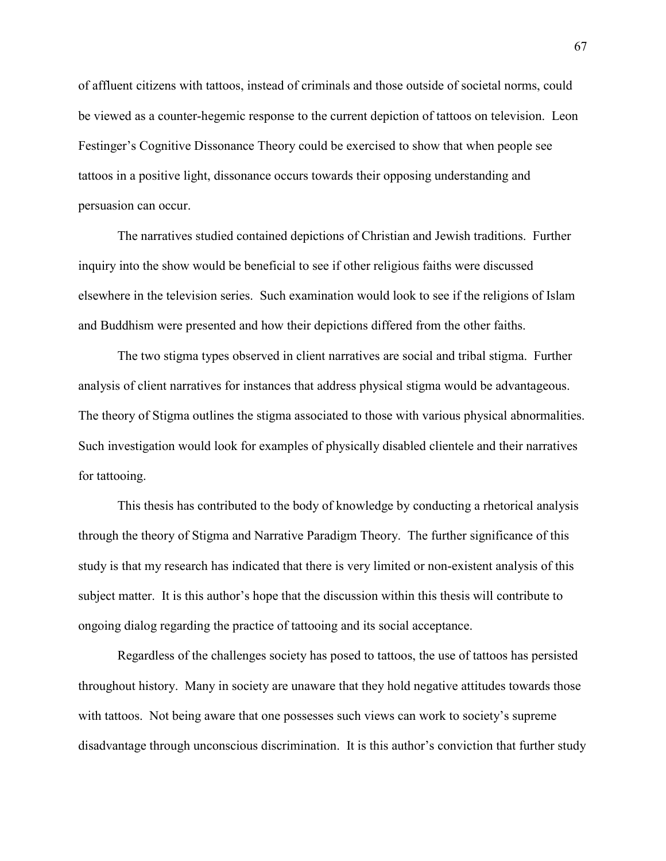of affluent citizens with tattoos, instead of criminals and those outside of societal norms, could be viewed as a counter-hegemic response to the current depiction of tattoos on television. Leon Festinger's Cognitive Dissonance Theory could be exercised to show that when people see tattoos in a positive light, dissonance occurs towards their opposing understanding and persuasion can occur.

The narratives studied contained depictions of Christian and Jewish traditions. Further inquiry into the show would be beneficial to see if other religious faiths were discussed elsewhere in the television series. Such examination would look to see if the religions of Islam and Buddhism were presented and how their depictions differed from the other faiths.

The two stigma types observed in client narratives are social and tribal stigma. Further analysis of client narratives for instances that address physical stigma would be advantageous. The theory of Stigma outlines the stigma associated to those with various physical abnormalities. Such investigation would look for examples of physically disabled clientele and their narratives for tattooing.

This thesis has contributed to the body of knowledge by conducting a rhetorical analysis through the theory of Stigma and Narrative Paradigm Theory. The further significance of this study is that my research has indicated that there is very limited or non-existent analysis of this subject matter. It is this author's hope that the discussion within this thesis will contribute to ongoing dialog regarding the practice of tattooing and its social acceptance.

Regardless of the challenges society has posed to tattoos, the use of tattoos has persisted throughout history. Many in society are unaware that they hold negative attitudes towards those with tattoos. Not being aware that one possesses such views can work to society's supreme disadvantage through unconscious discrimination. It is this author's conviction that further study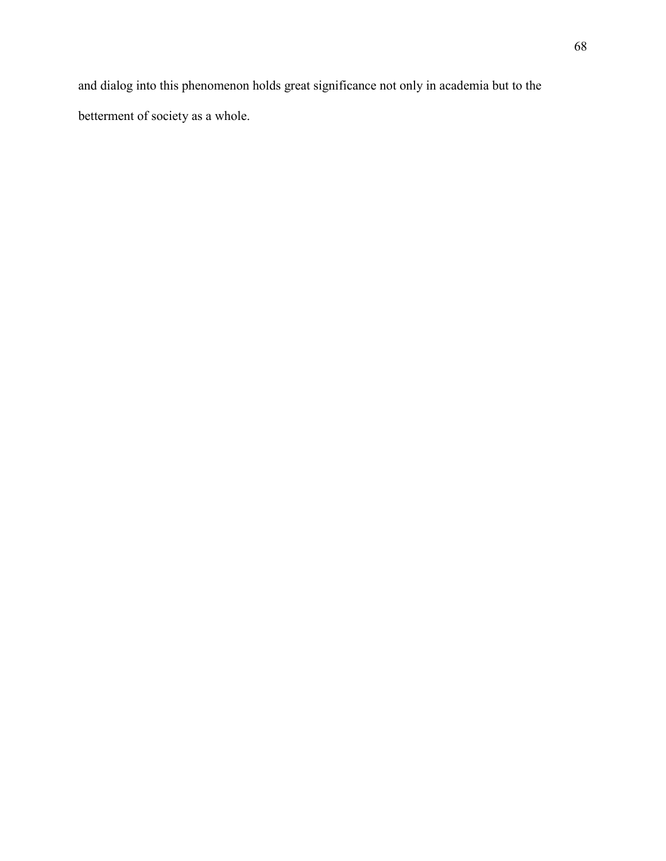and dialog into this phenomenon holds great significance not only in academia but to the betterment of society as a whole.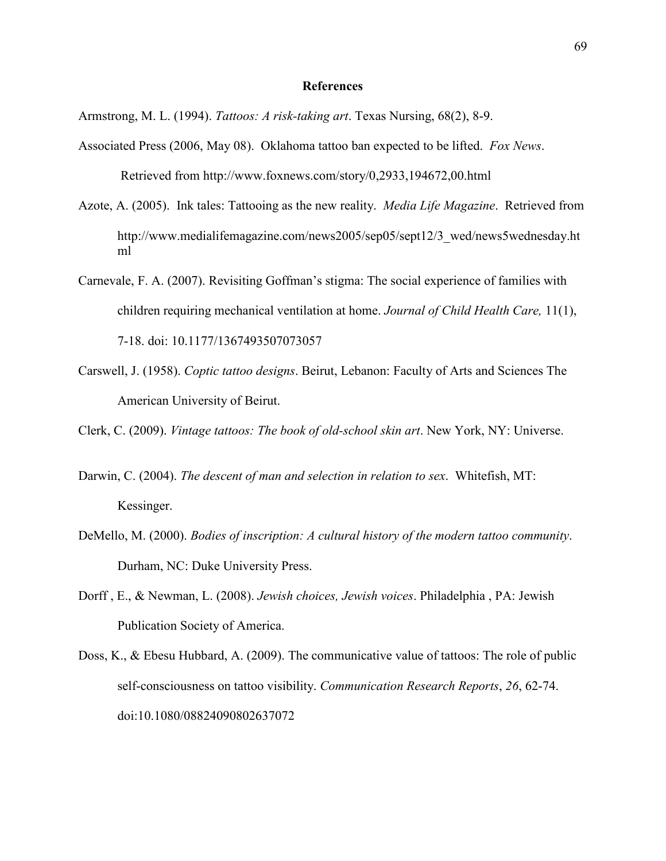#### **References**

Armstrong, M. L. (1994). *Tattoos: A risk-taking art*. Texas Nursing, 68(2), 8-9.

- Associated Press (2006, May 08). Oklahoma tattoo ban expected to be lifted. *Fox News*. Retrieved from http://www.foxnews.com/story/0,2933,194672,00.html
- Azote, A. (2005). Ink tales: Tattooing as the new reality. *Media Life Magazine*. Retrieved from http://www.medialifemagazine.com/news2005/sep05/sept12/3\_wed/news5wednesday.ht ml
- Carnevale, F. A. (2007). Revisiting Goffman's stigma: The social experience of families with children requiring mechanical ventilation at home. *Journal of Child Health Care,* 11(1), 7-18. doi: 10.1177/1367493507073057
- Carswell, J. (1958). *Coptic tattoo designs*. Beirut, Lebanon: Faculty of Arts and Sciences The American University of Beirut.

Clerk, C. (2009). *Vintage tattoos: The book of old-school skin art*. New York, NY: Universe.

- Darwin, C. (2004). *The descent of man and selection in relation to sex*. Whitefish, MT: Kessinger.
- DeMello, M. (2000). *Bodies of inscription: A cultural history of the modern tattoo community*. Durham, NC: Duke University Press.
- [Dorff](http://www.amazon.com/s/ref=ntt_athr_dp_sr_1?_encoding=UTF8&sort=relevancerank&search-alias=books&field-author=Elliot%20N.%20Dorff) , E., & [Newman,](http://www.amazon.com/s/ref=ntt_athr_dp_sr_2?_encoding=UTF8&sort=relevancerank&search-alias=books&field-author=Louis%20E.%20Newman) L. (2008). *Jewish choices, Jewish voices*. Philadelphia , PA: Jewish Publication Society of America.
- Doss, K., & Ebesu Hubbard, A. (2009). The communicative value of tattoos: The role of public self-consciousness on tattoo visibility. *Communication Research Reports*, *26*, 62-74. doi:10.1080/08824090802637072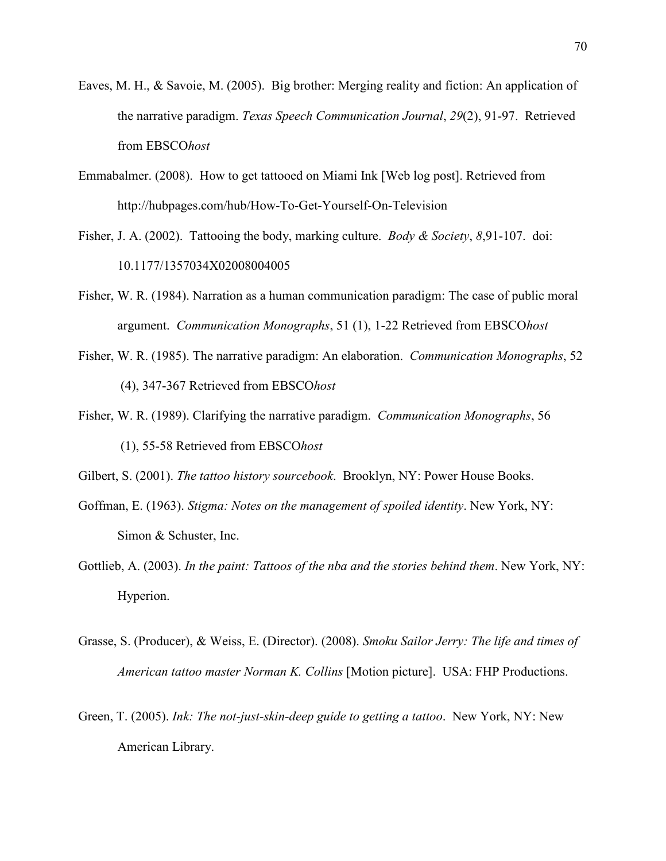- Eaves, M. H., & Savoie, M. (2005). Big brother: Merging reality and fiction: An application of the narrative paradigm. *Texas Speech Communication Journal*, *29*(2), 91-97. Retrieved from EBSCO*host*
- Emmabalmer. (2008). How to get tattooed on Miami Ink [Web log post]. Retrieved from http://hubpages.com/hub/How-To-Get-Yourself-On-Television
- Fisher, J. A. (2002). Tattooing the body, marking culture. *Body & Society*, *8*,91-107. doi: 10.1177/1357034X02008004005
- Fisher, W. R. (1984). Narration as a human communication paradigm: The case of public moral argument. *Communication Monographs*, 51 (1), 1-22 Retrieved from EBSCO*host*
- Fisher, W. R. (1985). The narrative paradigm: An elaboration. *Communication Monographs*, 52 (4), 347-367 Retrieved from EBSCO*host*
- Fisher, W. R. (1989). Clarifying the narrative paradigm. *Communication Monographs*, 56 (1), 55-58 Retrieved from EBSCO*host*
- Gilbert, S. (2001). *The tattoo history sourcebook*. Brooklyn, NY: Power House Books.
- Goffman, E. (1963). *Stigma: Notes on the management of spoiled identity*. New York, NY: Simon & Schuster, Inc.
- Gottlieb, A. (2003). *In the paint: Tattoos of the nba and the stories behind them*. New York, NY: Hyperion.
- Grasse, S. (Producer), & Weiss, E. (Director). (2008). *Smoku Sailor Jerry: The life and times of American tattoo master Norman K. Collins* [Motion picture]. USA: FHP Productions.
- Green, T. (2005). *Ink: The not-just-skin-deep guide to getting a tattoo*. New York, NY: New American Library.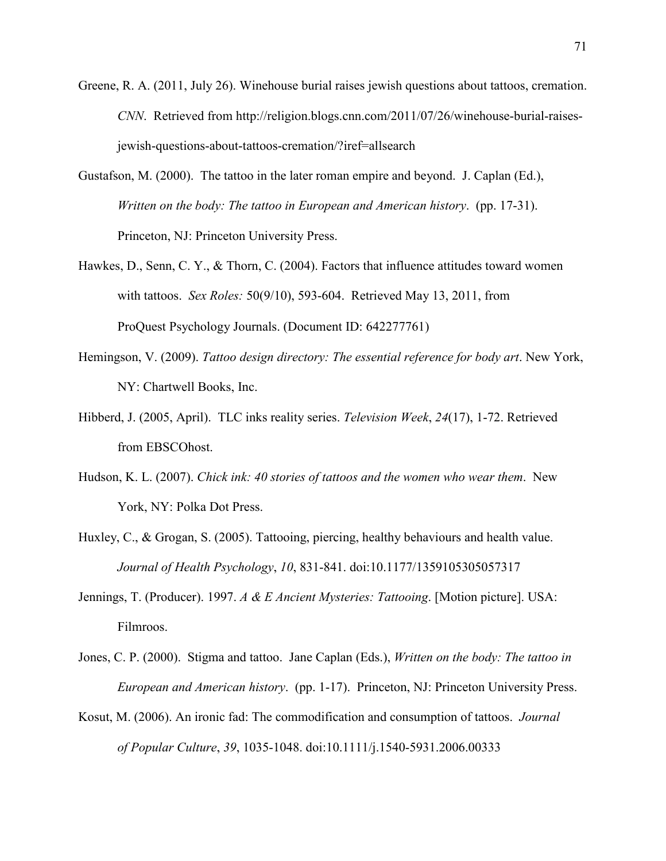- Greene, R. A. (2011, July 26). Winehouse burial raises jewish questions about tattoos, cremation. *CNN*. Retrieved from http://religion.blogs.cnn.com/2011/07/26/winehouse-burial-raisesjewish-questions-about-tattoos-cremation/?iref=allsearch
- Gustafson, M. (2000). The tattoo in the later roman empire and beyond. J. Caplan (Ed.), *Written on the body: The tattoo in European and American history*. (pp. 17-31). Princeton, NJ: Princeton University Press.
- Hawkes, D., Senn, C. Y., & Thorn, C. (2004). Factors that influence attitudes toward women with tattoos. *Sex Roles:* 50(9/10), 593-604. Retrieved May 13, 2011, from ProQuest Psychology Journals. (Document ID: 642277761)
- Hemingson, V. (2009). *Tattoo design directory: The essential reference for body art*. New York, NY: Chartwell Books, Inc.
- Hibberd, J. (2005, April). TLC inks reality series. *Television Week*, *24*(17), 1-72. Retrieved from EBSCOhost.
- Hudson, K. L. (2007). *Chick ink: 40 stories of tattoos and the women who wear them*. New York, NY: Polka Dot Press.
- Huxley, C., & Grogan, S. (2005). Tattooing, piercing, healthy behaviours and health value. *Journal of Health Psychology*, *10*, 831-841. doi:10.1177/1359105305057317
- Jennings, T. (Producer). 1997. *A & E Ancient Mysteries: Tattooing*. [Motion picture]. USA: Filmroos.
- Jones, C. P. (2000). Stigma and tattoo. Jane Caplan (Eds.), *Written on the body: The tattoo in European and American history*. (pp. 1-17). Princeton, NJ: Princeton University Press.
- Kosut, M. (2006). An ironic fad: The commodification and consumption of tattoos. *Journal of Popular Culture*, *39*, 1035-1048. doi:10.1111/j.1540-5931.2006.00333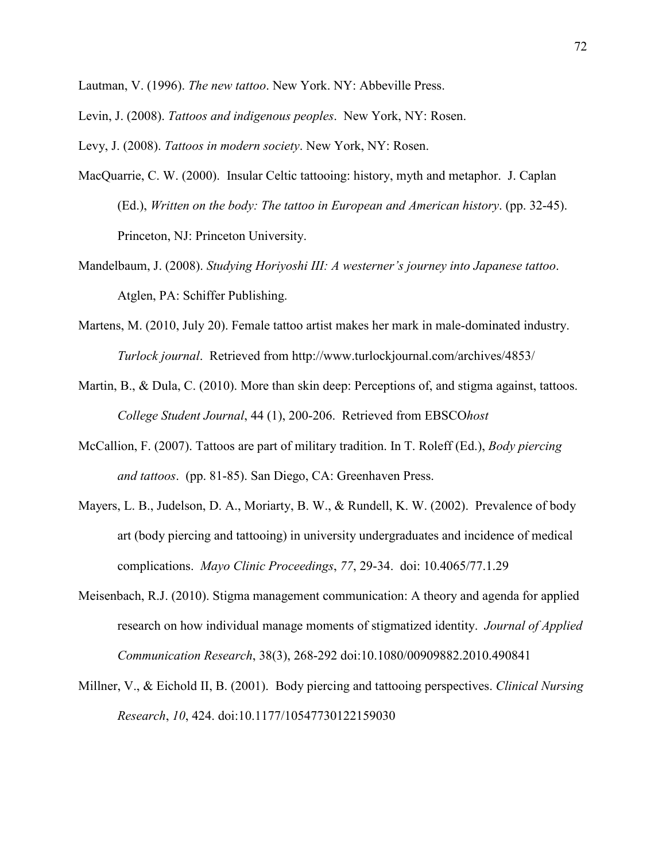Lautman, V. (1996). *The new tattoo*. New York. NY: Abbeville Press.

Levin, J. (2008). *Tattoos and indigenous peoples*. New York, NY: Rosen.

Levy, J. (2008). *Tattoos in modern society*. New York, NY: Rosen.

- MacQuarrie, C. W. (2000). Insular Celtic tattooing: history, myth and metaphor. J. Caplan (Ed.), *Written on the body: The tattoo in European and American history*. (pp. 32-45). Princeton, NJ: Princeton University.
- Mandelbaum, J. (2008). *Studying Horiyoshi III: A westerner's journey into Japanese tattoo*. Atglen, PA: Schiffer Publishing.
- Martens, M. (2010, July 20). Female tattoo artist makes her mark in male-dominated industry. *Turlock journal*. Retrieved from http://www.turlockjournal.com/archives/4853/
- Martin, B., & Dula, C. (2010). More than skin deep: Perceptions of, and stigma against, tattoos. *College Student Journal*, 44 (1), 200-206. Retrieved from EBSCO*host*
- McCallion, F. (2007). Tattoos are part of military tradition. In T. Roleff (Ed.), *Body piercing and tattoos*. (pp. 81-85). San Diego, CA: Greenhaven Press.
- Mayers, L. B., Judelson, D. A., Moriarty, B. W., & Rundell, K. W. (2002). Prevalence of body art (body piercing and tattooing) in university undergraduates and incidence of medical complications. *Mayo Clinic Proceedings*, *77*, 29-34. doi: 10.4065/77.1.29
- Meisenbach, R.J. (2010). Stigma management communication: A theory and agenda for applied research on how individual manage moments of stigmatized identity. *Journal of Applied Communication Research*, 38(3), 268-292 doi:10.1080/00909882.2010.490841
- Millner, V., & Eichold II, B. (2001). Body piercing and tattooing perspectives. *Clinical Nursing Research*, *10*, 424. doi:10.1177/10547730122159030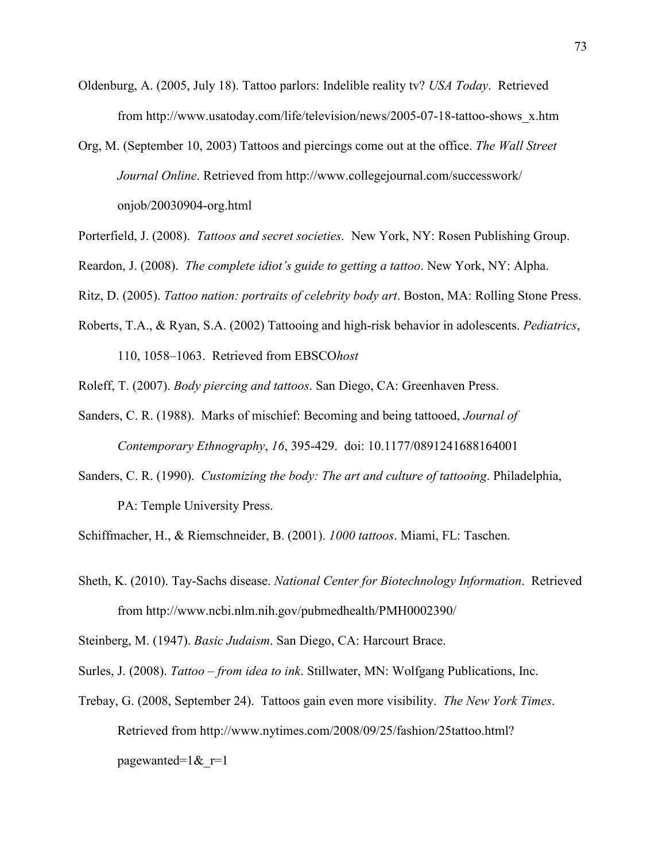- Oldenburg, A. (2005, July 18). Tattoo parlors: Indelible reality tv? *USA Today*. Retrieved from http://www.usatoday.com/life/television/news/2005-07-18-tattoo-shows\_x.htm
- Org, M. (September 10, 2003) Tattoos and piercings come out at the office. *The Wall Street Journal Online*. Retrieved from http://www.collegejournal.com/successwork/ onjob/20030904-org.html
- Porterfield, J. (2008). *Tattoos and secret societies.* New York, NY: Rosen Publishing Group.
- Reardon, J. (2008). *The complete idiot's guide to getting a tattoo*. New York, NY: Alpha.

Ritz, D. (2005). *Tattoo nation: portraits of celebrity body art*. Boston, MA: Rolling Stone Press.

Roberts, T.A., & Ryan, S.A. (2002) Tattooing and high-risk behavior in adolescents. *Pediatrics*,

110, 1058–1063. Retrieved from EBSCO*host*

Roleff, T. (2007). *Body piercing and tattoos*. San Diego, CA: Greenhaven Press.

- Sanders, C. R. (1988). Marks of mischief: Becoming and being tattooed, *Journal of Contemporary Ethnography*, *16*, 395-429. doi: 10.1177/0891241688164001
- Sanders, C. R. (1990). *Customizing the body: The art and culture of tattooing*. Philadelphia, PA: Temple University Press.

Schiffmacher, H., & Riemschneider, B. (2001). *1000 tattoos*. Miami, FL: Taschen.

Sheth, K. (2010). Tay-Sachs disease. *National Center for Biotechnology Information*. Retrieved from http://www.ncbi.nlm.nih.gov/pubmedhealth/PMH0002390/

Steinberg, M. (1947). *Basic Judaism*. San Diego, CA: Harcourt Brace.

Surles, J. (2008). *Tattoo – from idea to ink*. Stillwater, MN: Wolfgang Publications, Inc.

Trebay, G. (2008, September 24). Tattoos gain even more visibility. *The New York Times*. Retrieved from http://www.nytimes.com/2008/09/25/fashion/25tattoo.html? pagewanted= $1&r=1$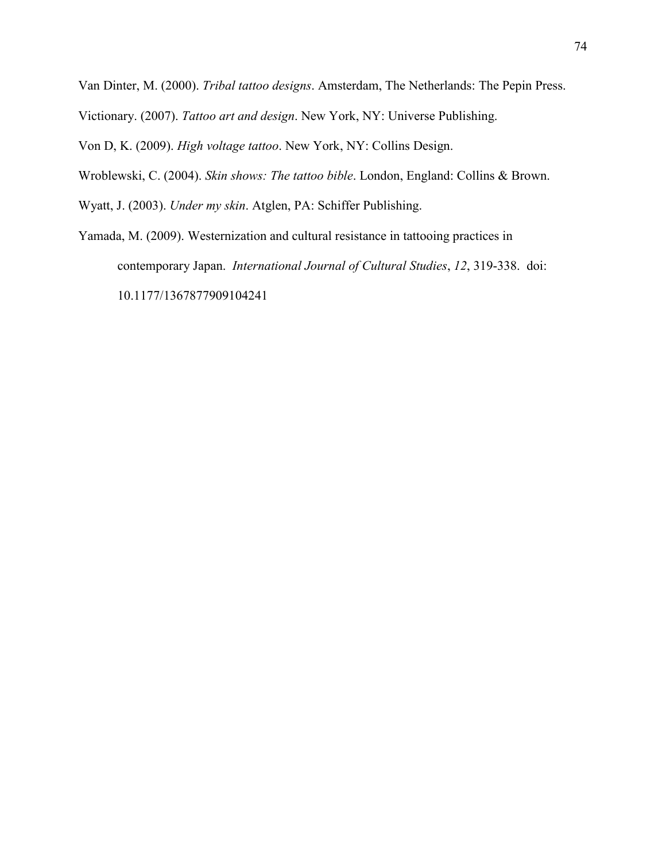Van Dinter, M. (2000). *Tribal tattoo designs*. Amsterdam, The Netherlands: The Pepin Press.

Victionary. (2007). *Tattoo art and design*. New York, NY: Universe Publishing.

Von D, K. (2009). *High voltage tattoo*. New York, NY: Collins Design.

Wroblewski, C. (2004). *Skin shows: The tattoo bible*. London, England: Collins & Brown.

Wyatt, J. (2003). *Under my skin*. Atglen, PA: Schiffer Publishing.

Yamada, M. (2009). Westernization and cultural resistance in tattooing practices in contemporary Japan. *International Journal of Cultural Studies*, *12*, 319-338. doi: 10.1177/1367877909104241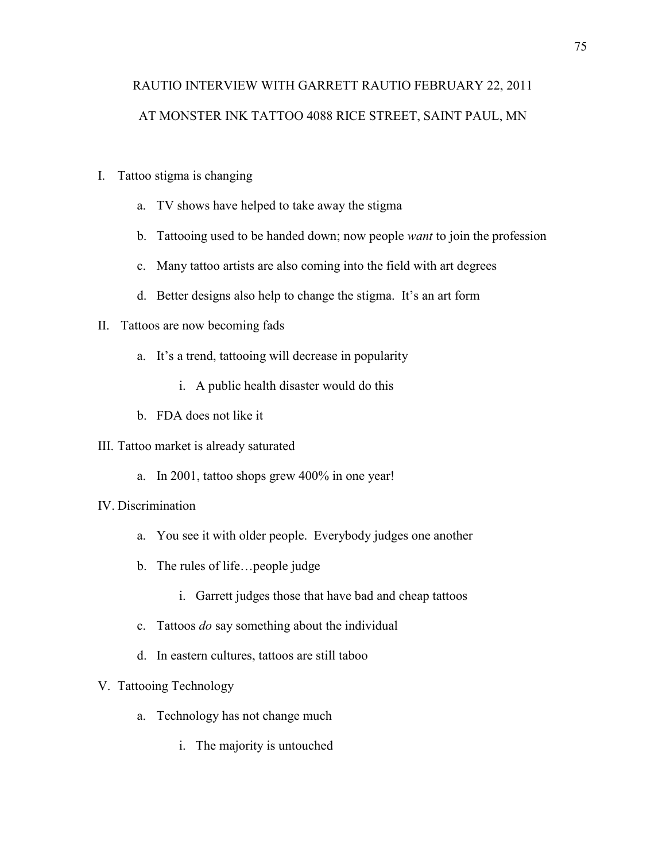# RAUTIO INTERVIEW WITH GARRETT RAUTIO FEBRUARY 22, 2011 AT MONSTER INK TATTOO 4088 RICE STREET, SAINT PAUL, MN

- I. Tattoo stigma is changing
	- a. TV shows have helped to take away the stigma
	- b. Tattooing used to be handed down; now people *want* to join the profession
	- c. Many tattoo artists are also coming into the field with art degrees
	- d. Better designs also help to change the stigma. It's an art form

## II. Tattoos are now becoming fads

- a. It's a trend, tattooing will decrease in popularity
	- i. A public health disaster would do this
- b. FDA does not like it

#### III. Tattoo market is already saturated

a. In 2001, tattoo shops grew 400% in one year!

#### IV. Discrimination

- a. You see it with older people. Everybody judges one another
- b. The rules of life…people judge
	- i. Garrett judges those that have bad and cheap tattoos
- c. Tattoos *do* say something about the individual
- d. In eastern cultures, tattoos are still taboo

## V. Tattooing Technology

- a. Technology has not change much
	- i. The majority is untouched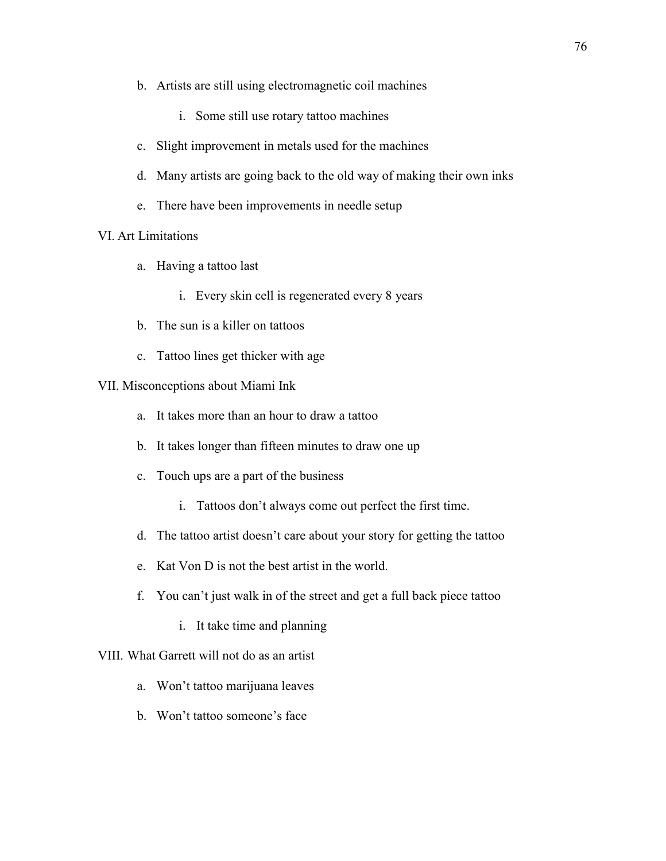- b. Artists are still using electromagnetic coil machines
	- i. Some still use rotary tattoo machines
- c. Slight improvement in metals used for the machines
- d. Many artists are going back to the old way of making their own inks
- e. There have been improvements in needle setup

# VI. Art Limitations

- a. Having a tattoo last
	- i. Every skin cell is regenerated every 8 years
- b. The sun is a killer on tattoos
- c. Tattoo lines get thicker with age

## VII. Misconceptions about Miami Ink

- a. It takes more than an hour to draw a tattoo
- b. It takes longer than fifteen minutes to draw one up
- c. Touch ups are a part of the business
	- i. Tattoos don't always come out perfect the first time.
- d. The tattoo artist doesn't care about your story for getting the tattoo
- e. Kat Von D is not the best artist in the world.
- f. You can't just walk in of the street and get a full back piece tattoo
	- i. It take time and planning

## VIII. What Garrett will not do as an artist

- a. Won't tattoo marijuana leaves
- b. Won't tattoo someone's face